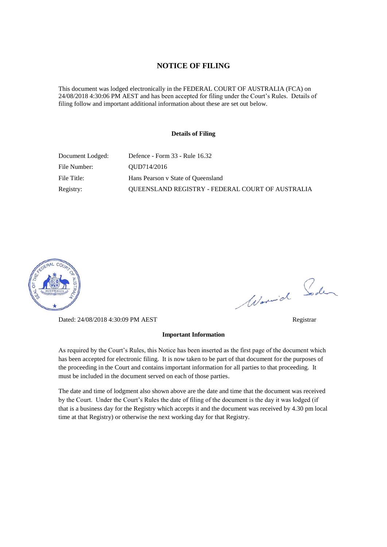#### **NOTICE OF FILING**

This document was lodged electronically in the FEDERAL COURT OF AUSTRALIA (FCA) on 24/08/2018 4:30:06 PM AEST and has been accepted for filing under the Court's Rules. Details of filing follow and important additional information about these are set out below.

#### **Details of Filing**

| Document Lodged: | Defence - Form 33 - Rule 16.32                          |
|------------------|---------------------------------------------------------|
| File Number:     | OUD714/2016                                             |
| File Title:      | Hans Pearson v State of Queensland                      |
| Registry:        | <b>OUEENSLAND REGISTRY - FEDERAL COURT OF AUSTRALIA</b> |



Dated: 24/08/2018 4:30:09 PM AEST Registrar

Worwich Soden

#### **Important Information**

As required by the Court's Rules, this Notice has been inserted as the first page of the document which has been accepted for electronic filing. It is now taken to be part of that document for the purposes of the proceeding in the Court and contains important information for all parties to that proceeding. It must be included in the document served on each of those parties.

The date and time of lodgment also shown above are the date and time that the document was received by the Court. Under the Court's Rules the date of filing of the document is the day it was lodged (if that is a business day for the Registry which accepts it and the document was received by 4.30 pm local time at that Registry) or otherwise the next working day for that Registry.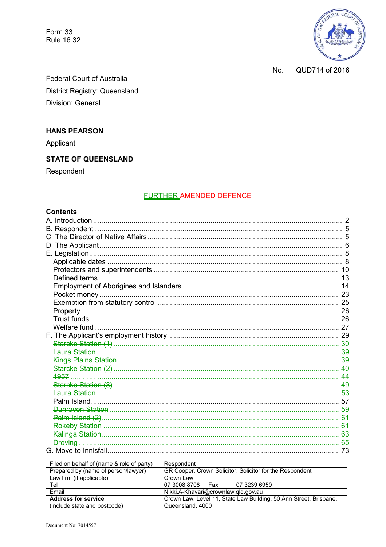Form 33 **Rule 16.32** 



QUD714 of 2016 No.

Federal Court of Australia District Registry: Queensland Division: General

## **HANS PEARSON**

Applicant

# **STATE OF QUEENSLAND**

Respondent

## **FURTHER AMENDED DEFENCE**

## **Contents**

| 1957 |  |
|------|--|
|      |  |
|      |  |
|      |  |
|      |  |
|      |  |
|      |  |
|      |  |
|      |  |
|      |  |

| Filed on behalf of (name & role of party) | Respondent                                                        |     |              |  |  |
|-------------------------------------------|-------------------------------------------------------------------|-----|--------------|--|--|
| Prepared by (name of person/lawyer)       | GR Cooper, Crown Solicitor, Solicitor for the Respondent          |     |              |  |  |
| Law firm (if applicable)                  | Crown Law                                                         |     |              |  |  |
| Tel                                       | 07 3008 8708                                                      | Fax | 07 3239 6959 |  |  |
| Email                                     | Nikki.A-Khavari@crownlaw.qld.gov.au                               |     |              |  |  |
| <b>Address for service</b>                | Crown Law, Level 11, State Law Building, 50 Ann Street, Brisbane, |     |              |  |  |
| (include state and postcode)              | Queensland, 4000                                                  |     |              |  |  |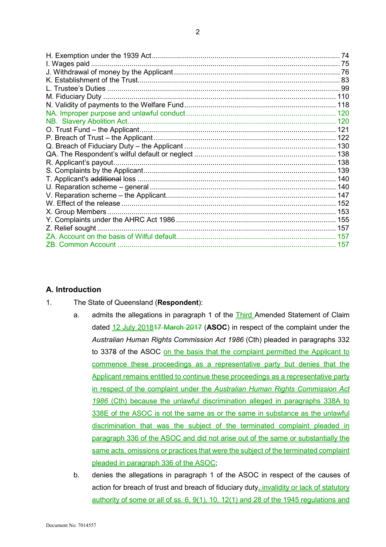| I. Wages paid             |     |
|---------------------------|-----|
|                           |     |
|                           |     |
|                           |     |
|                           |     |
|                           |     |
|                           | 120 |
| NB. Slavery Abolition Act |     |
|                           | 121 |
|                           |     |
|                           |     |
|                           |     |
|                           | 138 |
|                           | 139 |
|                           |     |
|                           |     |
|                           |     |
|                           |     |
| X. Group Members          |     |
|                           |     |
| Z. Relief sought.         |     |
|                           |     |
|                           |     |

#### **A. Introduction**

- 1. The State of Queensland (**Respondent**):
	- a. admits the allegations in paragraph 1 of the **Third** Amended Statement of Claim dated 12 July 201817 March 2017 (**ASOC**) in respect of the complaint under the *Australian Human Rights Commission Act 1986* (Cth) pleaded in paragraphs 332 to 3378 of the ASOC on the basis that the complaint permitted the Applicant to commence these proceedings as a representative party but denies that the Applicant remains entitled to continue these proceedings as a representative party in respect of the complaint under the *Australian Human Rights Commission Act 1986* (Cth) because the unlawful discrimination alleged in paragraphs 338A to 338E of the ASOC is not the same as or the same in substance as the unlawful discrimination that was the subject of the terminated complaint pleaded in paragraph 336 of the ASOC and did not arise out of the same or substantially the same acts, omissions or practices that were the subject of the terminated complaint pleaded in paragraph 336 of the ASOC;
	- b. denies the allegations in paragraph 1 of the ASOC in respect of the causes of action for breach of trust and breach of fiduciary duty, invalidity or lack of statutory authority of some or all of ss. 6, 9(1), 10, 12(1) and 28 of the 1945 regulations and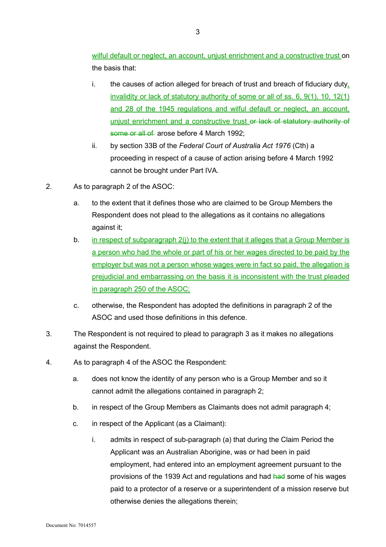wilful default or neglect, an account, unjust enrichment and a constructive trust on the basis that:

- i. the causes of action alleged for breach of trust and breach of fiduciary duty, invalidity or lack of statutory authority of some or all of ss. 6, 9(1), 10, 12(1) and 28 of the 1945 regulations and wilful default or neglect, an account, unjust enrichment and a constructive trust or lack of statutory authority of some or all of arose before 4 March 1992;
- ii. by section 33B of the *Federal Court of Australia Act 1976* (Cth) a proceeding in respect of a cause of action arising before 4 March 1992 cannot be brought under Part IVA.
- 2. As to paragraph 2 of the ASOC:
	- a. to the extent that it defines those who are claimed to be Group Members the Respondent does not plead to the allegations as it contains no allegations against it;
	- b. in respect of subparagraph 2(i) to the extent that it alleges that a Group Member is a person who had the whole or part of his or her wages directed to be paid by the employer but was not a person whose wages were in fact so paid, the allegation is prejudicial and embarrassing on the basis it is inconsistent with the trust pleaded in paragraph 250 of the ASOC;
	- c. otherwise, the Respondent has adopted the definitions in paragraph 2 of the ASOC and used those definitions in this defence.
- 3. The Respondent is not required to plead to paragraph 3 as it makes no allegations against the Respondent.
- 4. As to paragraph 4 of the ASOC the Respondent:
	- a. does not know the identity of any person who is a Group Member and so it cannot admit the allegations contained in paragraph 2;
	- b. in respect of the Group Members as Claimants does not admit paragraph 4;
	- c. in respect of the Applicant (as a Claimant):
		- i. admits in respect of sub-paragraph (a) that during the Claim Period the Applicant was an Australian Aborigine, was or had been in paid employment, had entered into an employment agreement pursuant to the provisions of the 1939 Act and regulations and had had some of his wages paid to a protector of a reserve or a superintendent of a mission reserve but otherwise denies the allegations therein;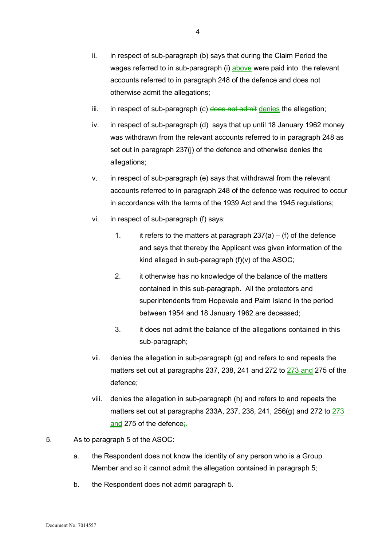- iii. in respect of sub-paragraph (c) does not admit denies the allegation;
- iv. in respect of sub-paragraph (d) says that up until 18 January 1962 money was withdrawn from the relevant accounts referred to in paragraph 248 as set out in paragraph 237(j) of the defence and otherwise denies the allegations;
- v. in respect of sub-paragraph (e) says that withdrawal from the relevant accounts referred to in paragraph 248 of the defence was required to occur in accordance with the terms of the 1939 Act and the 1945 regulations;
- vi. in respect of sub-paragraph (f) says:
	- 1. it refers to the matters at paragraph  $237(a) (f)$  of the defence and says that thereby the Applicant was given information of the kind alleged in sub-paragraph (f)(v) of the ASOC;
	- 2. it otherwise has no knowledge of the balance of the matters contained in this sub-paragraph. All the protectors and superintendents from Hopevale and Palm Island in the period between 1954 and 18 January 1962 are deceased;
	- 3. it does not admit the balance of the allegations contained in this sub-paragraph;
- vii. denies the allegation in sub-paragraph (g) and refers to and repeats the matters set out at paragraphs 237, 238, 241 and 272 to 273 and 275 of the defence;
- viii. denies the allegation in sub-paragraph (h) and refers to and repeats the matters set out at paragraphs 233A, 237, 238, 241, 256(g) and 272 to 273 and 275 of the defence;.
- 5. As to paragraph 5 of the ASOC:
	- a. the Respondent does not know the identity of any person who is a Group Member and so it cannot admit the allegation contained in paragraph 5;
	- b. the Respondent does not admit paragraph 5.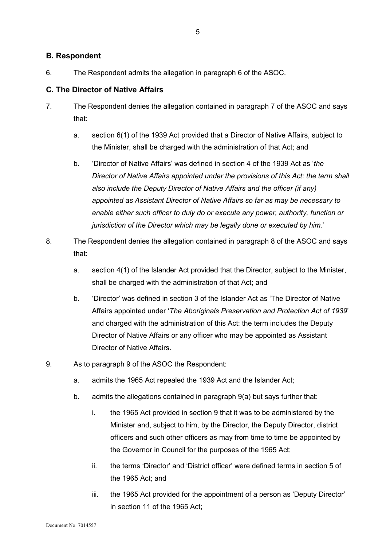## **B. Respondent**

6. The Respondent admits the allegation in paragraph 6 of the ASOC.

## **C. The Director of Native Affairs**

- 7. The Respondent denies the allegation contained in paragraph 7 of the ASOC and says that:
	- a. section 6(1) of the 1939 Act provided that a Director of Native Affairs, subject to the Minister, shall be charged with the administration of that Act; and
	- b. 'Director of Native Affairs' was defined in section 4 of the 1939 Act as '*the Director of Native Affairs appointed under the provisions of this Act: the term shall also include the Deputy Director of Native Affairs and the officer (if any) appointed as Assistant Director of Native Affairs so far as may be necessary to enable either such officer to duly do or execute any power, authority, function or jurisdiction of the Director which may be legally done or executed by him.*'
- 8. The Respondent denies the allegation contained in paragraph 8 of the ASOC and says that:
	- a. section 4(1) of the Islander Act provided that the Director, subject to the Minister, shall be charged with the administration of that Act; and
	- b. 'Director' was defined in section 3 of the Islander Act as 'The Director of Native Affairs appointed under '*The Aboriginals Preservation and Protection Act of 1939*' and charged with the administration of this Act: the term includes the Deputy Director of Native Affairs or any officer who may be appointed as Assistant Director of Native Affairs.
- 9. As to paragraph 9 of the ASOC the Respondent:
	- a. admits the 1965 Act repealed the 1939 Act and the Islander Act;
	- b. admits the allegations contained in paragraph 9(a) but says further that:
		- i. the 1965 Act provided in section 9 that it was to be administered by the Minister and, subject to him, by the Director, the Deputy Director, district officers and such other officers as may from time to time be appointed by the Governor in Council for the purposes of the 1965 Act;
		- ii. the terms 'Director' and 'District officer' were defined terms in section 5 of the 1965 Act; and
		- iii. the 1965 Act provided for the appointment of a person as 'Deputy Director' in section 11 of the 1965 Act;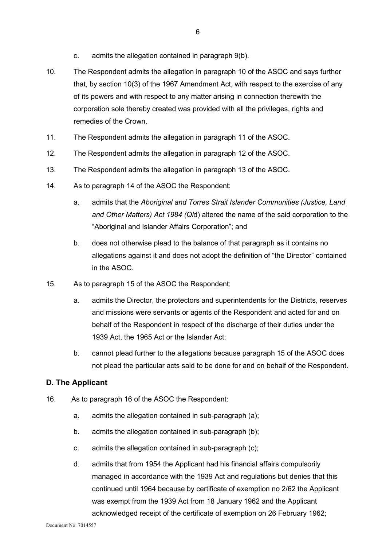- c. admits the allegation contained in paragraph 9(b).
- 10. The Respondent admits the allegation in paragraph 10 of the ASOC and says further that, by section 10(3) of the 1967 Amendment Act, with respect to the exercise of any of its powers and with respect to any matter arising in connection therewith the corporation sole thereby created was provided with all the privileges, rights and remedies of the Crown.
- 11. The Respondent admits the allegation in paragraph 11 of the ASOC.
- 12. The Respondent admits the allegation in paragraph 12 of the ASOC.
- 13. The Respondent admits the allegation in paragraph 13 of the ASOC.
- 14. As to paragraph 14 of the ASOC the Respondent:
	- a. admits that the *Aboriginal and Torres Strait Islander Communities (Justice, Land and Other Matters) Act 1984 (Ql*d) altered the name of the said corporation to the "Aboriginal and Islander Affairs Corporation"; and
	- b. does not otherwise plead to the balance of that paragraph as it contains no allegations against it and does not adopt the definition of "the Director" contained in the ASOC.
- 15. As to paragraph 15 of the ASOC the Respondent:
	- a. admits the Director, the protectors and superintendents for the Districts, reserves and missions were servants or agents of the Respondent and acted for and on behalf of the Respondent in respect of the discharge of their duties under the 1939 Act, the 1965 Act or the Islander Act;
	- b. cannot plead further to the allegations because paragraph 15 of the ASOC does not plead the particular acts said to be done for and on behalf of the Respondent.

## **D. The Applicant**

- 16. As to paragraph 16 of the ASOC the Respondent:
	- a. admits the allegation contained in sub-paragraph (a);
	- b. admits the allegation contained in sub-paragraph (b);
	- c. admits the allegation contained in sub-paragraph (c);
	- d. admits that from 1954 the Applicant had his financial affairs compulsorily managed in accordance with the 1939 Act and regulations but denies that this continued until 1964 because by certificate of exemption no 2/62 the Applicant was exempt from the 1939 Act from 18 January 1962 and the Applicant acknowledged receipt of the certificate of exemption on 26 February 1962;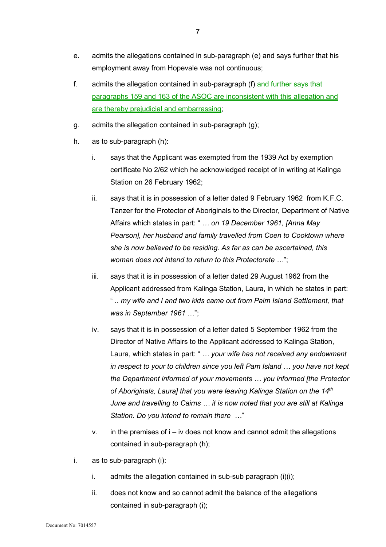- e. admits the allegations contained in sub-paragraph (e) and says further that his employment away from Hopevale was not continuous;
- f. admits the allegation contained in sub-paragraph (f) and further says that paragraphs 159 and 163 of the ASOC are inconsistent with this allegation and are thereby prejudicial and embarrassing;
- g. admits the allegation contained in sub-paragraph (g);
- h. as to sub-paragraph (h):
	- i. says that the Applicant was exempted from the 1939 Act by exemption certificate No 2/62 which he acknowledged receipt of in writing at Kalinga Station on 26 February 1962;
	- ii. says that it is in possession of a letter dated 9 February 1962 from K.F.C. Tanzer for the Protector of Aboriginals to the Director, Department of Native Affairs which states in part: " *… on 19 December 1961, [Anna May Pearson], her husband and family travelled from Coen to Cooktown where she is now believed to be residing. As far as can be ascertained, this woman does not intend to return to this Protectorate …*";
	- iii. says that it is in possession of a letter dated 29 August 1962 from the Applicant addressed from Kalinga Station, Laura, in which he states in part: " .. *my wife and I and two kids came out from Palm Island Settlement, that was in September 1961* …";
	- iv. says that it is in possession of a letter dated 5 September 1962 from the Director of Native Affairs to the Applicant addressed to Kalinga Station, Laura, which states in part: " *… your wife has not received any endowment in respect to your to children since you left Pam Island … you have not kept the Department informed of your movements … you informed [the Protector of Aboriginals, Laura] that you were leaving Kalinga Station on the 14th June and travelling to Cairns … it is now noted that you are still at Kalinga Station. Do you intend to remain there …*"
	- $v.$  in the premises of  $i iv$  does not know and cannot admit the allegations contained in sub-paragraph (h);
- i. as to sub-paragraph (i):
	- i. admits the allegation contained in sub-sub paragraph (i)(i);
	- ii. does not know and so cannot admit the balance of the allegations contained in sub-paragraph (i);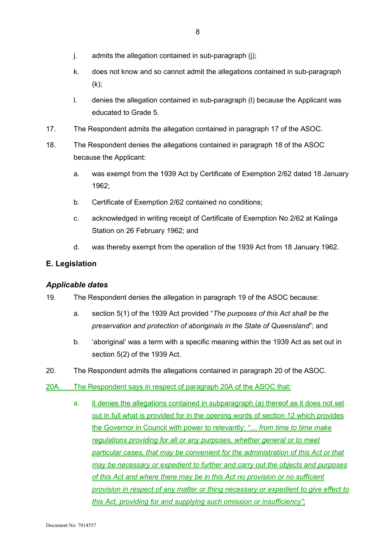- j. admits the allegation contained in sub-paragraph (j);
- k. does not know and so cannot admit the allegations contained in sub-paragraph  $(k)$ ;
- l. denies the allegation contained in sub-paragraph (l) because the Applicant was educated to Grade 5.
- 17. The Respondent admits the allegation contained in paragraph 17 of the ASOC.
- 18. The Respondent denies the allegations contained in paragraph 18 of the ASOC because the Applicant:
	- a. was exempt from the 1939 Act by Certificate of Exemption 2/62 dated 18 January 1962;
	- b. Certificate of Exemption 2/62 contained no conditions;
	- c. acknowledged in writing receipt of Certificate of Exemption No 2/62 at Kalinga Station on 26 February 1962; and
	- d. was thereby exempt from the operation of the 1939 Act from 18 January 1962.

## **E. Legislation**

#### *Applicable dates*

19. The Respondent denies the allegation in paragraph 19 of the ASOC because:

- a. section 5(1) of the 1939 Act provided "*The purposes of this Act shall be the preservation and protection of aboriginals in the State of Queensland*"; and
- b. 'aboriginal' was a term with a specific meaning within the 1939 Act as set out in section 5(2) of the 1939 Act.
- 20. The Respondent admits the allegations contained in paragraph 20 of the ASOC.
- 20A. The Respondent says in respect of paragraph 20A of the ASOC that:
	- a. it denies the allegations contained in subparagraph (a) thereof as it does not set out in full what is provided for in the opening words of section 12 which provides the Governor in Council with power to relevantly: *"… from time to time make regulations providing for all or any purposes, whether general or to meet particular cases, that may be convenient for the administration of this Act or that may be necessary or expedient to further and carry out the objects and purposes of this Act and where there may be in this Act no provision or no sufficient provision in respect of any matter or thing necessary or expedient to give effect to this Act, providing for and supplying such omission or insufficiency"*;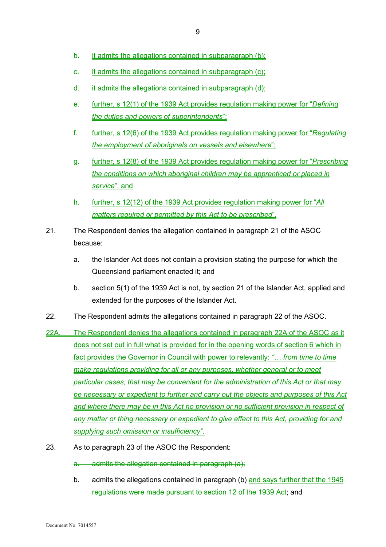- b. it admits the allegations contained in subparagraph (b);
- c. it admits the allegations contained in subparagraph (c);
- d. it admits the allegations contained in subparagraph (d);
- e. further, s 12(1) of the 1939 Act provides regulation making power for "*Defining the duties and powers of superintendents*";
- f. further, s 12(6) of the 1939 Act provides regulation making power for "*Regulating the employment of aboriginals on vessels and elsewhere*";
- g. further, s 12(8) of the 1939 Act provides regulation making power for "*Prescribing the conditions on which aboriginal children may be apprenticed or placed in service*"; and
- h. further, s 12(12) of the 1939 Act provides regulation making power for "*All matters required or permitted by this Act to be prescribed*".
- 21. The Respondent denies the allegation contained in paragraph 21 of the ASOC because:
	- a. the Islander Act does not contain a provision stating the purpose for which the Queensland parliament enacted it; and
	- b. section 5(1) of the 1939 Act is not, by section 21 of the Islander Act, applied and extended for the purposes of the Islander Act.
- 22. The Respondent admits the allegations contained in paragraph 22 of the ASOC.
- 22A. The Respondent denies the allegations contained in paragraph 22A of the ASOC as it does not set out in full what is provided for in the opening words of section 6 which in fact provides the Governor in Council with power to relevantly: *"… from time to time make regulations providing for all or any purposes, whether general or to meet particular cases, that may be convenient for the administration of this Act or that may be necessary or expedient to further and carry out the objects and purposes of this Act and where there may be in this Act no provision or no sufficient provision in respect of any matter or thing necessary or expedient to give effect to this Act, providing for and supplying such omission or insufficiency"*.
- 23. As to paragraph 23 of the ASOC the Respondent:
	- a. admits the allegation contained in paragraph (a);
	- b. admits the allegations contained in paragraph (b) and says further that the 1945 regulations were made pursuant to section 12 of the 1939 Act; and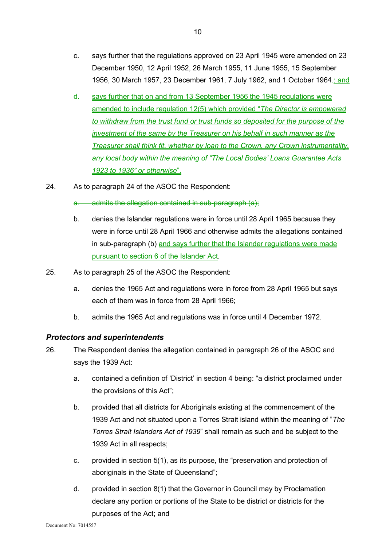- c. says further that the regulations approved on 23 April 1945 were amended on 23 December 1950, 12 April 1952, 26 March 1955, 11 June 1955, 15 September 1956, 30 March 1957, 23 December 1961, 7 July 1962, and 1 October 1964-; and
- d. says further that on and from 13 September 1956 the 1945 regulations were amended to include regulation 12(5) which provided "*The Director is empowered to withdraw from the trust fund or trust funds so deposited for the purpose of the investment of the same by the Treasurer on his behalf in such manner as the Treasurer shall think fit, whether by loan to the Crown, any Crown instrumentality, any local body within the meaning of "The Local Bodies' Loans Guarantee Acts 1923 to 1936" or otherwise*".
- 24. As to paragraph 24 of the ASOC the Respondent:

a. admits the allegation contained in sub-paragraph (a);

- b. denies the Islander regulations were in force until 28 April 1965 because they were in force until 28 April 1966 and otherwise admits the allegations contained in sub-paragraph (b) and says further that the Islander regulations were made pursuant to section 6 of the Islander Act.
- 25. As to paragraph 25 of the ASOC the Respondent:
	- a. denies the 1965 Act and regulations were in force from 28 April 1965 but says each of them was in force from 28 April 1966;
	- b. admits the 1965 Act and regulations was in force until 4 December 1972.

#### *Protectors and superintendents*

- 26. The Respondent denies the allegation contained in paragraph 26 of the ASOC and says the 1939 Act:
	- a. contained a definition of 'District' in section 4 being: "a district proclaimed under the provisions of this Act";
	- b. provided that all districts for Aboriginals existing at the commencement of the 1939 Act and not situated upon a Torres Strait island within the meaning of "*The Torres Strait Islanders Act of 1939*" shall remain as such and be subject to the 1939 Act in all respects;
	- c. provided in section 5(1), as its purpose, the "preservation and protection of aboriginals in the State of Queensland";
	- d. provided in section 8(1) that the Governor in Council may by Proclamation declare any portion or portions of the State to be district or districts for the purposes of the Act; and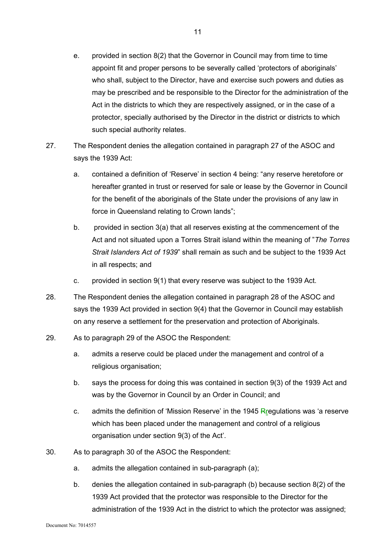- e. provided in section 8(2) that the Governor in Council may from time to time appoint fit and proper persons to be severally called 'protectors of aboriginals' who shall, subject to the Director, have and exercise such powers and duties as may be prescribed and be responsible to the Director for the administration of the Act in the districts to which they are respectively assigned, or in the case of a protector, specially authorised by the Director in the district or districts to which such special authority relates.
- 27. The Respondent denies the allegation contained in paragraph 27 of the ASOC and says the 1939 Act:
	- a. contained a definition of 'Reserve' in section 4 being: "any reserve heretofore or hereafter granted in trust or reserved for sale or lease by the Governor in Council for the benefit of the aboriginals of the State under the provisions of any law in force in Queensland relating to Crown lands";
	- b. provided in section 3(a) that all reserves existing at the commencement of the Act and not situated upon a Torres Strait island within the meaning of "*The Torres Strait Islanders Act of 1939*" shall remain as such and be subject to the 1939 Act in all respects; and
	- c. provided in section 9(1) that every reserve was subject to the 1939 Act.
- 28. The Respondent denies the allegation contained in paragraph 28 of the ASOC and says the 1939 Act provided in section 9(4) that the Governor in Council may establish on any reserve a settlement for the preservation and protection of Aboriginals.
- 29. As to paragraph 29 of the ASOC the Respondent:
	- a. admits a reserve could be placed under the management and control of a religious organisation:
	- b. says the process for doing this was contained in section 9(3) of the 1939 Act and was by the Governor in Council by an Order in Council; and
	- c. admits the definition of 'Mission Reserve' in the 1945 Rregulations was 'a reserve which has been placed under the management and control of a religious organisation under section 9(3) of the Act'.
- 30. As to paragraph 30 of the ASOC the Respondent:
	- a. admits the allegation contained in sub-paragraph (a);
	- b. denies the allegation contained in sub-paragraph (b) because section 8(2) of the 1939 Act provided that the protector was responsible to the Director for the administration of the 1939 Act in the district to which the protector was assigned;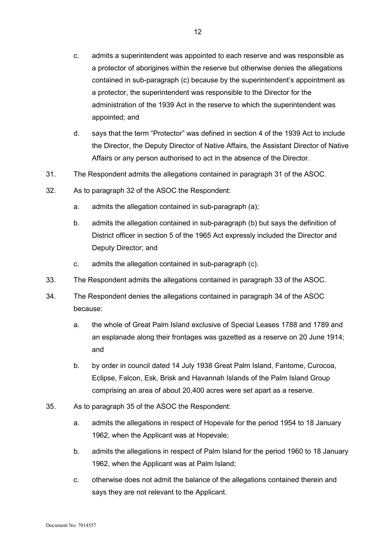- c. admits a superintendent was appointed to each reserve and was responsible as a protector of aborigines within the reserve but otherwise denies the allegations contained in sub-paragraph (c) because by the superintendent's appointment as a protector, the superintendent was responsible to the Director for the administration of the 1939 Act in the reserve to which the superintendent was appointed; and
- d. says that the term "Protector" was defined in section 4 of the 1939 Act to include the Director, the Deputy Director of Native Affairs, the Assistant Director of Native Affairs or any person authorised to act in the absence of the Director.
- 31. The Respondent admits the allegations contained in paragraph 31 of the ASOC.
- 32. As to paragraph 32 of the ASOC the Respondent:
	- a. admits the allegation contained in sub-paragraph (a);
	- b. admits the allegation contained in sub-paragraph (b) but says the definition of District officer in section 5 of the 1965 Act expressly included the Director and Deputy Director; and
	- c. admits the allegation contained in sub-paragraph (c).
- 33. The Respondent admits the allegations contained in paragraph 33 of the ASOC.
- 34. The Respondent denies the allegations contained in paragraph 34 of the ASOC because:
	- a. the whole of Great Palm Island exclusive of Special Leases 1788 and 1789 and an esplanade along their frontages was gazetted as a reserve on 20 June 1914; and
	- b. by order in council dated 14 July 1938 Great Palm Island, Fantome, Curocoa, Eclipse, Falcon, Esk, Brisk and Havannah Islands of the Palm Island Group comprising an area of about 20,400 acres were set apart as a reserve.
- 35. As to paragraph 35 of the ASOC the Respondent:
	- a. admits the allegations in respect of Hopevale for the period 1954 to 18 January 1962, when the Applicant was at Hopevale;
	- b. admits the allegations in respect of Palm Island for the period 1960 to 18 January 1962, when the Applicant was at Palm Island;
	- c. otherwise does not admit the balance of the allegations contained therein and says they are not relevant to the Applicant.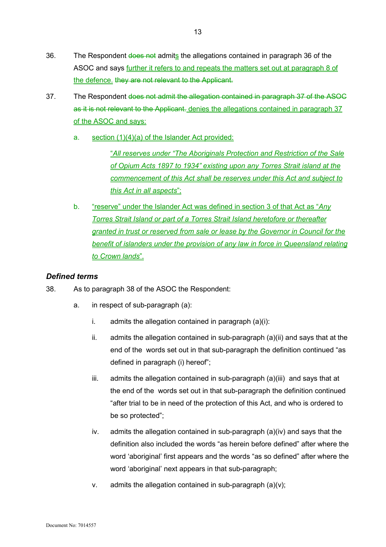- 36. The Respondent does not admits the allegations contained in paragraph 36 of the ASOC and says further it refers to and repeats the matters set out at paragraph 8 of the defence. they are not relevant to the Applicant.
- 37. The Respondent does not admit the allegation contained in paragraph 37 of the ASOC as it is not relevant to the Applicant. denies the allegations contained in paragraph 37 of the ASOC and says:
	- a. section (1)(4)(a) of the Islander Act provided:

"*All reserves under "The Aboriginals Protection and Restriction of the Sale of Opium Acts 1897 to 1934" existing upon any Torres Strait island at the commencement of this Act shall be reserves under this Act and subject to this Act in all aspects*";

b. "reserve" under the Islander Act was defined in section 3 of that Act as "*Any Torres Strait Island or part of a Torres Strait Island heretofore or thereafter granted in trust or reserved from sale or lease by the Governor in Council for the benefit of islanders under the provision of any law in force in Queensland relating to Crown lands*".

## *Defined terms*

38. As to paragraph 38 of the ASOC the Respondent:

- a. in respect of sub-paragraph (a):
	- i. admits the allegation contained in paragraph  $(a)(i)$ :
	- ii. admits the allegation contained in sub-paragraph (a)(ii) and says that at the end of the words set out in that sub-paragraph the definition continued "as defined in paragraph (i) hereof";
	- iii. admits the allegation contained in sub-paragraph (a)(iii) and says that at the end of the words set out in that sub-paragraph the definition continued "after trial to be in need of the protection of this Act, and who is ordered to be so protected";
	- iv. admits the allegation contained in sub-paragraph  $(a)(iv)$  and says that the definition also included the words "as herein before defined" after where the word 'aboriginal' first appears and the words "as so defined" after where the word 'aboriginal' next appears in that sub-paragraph:
	- $v.$  admits the allegation contained in sub-paragraph  $(a)(v)$ ;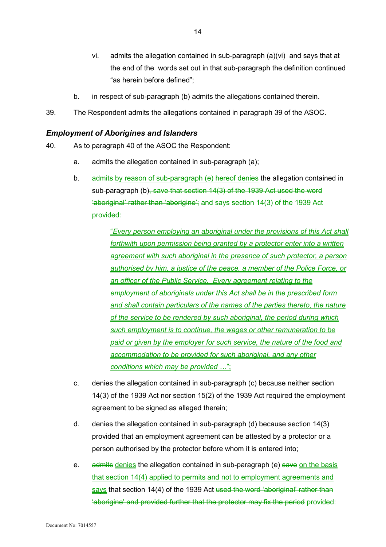- vi. admits the allegation contained in sub-paragraph (a)(vi) and says that at the end of the words set out in that sub-paragraph the definition continued "as herein before defined";
- b. in respect of sub-paragraph (b) admits the allegations contained therein.
- 39. The Respondent admits the allegations contained in paragraph 39 of the ASOC.

## *Employment of Aborigines and Islanders*

- 40. As to paragraph 40 of the ASOC the Respondent:
	- a. admits the allegation contained in sub-paragraph (a);
	- b. admits by reason of sub-paragraph (e) hereof denies the allegation contained in sub-paragraph (b), save that section 14(3) of the 1939 Act used the word 'aboriginal' rather than 'aborigine'; and says section 14(3) of the 1939 Act provided:

"*Every person employing an aboriginal under the provisions of this Act shall forthwith upon permission being granted by a protector enter into a written agreement with such aboriginal in the presence of such protector, a person authorised by him, a justice of the peace, a member of the Police Force, or an officer of the Public Service. Every agreement relating to the employment of aboriginals under this Act shall be in the prescribed form and shall contain particulars of the names of the parties thereto, the nature of the service to be rendered by such aboriginal, the period during which such employment is to continue, the wages or other remuneration to be paid or given by the employer for such service, the nature of the food and accommodation to be provided for such aboriginal, and any other conditions which may be provided …*";

- c. denies the allegation contained in sub-paragraph (c) because neither section 14(3) of the 1939 Act nor section 15(2) of the 1939 Act required the employment agreement to be signed as alleged therein;
- d. denies the allegation contained in sub-paragraph (d) because section 14(3) provided that an employment agreement can be attested by a protector or a person authorised by the protector before whom it is entered into;
- e. admits denies the allegation contained in sub-paragraph (e) save on the basis that section 14(4) applied to permits and not to employment agreements and says that section 14(4) of the 1939 Act used the word 'aboriginal' rather than 'aborigine' and provided further that the protector may fix the period provided: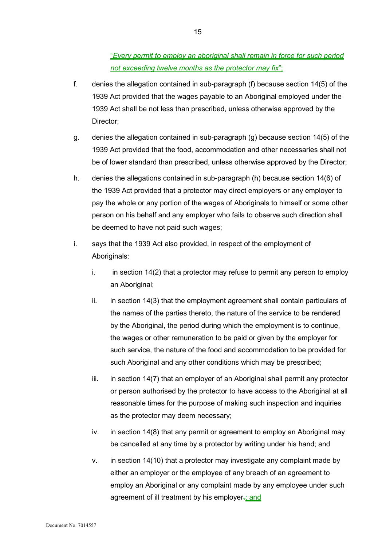"*Every permit to employ an aboriginal shall remain in force for such period not exceeding twelve months as the protector may fix*";

- f. denies the allegation contained in sub-paragraph (f) because section 14(5) of the 1939 Act provided that the wages payable to an Aboriginal employed under the 1939 Act shall be not less than prescribed, unless otherwise approved by the Director;
- g. denies the allegation contained in sub-paragraph (g) because section 14(5) of the 1939 Act provided that the food, accommodation and other necessaries shall not be of lower standard than prescribed, unless otherwise approved by the Director;
- h. denies the allegations contained in sub-paragraph (h) because section 14(6) of the 1939 Act provided that a protector may direct employers or any employer to pay the whole or any portion of the wages of Aboriginals to himself or some other person on his behalf and any employer who fails to observe such direction shall be deemed to have not paid such wages;
- i. says that the 1939 Act also provided, in respect of the employment of Aboriginals:
	- i. in section  $14(2)$  that a protector may refuse to permit any person to employ an Aboriginal:
	- ii. in section 14(3) that the employment agreement shall contain particulars of the names of the parties thereto, the nature of the service to be rendered by the Aboriginal, the period during which the employment is to continue, the wages or other remuneration to be paid or given by the employer for such service, the nature of the food and accommodation to be provided for such Aboriginal and any other conditions which may be prescribed;
	- iii. in section 14(7) that an employer of an Aboriginal shall permit any protector or person authorised by the protector to have access to the Aboriginal at all reasonable times for the purpose of making such inspection and inquiries as the protector may deem necessary;
	- iv. in section 14(8) that any permit or agreement to employ an Aboriginal may be cancelled at any time by a protector by writing under his hand; and
	- v. in section 14(10) that a protector may investigate any complaint made by either an employer or the employee of any breach of an agreement to employ an Aboriginal or any complaint made by any employee under such agreement of ill treatment by his employer-; and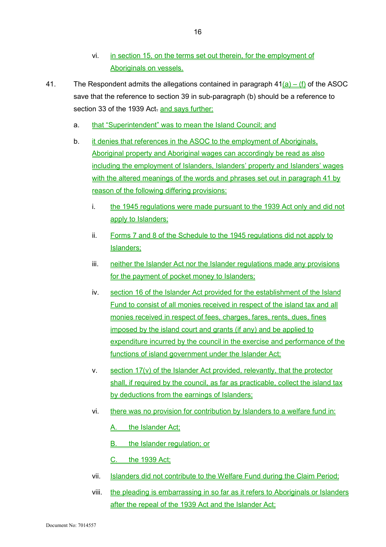- vi. in section 15, on the terms set out therein, for the employment of Aboriginals on vessels.
- 41. The Respondent admits the allegations contained in paragraph  $41(a) (f)$  of the ASOC save that the reference to section 39 in sub-paragraph (b) should be a reference to section 33 of the 1939 Act. and says further:
	- a. that "Superintendent" was to mean the Island Council; and
	- b. it denies that references in the ASOC to the employment of Aboriginals, Aboriginal property and Aboriginal wages can accordingly be read as also including the employment of Islanders, Islanders' property and Islanders' wages with the altered meanings of the words and phrases set out in paragraph 41 by reason of the following differing provisions:
		- i. the 1945 regulations were made pursuant to the 1939 Act only and did not apply to Islanders;
		- ii. Forms 7 and 8 of the Schedule to the 1945 regulations did not apply to Islanders;
		- iii. neither the Islander Act nor the Islander regulations made any provisions for the payment of pocket money to Islanders;
		- iv. section 16 of the Islander Act provided for the establishment of the Island Fund to consist of all monies received in respect of the island tax and all monies received in respect of fees, charges, fares, rents, dues, fines imposed by the island court and grants (if any) and be applied to expenditure incurred by the council in the exercise and performance of the functions of island government under the Islander Act;
		- v. section 17(v) of the Islander Act provided, relevantly, that the protector shall, if required by the council, as far as practicable, collect the island tax by deductions from the earnings of Islanders;
		- vi. there was no provision for contribution by Islanders to a welfare fund in:
			- A. the Islander Act;
			- B. the Islander regulation; or
			- C. the 1939 Act;
		- vii. Islanders did not contribute to the Welfare Fund during the Claim Period;
		- viii. the pleading is embarrassing in so far as it refers to Aboriginals or Islanders after the repeal of the 1939 Act and the Islander Act;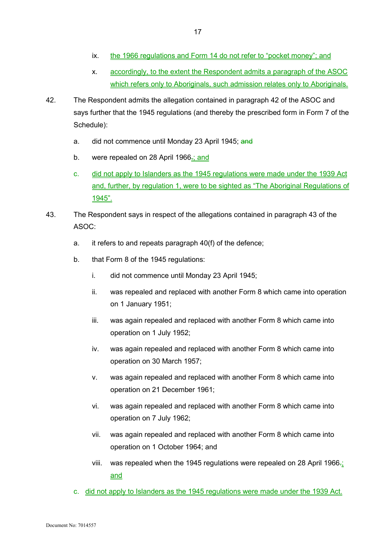- ix. the 1966 regulations and Form 14 do not refer to "pocket money"; and
- x. accordingly, to the extent the Respondent admits a paragraph of the ASOC which refers only to Aboriginals, such admission relates only to Aboriginals.
- 42. The Respondent admits the allegation contained in paragraph 42 of the ASOC and says further that the 1945 regulations (and thereby the prescribed form in Form 7 of the Schedule):
	- a. did not commence until Monday 23 April 1945; and
	- b. were repealed on 28 April 1966<sub>5</sub>; and
	- c. did not apply to Islanders as the 1945 regulations were made under the 1939 Act and, further, by regulation 1, were to be sighted as "The Aboriginal Regulations of 1945".
- 43. The Respondent says in respect of the allegations contained in paragraph 43 of the ASOC:
	- a. it refers to and repeats paragraph 40(f) of the defence;
	- b. that Form 8 of the 1945 regulations:
		- i. did not commence until Monday 23 April 1945;
		- ii. was repealed and replaced with another Form 8 which came into operation on 1 January 1951;
		- iii. was again repealed and replaced with another Form 8 which came into operation on 1 July 1952;
		- iv. was again repealed and replaced with another Form 8 which came into operation on 30 March 1957;
		- v. was again repealed and replaced with another Form 8 which came into operation on 21 December 1961;
		- vi. was again repealed and replaced with another Form 8 which came into operation on 7 July 1962;
		- vii. was again repealed and replaced with another Form 8 which came into operation on 1 October 1964; and
		- viii. was repealed when the 1945 regulations were repealed on 28 April 1966.; and
	- c. did not apply to Islanders as the 1945 regulations were made under the 1939 Act.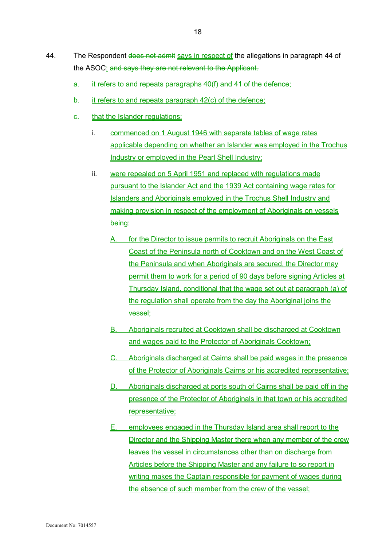- 44. The Respondent does not admit says in respect of the allegations in paragraph 44 of the ASOC: and says they are not relevant to the Applicant.
	- a. it refers to and repeats paragraphs 40(f) and 41 of the defence;
	- b. it refers to and repeats paragraph 42(c) of the defence;
	- c. that the Islander regulations:
		- i. commenced on 1 August 1946 with separate tables of wage rates applicable depending on whether an Islander was employed in the Trochus Industry or employed in the Pearl Shell Industry;
		- ii. were repealed on 5 April 1951 and replaced with regulations made pursuant to the Islander Act and the 1939 Act containing wage rates for Islanders and Aboriginals employed in the Trochus Shell Industry and making provision in respect of the employment of Aboriginals on vessels being:
			- A. for the Director to issue permits to recruit Aboriginals on the East Coast of the Peninsula north of Cooktown and on the West Coast of the Peninsula and when Aboriginals are secured, the Director may permit them to work for a period of 90 days before signing Articles at Thursday Island, conditional that the wage set out at paragraph (a) of the regulation shall operate from the day the Aboriginal joins the vessel;
			- B. Aboriginals recruited at Cooktown shall be discharged at Cooktown and wages paid to the Protector of Aboriginals Cooktown;
			- C. Aboriginals discharged at Cairns shall be paid wages in the presence of the Protector of Aboriginals Cairns or his accredited representative;
			- D. Aboriginals discharged at ports south of Cairns shall be paid off in the presence of the Protector of Aboriginals in that town or his accredited representative;
			- E. employees engaged in the Thursday Island area shall report to the Director and the Shipping Master there when any member of the crew leaves the vessel in circumstances other than on discharge from Articles before the Shipping Master and any failure to so report in writing makes the Captain responsible for payment of wages during the absence of such member from the crew of the vessel;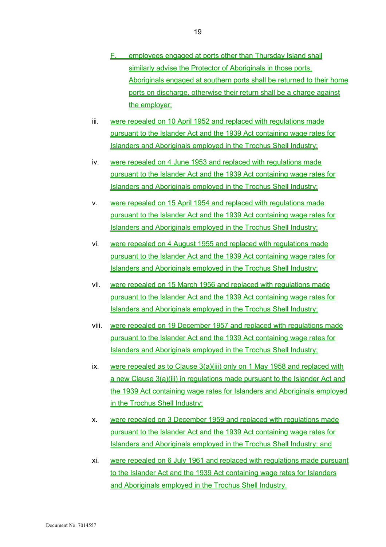- F. employees engaged at ports other than Thursday Island shall similarly advise the Protector of Aboriginals in those ports. Aboriginals engaged at southern ports shall be returned to their home ports on discharge, otherwise their return shall be a charge against the employer;
- iii. were repealed on 10 April 1952 and replaced with regulations made pursuant to the Islander Act and the 1939 Act containing wage rates for Islanders and Aboriginals employed in the Trochus Shell Industry;
- iv. were repealed on 4 June 1953 and replaced with regulations made pursuant to the Islander Act and the 1939 Act containing wage rates for Islanders and Aboriginals employed in the Trochus Shell Industry;
- v. were repealed on 15 April 1954 and replaced with regulations made pursuant to the Islander Act and the 1939 Act containing wage rates for Islanders and Aboriginals employed in the Trochus Shell Industry;
- vi. were repealed on 4 August 1955 and replaced with regulations made pursuant to the Islander Act and the 1939 Act containing wage rates for Islanders and Aboriginals employed in the Trochus Shell Industry;
- vii. were repealed on 15 March 1956 and replaced with regulations made pursuant to the Islander Act and the 1939 Act containing wage rates for Islanders and Aboriginals employed in the Trochus Shell Industry;
- viii. were repealed on 19 December 1957 and replaced with regulations made pursuant to the Islander Act and the 1939 Act containing wage rates for Islanders and Aboriginals employed in the Trochus Shell Industry;
- ix. were repealed as to Clause 3(a)(iii) only on 1 May 1958 and replaced with a new Clause 3(a)(iii) in regulations made pursuant to the Islander Act and the 1939 Act containing wage rates for Islanders and Aboriginals employed in the Trochus Shell Industry;
- x. were repealed on 3 December 1959 and replaced with regulations made pursuant to the Islander Act and the 1939 Act containing wage rates for Islanders and Aboriginals employed in the Trochus Shell Industry; and
- xi. were repealed on 6 July 1961 and replaced with regulations made pursuant to the Islander Act and the 1939 Act containing wage rates for Islanders and Aboriginals employed in the Trochus Shell Industry.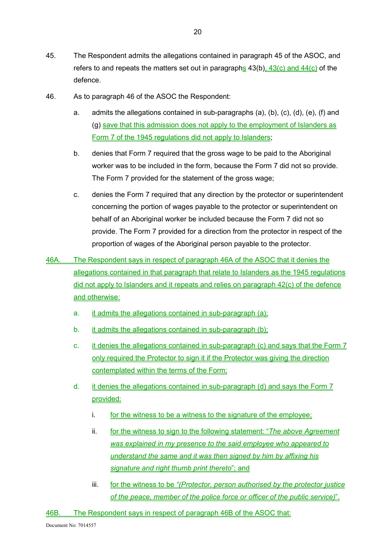- 46. As to paragraph 46 of the ASOC the Respondent:
	- a. admits the allegations contained in sub-paragraphs (a), (b), (c), (d), (e), (f) and (g) save that this admission does not apply to the employment of Islanders as Form 7 of the 1945 regulations did not apply to Islanders;
	- b. denies that Form 7 required that the gross wage to be paid to the Aboriginal worker was to be included in the form, because the Form 7 did not so provide. The Form 7 provided for the statement of the gross wage;
	- c. denies the Form 7 required that any direction by the protector or superintendent concerning the portion of wages payable to the protector or superintendent on behalf of an Aboriginal worker be included because the Form 7 did not so provide. The Form 7 provided for a direction from the protector in respect of the proportion of wages of the Aboriginal person payable to the protector.
- 46A. The Respondent says in respect of paragraph 46A of the ASOC that it denies the allegations contained in that paragraph that relate to Islanders as the 1945 regulations did not apply to Islanders and it repeats and relies on paragraph 42(c) of the defence and otherwise:
	- a. it admits the allegations contained in sub-paragraph (a);
	- b. it admits the allegations contained in sub-paragraph (b);
	- c. it denies the allegations contained in sub-paragraph (c) and says that the Form 7 only required the Protector to sign it if the Protector was giving the direction contemplated within the terms of the Form;
	- d. it denies the allegations contained in sub-paragraph (d) and says the Form 7 provided:
		- i. for the witness to be a witness to the signature of the employee;
		- ii. for the witness to sign to the following statement: "*The above Agreement was explained in my presence to the said employee who appeared to understand the same and it was then signed by him by affixing his signature and right thumb print thereto*"; and
		- iii. for the witness to be *"(Protector, person authorised by the protector justice of the peace, member of the police force or officer of the public service)*".

46B. The Respondent says in respect of paragraph 46B of the ASOC that: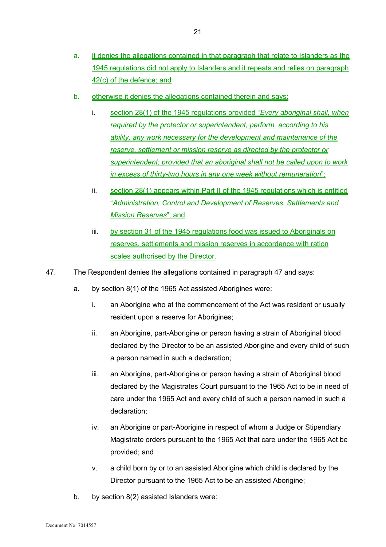- b. otherwise it denies the allegations contained therein and says:
	- i. section 28(1) of the 1945 regulations provided "*Every aboriginal shall, when required by the protector or superintendent, perform, according to his ability, any work necessary for the development and maintenance of the reserve, settlement or mission reserve as directed by the protector or superintendent; provided that an aboriginal shall not be called upon to work in excess of thirty-two hours in any one week without remuneration*";
	- ii. section 28(1) appears within Part II of the 1945 regulations which is entitled "*Administration, Control and Development of Reserves, Settlements and Mission Reserves*"; and
	- iii. by section 31 of the 1945 regulations food was issued to Aboriginals on reserves, settlements and mission reserves in accordance with ration scales authorised by the Director.
- 47. The Respondent denies the allegations contained in paragraph 47 and says:
	- a. by section 8(1) of the 1965 Act assisted Aborigines were:
		- i. an Aborigine who at the commencement of the Act was resident or usually resident upon a reserve for Aborigines;
		- ii. an Aborigine, part-Aborigine or person having a strain of Aboriginal blood declared by the Director to be an assisted Aborigine and every child of such a person named in such a declaration;
		- iii. an Aborigine, part-Aborigine or person having a strain of Aboriginal blood declared by the Magistrates Court pursuant to the 1965 Act to be in need of care under the 1965 Act and every child of such a person named in such a declaration;
		- iv. an Aborigine or part-Aborigine in respect of whom a Judge or Stipendiary Magistrate orders pursuant to the 1965 Act that care under the 1965 Act be provided; and
		- v. a child born by or to an assisted Aborigine which child is declared by the Director pursuant to the 1965 Act to be an assisted Aborigine;
	- b. by section 8(2) assisted Islanders were: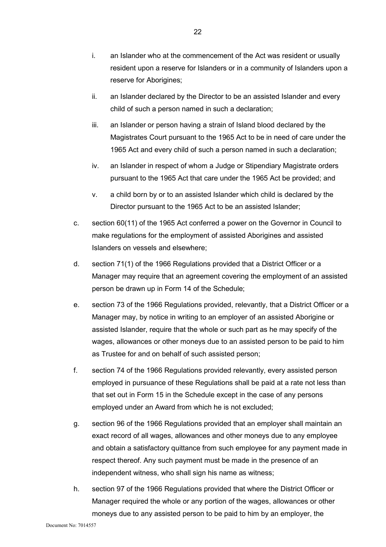- i. an Islander who at the commencement of the Act was resident or usually resident upon a reserve for Islanders or in a community of Islanders upon a reserve for Aborigines;
- ii. an Islander declared by the Director to be an assisted Islander and every child of such a person named in such a declaration;
- iii. an Islander or person having a strain of Island blood declared by the Magistrates Court pursuant to the 1965 Act to be in need of care under the 1965 Act and every child of such a person named in such a declaration;
- iv. an Islander in respect of whom a Judge or Stipendiary Magistrate orders pursuant to the 1965 Act that care under the 1965 Act be provided; and
- v. a child born by or to an assisted Islander which child is declared by the Director pursuant to the 1965 Act to be an assisted Islander;
- c. section 60(11) of the 1965 Act conferred a power on the Governor in Council to make regulations for the employment of assisted Aborigines and assisted Islanders on vessels and elsewhere;
- d. section 71(1) of the 1966 Regulations provided that a District Officer or a Manager may require that an agreement covering the employment of an assisted person be drawn up in Form 14 of the Schedule;
- e. section 73 of the 1966 Regulations provided, relevantly, that a District Officer or a Manager may, by notice in writing to an employer of an assisted Aborigine or assisted Islander, require that the whole or such part as he may specify of the wages, allowances or other moneys due to an assisted person to be paid to him as Trustee for and on behalf of such assisted person;
- f. section 74 of the 1966 Regulations provided relevantly, every assisted person employed in pursuance of these Regulations shall be paid at a rate not less than that set out in Form 15 in the Schedule except in the case of any persons employed under an Award from which he is not excluded;
- g. section 96 of the 1966 Regulations provided that an employer shall maintain an exact record of all wages, allowances and other moneys due to any employee and obtain a satisfactory quittance from such employee for any payment made in respect thereof. Any such payment must be made in the presence of an independent witness, who shall sign his name as witness;
- h. section 97 of the 1966 Regulations provided that where the District Officer or Manager required the whole or any portion of the wages, allowances or other moneys due to any assisted person to be paid to him by an employer, the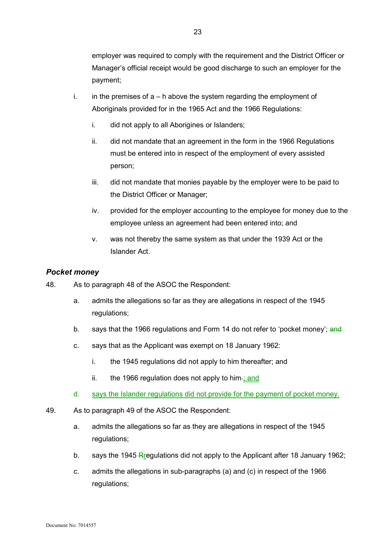employer was required to comply with the requirement and the District Officer or Manager's official receipt would be good discharge to such an employer for the payment;

- i. in the premises of  $a h$  above the system regarding the employment of Aboriginals provided for in the 1965 Act and the 1966 Regulations:
	- i. did not apply to all Aborigines or Islanders;
	- ii. did not mandate that an agreement in the form in the 1966 Regulations must be entered into in respect of the employment of every assisted person;
	- iii. did not mandate that monies payable by the employer were to be paid to the District Officer or Manager;
	- iv. provided for the employer accounting to the employee for money due to the employee unless an agreement had been entered into; and
	- v. was not thereby the same system as that under the 1939 Act or the Islander Act.

#### *Pocket money*

- 48. As to paragraph 48 of the ASOC the Respondent:
	- a. admits the allegations so far as they are allegations in respect of the 1945 regulations;
	- b. says that the 1966 regulations and Form 14 do not refer to 'pocket money'; and
	- c. says that as the Applicant was exempt on 18 January 1962:
		- i. the 1945 regulations did not apply to him thereafter; and
		- ii. the 1966 regulation does not apply to him $\frac{1}{2}$  and
	- d. says the Islander regulations did not provide for the payment of pocket money.
- 49. As to paragraph 49 of the ASOC the Respondent:
	- a. admits the allegations so far as they are allegations in respect of the 1945 regulations;
	- b. says the 1945 Regulations did not apply to the Applicant after 18 January 1962;
	- c. admits the allegations in sub-paragraphs (a) and (c) in respect of the 1966 regulations;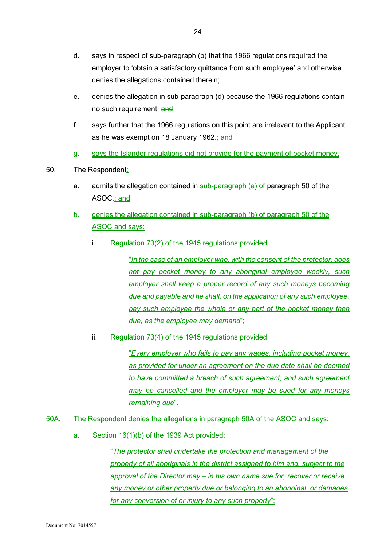- d. says in respect of sub-paragraph (b) that the 1966 regulations required the employer to 'obtain a satisfactory quittance from such employee' and otherwise denies the allegations contained therein;
- e. denies the allegation in sub-paragraph (d) because the 1966 regulations contain no such requirement; and
- f. says further that the 1966 regulations on this point are irrelevant to the Applicant as he was exempt on 18 January 1962-; and
- g. says the Islander regulations did not provide for the payment of pocket money.
- 50. The Respondent:
	- a. admits the allegation contained in sub-paragraph (a) of paragraph 50 of the ASOC.; and
	- b. denies the allegation contained in sub-paragraph (b) of paragraph 50 of the ASOC and says:
		- i. Regulation 73(2) of the 1945 regulations provided:

"*In the case of an employer who, with the consent of the protector, does not pay pocket money to any aboriginal employee weekly, such employer shall keep a proper record of any such moneys becoming due and payable and he shall, on the application of any such employee,*  pay such employee the whole or any part of the pocket money then *due, as the employee may demand*";

ii. Regulation 73(4) of the 1945 regulations provided:

"*Every employer who fails to pay any wages, including pocket money, as provided for under an agreement on the due date shall be deemed to have committed a breach of such agreement, and such agreement may be cancelled and the employer may be sued for any moneys remaining due*".

- 50A. The Respondent denies the allegations in paragraph 50A of the ASOC and says:
	- a. Section 16(1)(b) of the 1939 Act provided:

"*The protector shall undertake the protection and management of the property of all aboriginals in the district assigned to him and, subject to the approval of the Director may – in his own name sue for, recover or receive any money or other property due or belonging to an aboriginal, or damages for any conversion of or injury to any such property*";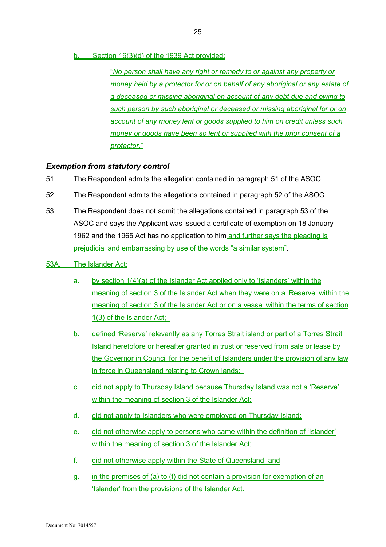b. Section 16(3)(d) of the 1939 Act provided:

"*No person shall have any right or remedy to or against any property or money held by a protector for or on behalf of any aboriginal or any estate of a deceased or missing aboriginal on account of any debt due and owing to such person by such aboriginal or deceased or missing aboriginal for or on account of any money lent or goods supplied to him on credit unless such money or goods have been so lent or supplied with the prior consent of a protector*."

## *Exemption from statutory control*

- 51. The Respondent admits the allegation contained in paragraph 51 of the ASOC.
- 52. The Respondent admits the allegations contained in paragraph 52 of the ASOC.
- 53. The Respondent does not admit the allegations contained in paragraph 53 of the ASOC and says the Applicant was issued a certificate of exemption on 18 January 1962 and the 1965 Act has no application to him and further says the pleading is prejudicial and embarrassing by use of the words "a similar system".
- 53A. The Islander Act:
	- a. by section 1(4)(a) of the Islander Act applied only to 'Islanders' within the meaning of section 3 of the Islander Act when they were on a 'Reserve' within the meaning of section 3 of the Islander Act or on a vessel within the terms of section 1(3) of the Islander Act;
	- b. defined 'Reserve' relevantly as any Torres Strait island or part of a Torres Strait Island heretofore or hereafter granted in trust or reserved from sale or lease by the Governor in Council for the benefit of Islanders under the provision of any law in force in Queensland relating to Crown lands;
	- c. did not apply to Thursday Island because Thursday Island was not a 'Reserve' within the meaning of section 3 of the Islander Act;
	- d. did not apply to Islanders who were employed on Thursday Island;
	- e. did not otherwise apply to persons who came within the definition of 'Islander' within the meaning of section 3 of the Islander Act;
	- f. did not otherwise apply within the State of Queensland; and
	- g. in the premises of (a) to (f) did not contain a provision for exemption of an 'Islander' from the provisions of the Islander Act.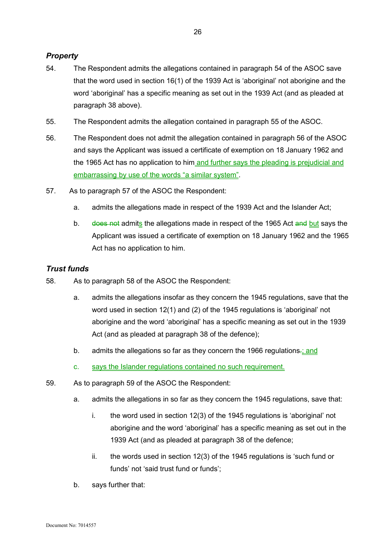## *Property*

- 54. The Respondent admits the allegations contained in paragraph 54 of the ASOC save that the word used in section 16(1) of the 1939 Act is 'aboriginal' not aborigine and the word 'aboriginal' has a specific meaning as set out in the 1939 Act (and as pleaded at paragraph 38 above).
- 55. The Respondent admits the allegation contained in paragraph 55 of the ASOC.
- 56. The Respondent does not admit the allegation contained in paragraph 56 of the ASOC and says the Applicant was issued a certificate of exemption on 18 January 1962 and the 1965 Act has no application to him and further says the pleading is prejudicial and embarrassing by use of the words "a similar system".
- 57. As to paragraph 57 of the ASOC the Respondent:
	- a. admits the allegations made in respect of the 1939 Act and the Islander Act;
	- b. does not admits the allegations made in respect of the 1965 Act and but says the Applicant was issued a certificate of exemption on 18 January 1962 and the 1965 Act has no application to him.

## *Trust funds*

- 58. As to paragraph 58 of the ASOC the Respondent:
	- a. admits the allegations insofar as they concern the 1945 regulations, save that the word used in section 12(1) and (2) of the 1945 regulations is 'aboriginal' not aborigine and the word 'aboriginal' has a specific meaning as set out in the 1939 Act (and as pleaded at paragraph 38 of the defence);
	- b. admits the allegations so far as they concern the 1966 regulations. and
	- c. says the Islander regulations contained no such requirement.
- 59. As to paragraph 59 of the ASOC the Respondent:
	- a. admits the allegations in so far as they concern the 1945 regulations, save that:
		- i. the word used in section 12(3) of the 1945 regulations is 'aboriginal' not aborigine and the word 'aboriginal' has a specific meaning as set out in the 1939 Act (and as pleaded at paragraph 38 of the defence;
		- ii. the words used in section 12(3) of the 1945 regulations is 'such fund or funds' not 'said trust fund or funds';
	- b. says further that: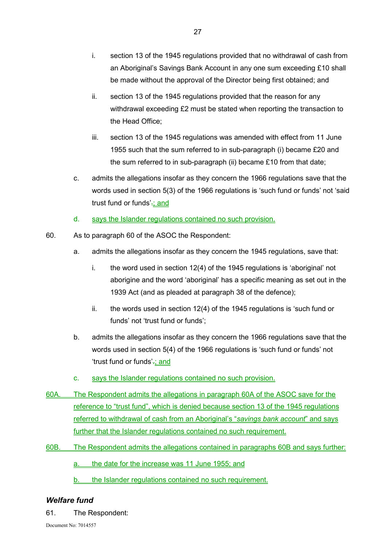- ii. section 13 of the 1945 regulations provided that the reason for any withdrawal exceeding £2 must be stated when reporting the transaction to the Head Office;
- iii. section 13 of the 1945 regulations was amended with effect from 11 June 1955 such that the sum referred to in sub-paragraph (i) became £20 and the sum referred to in sub-paragraph (ii) became £10 from that date;
- c. admits the allegations insofar as they concern the 1966 regulations save that the words used in section 5(3) of the 1966 regulations is 'such fund or funds' not 'said trust fund or funds' $\frac{1}{2}$ ; and
- d. says the Islander regulations contained no such provision.
- 60. As to paragraph 60 of the ASOC the Respondent:
	- a. admits the allegations insofar as they concern the 1945 regulations, save that:
		- i. the word used in section 12(4) of the 1945 regulations is 'aboriginal' not aborigine and the word 'aboriginal' has a specific meaning as set out in the 1939 Act (and as pleaded at paragraph 38 of the defence);
		- ii. the words used in section 12(4) of the 1945 regulations is 'such fund or funds' not 'trust fund or funds';
	- b. admits the allegations insofar as they concern the 1966 regulations save that the words used in section 5(4) of the 1966 regulations is 'such fund or funds' not 'trust fund or funds'.; and
	- c. says the Islander regulations contained no such provision.
- 60A. The Respondent admits the allegations in paragraph 60A of the ASOC save for the reference to "trust fund", which is denied because section 13 of the 1945 regulations referred to withdrawal of cash from an Aboriginal's "*savings bank account*" and says further that the Islander regulations contained no such requirement.
- 60B. The Respondent admits the allegations contained in paragraphs 60B and says further:

a. the date for the increase was 11 June 1955; and

b. the Islander regulations contained no such requirement.

## *Welfare fund*

61. The Respondent: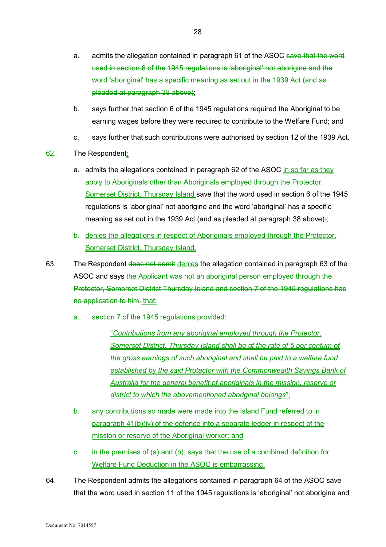- a. admits the allegation contained in paragraph 61 of the ASOC save that the word used in section 6 of the 1945 regulations is 'aboriginal' not aborigine and the word 'aboriginal' has a specific meaning as set out in the 1939 Act (and as pleaded at paragraph 38 above);
- b. says further that section 6 of the 1945 regulations required the Aboriginal to be earning wages before they were required to contribute to the Welfare Fund; and
- c. says further that such contributions were authorised by section 12 of the 1939 Act.
- 62. The Respondent:
	- a. admits the allegations contained in paragraph 62 of the ASOC in so far as they apply to Aboriginals other than Aboriginals employed through the Protector, Somerset District, Thursday Island save that the word used in section 6 of the 1945 regulations is 'aboriginal' not aborigine and the word 'aboriginal' has a specific meaning as set out in the 1939 Act (and as pleaded at paragraph 38 above).
	- b. denies the allegations in respect of Aboriginals employed through the Protector, Somerset District, Thursday Island.
- 63. The Respondent does not admit denies the allegation contained in paragraph 63 of the ASOC and says the Applicant was not an aboriginal person employed through the Protector, Somerset District Thursday Island and section 7 of the 1945 regulations has no application to him. that:
	- a. section 7 of the 1945 regulations provided:

"*Contributions from any aboriginal employed through the Protector, Somerset District, Thursday Island shall be at the rate of 5 per centum of the gross earnings of such aboriginal and shall be paid to a welfare fund established by the said Protector with the Commonwealth Savings Bank of Australia for the general benefit of aboriginals in the mission, reserve or district to which the abovementioned aboriginal belongs*";

- b. any contributions so made were made into the Island Fund referred to in paragraph 41(b)(iv) of the defence into a separate ledger in respect of the mission or reserve of the Aboriginal worker; and
- c. in the premises of (a) and (b), says that the use of a combined definition for Welfare Fund Deduction in the ASOC is embarrassing.
- 64. The Respondent admits the allegations contained in paragraph 64 of the ASOC save that the word used in section 11 of the 1945 regulations is 'aboriginal' not aborigine and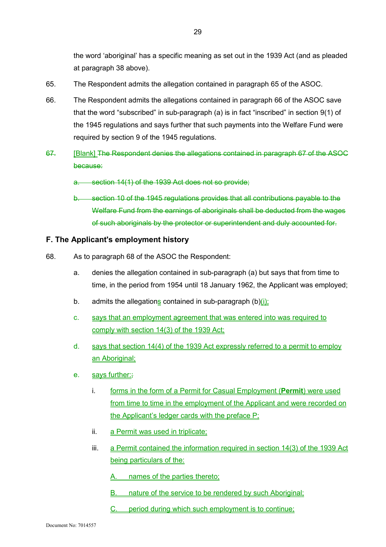the word 'aboriginal' has a specific meaning as set out in the 1939 Act (and as pleaded at paragraph 38 above).

- 65. The Respondent admits the allegation contained in paragraph 65 of the ASOC.
- 66. The Respondent admits the allegations contained in paragraph 66 of the ASOC save that the word "subscribed" in sub-paragraph (a) is in fact "inscribed" in section 9(1) of the 1945 regulations and says further that such payments into the Welfare Fund were required by section 9 of the 1945 regulations.
- 67. [Blank] The Respondent denies the allegations contained in paragraph 67 of the ASOC because:
	- a. section 14(1) of the 1939 Act does not so provide;
	- b. section 10 of the 1945 regulations provides that all contributions payable to the Welfare Fund from the earnings of aboriginals shall be deducted from the wages of such aboriginals by the protector or superintendent and duly accounted for.

#### **F. The Applicant's employment history**

- 68. As to paragraph 68 of the ASOC the Respondent:
	- a. denies the allegation contained in sub-paragraph (a) but says that from time to time, in the period from 1954 until 18 January 1962, the Applicant was employed;
	- b. admits the allegations contained in sub-paragraph  $(b)(i)$ ;
	- c. says that an employment agreement that was entered into was required to comply with section 14(3) of the 1939 Act;
	- d. says that section 14(4) of the 1939 Act expressly referred to a permit to employ an Aboriginal;
	- e. says further:
		- i. forms in the form of a Permit for Casual Employment (**Permit**) were used from time to time in the employment of the Applicant and were recorded on the Applicant's ledger cards with the preface P:
		- ii. a Permit was used in triplicate;
		- iii. a Permit contained the information required in section 14(3) of the 1939 Act being particulars of the:
			- A. names of the parties thereto;
			- B. nature of the service to be rendered by such Aboriginal;
			- C. period during which such employment is to continue;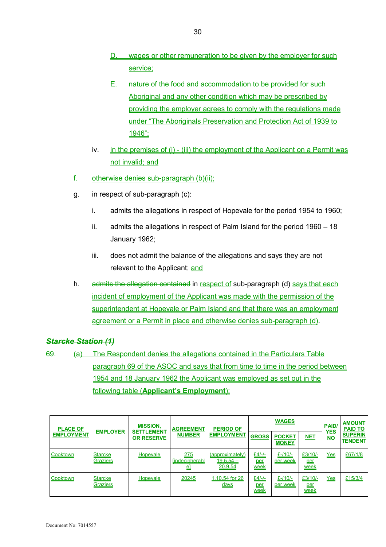- D. wages or other remuneration to be given by the employer for such service;
- E. nature of the food and accommodation to be provided for such Aboriginal and any other condition which may be prescribed by providing the employer agrees to comply with the regulations made under "The Aboriginals Preservation and Protection Act of 1939 to 1946";
- iv. in the premises of (i) (iii) the employment of the Applicant on a Permit was not invalid; and
- f. otherwise denies sub-paragraph (b)(ii);
- g. in respect of sub-paragraph (c):
	- i. admits the allegations in respect of Hopevale for the period 1954 to 1960;
	- ii. admits the allegations in respect of Palm Island for the period 1960 18 January 1962;
	- iii. does not admit the balance of the allegations and says they are not relevant to the Applicant; and
- h. admits the allegation contained in respect of sub-paragraph (d) says that each incident of employment of the Applicant was made with the permission of the superintendent at Hopevale or Palm Island and that there was an employment agreement or a Permit in place and otherwise denies sub-paragraph (d).

# *Starcke Station (1)*

69. (a) The Respondent denies the allegations contained in the Particulars Table paragraph 69 of the ASOC and says that from time to time in the period between 1954 and 18 January 1962 the Applicant was employed as set out in the following table (**Applicant's Employment**):

| <b>PLACE OF</b><br><b>EMPLOYMENT</b> | <b>EMPLOYER</b>            | <b>MISSION.</b><br><b>SETTLEMENT</b><br><b>OR RESERVE</b> | <b>AGREEMENT</b><br><b>NUMBER</b> | <b>PERIOD OF</b><br><b>EMPLOYMENT</b>     | <b>WAGES</b>                        |                               |                                        |                  | <b>AMOUNT</b><br><b>PAID TO</b>  |
|--------------------------------------|----------------------------|-----------------------------------------------------------|-----------------------------------|-------------------------------------------|-------------------------------------|-------------------------------|----------------------------------------|------------------|----------------------------------|
|                                      |                            |                                                           |                                   |                                           | <b>GROSS</b>                        | <b>POCKET</b><br><b>MONEY</b> | <b>NET</b>                             | NO <sub>NO</sub> | <b>SUPERIN</b><br><b>TENDENT</b> |
| Cooktown                             | <b>Starcke</b><br>Graziers | Hopevale                                                  | 275<br><b>Indecipherabl</b><br>힄  | (approximately)<br>$19.5.54 -$<br>20.9.54 | $£4/-/=$<br><u>per</u><br>week      | £ $-110/-$<br>per week        | $£3/10/-$<br><u>per</u><br><u>week</u> | Yes              | £67/1/8                          |
| Cooktown                             | <b>Starcke</b><br>Graziers | Hopevale                                                  | 20245                             | 1.10.54 for 26<br><u>days</u>             | <u>£4/-/-</u><br>per<br><u>week</u> | £ $-110/-$<br>per week        | $£3/10/-$<br>per<br>week               | $Yes$            | £15/3/4                          |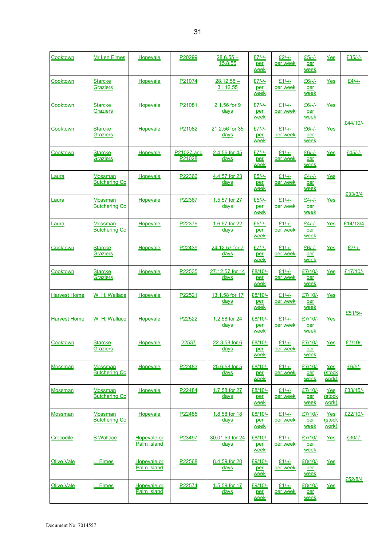| Cooktown            | <b>Mr Len Elmes</b>                    | Hopevale                   | P20299               | $28.6.55 -$<br><u>15.8.55</u>  | <u>£7/-/-</u><br>per<br>week   | $£2/-/2$<br>per week        | <u>£5/-/-</u><br>per<br>week   | Yes                    | £35/-/-  |
|---------------------|----------------------------------------|----------------------------|----------------------|--------------------------------|--------------------------------|-----------------------------|--------------------------------|------------------------|----------|
| Cooktown            | <b>Starcke</b><br>Graziers             | Hopevale                   | P21074               | $28.12.55 -$<br>31.12.55       | $£7/-/–$<br>per<br>week        | $£1/-/-$<br>per week        | $£6/-/–$<br>per<br>week        | Yes                    | $£4/-/-$ |
| Cooktown            | <b>Starcke</b><br>Graziers             | Hopevale                   | P21081               | 2.1.56 for 9<br><u>days</u>    | $E7/-/$<br>per<br>week         | $£1/-/$<br>per week         | £6/-/-<br>per<br>week          | Yes                    |          |
| Cooktown            | <b>Starcke</b><br><b>Graziers</b>      | Hopevale                   | P21082               | 21.2.56 for 35<br>days         | $£7/-/–$<br>per<br><u>week</u> | $£1/-/[-]$<br>per week      | $£6/-/–$<br>per<br><u>week</u> | Yes                    | £44/10/- |
| Cooktown            | <b>Starcke</b><br>Graziers             | Hopevale                   | P21027 and<br>P21028 | 2.4.56 for 45<br><u>days</u>   | $£7/-/$<br>per<br>week         | $£1/-/$<br>per week         | $£6/-/=$<br>per<br>week        | Yes                    | £45/-/-  |
| <u>Laura</u>        | <b>Mossman</b><br><b>Butchering Co</b> | <b>Hopevale</b>            | P22366               | 4.4.57 for 23<br>days          | £5/-/-<br>per<br>week          | $£1/-/-$<br>per week        | £4/-/-<br>per<br>week          | Yes                    |          |
| <u>Laura</u>        | Mossman<br><b>Butchering Co</b>        | Hopevale                   | P22367               | 1.5.57 for 27<br>days          | $£5/-/$<br>per<br>week         | $£1/-/$<br>per week         | $£4/-/=$<br>per<br>week        | Yes                    | £33/3/4  |
| Laura               | Mossman<br><b>Butchering Co</b>        | Hopevale                   | P22379               | 1.6.57 for 22<br><u>days</u>   | $£5/-/$<br>per<br>week         | $£1/-/2$<br><u>per week</u> | $£4/-/=$<br>per<br>week        | Yes                    | £14/13/4 |
| Cooktown            | <b>Starcke</b><br>Graziers             | <b>Hopevale</b>            | P22439               | 24.12.57 for 7<br>days         | $£7/-/-.$<br>per<br>week       | $£1/-/-$<br>per week        | $£6/-/$<br>per<br>week         | Yes                    | $£7/-/$  |
| Cooktown            | <b>Starcke</b><br><b>Graziers</b>      | Hopevale                   | P22535               | 27.12.57 for 14<br><u>days</u> | £8/10/-<br>per<br>week         | $£1/-/=$<br>per week        | £7/10/-<br>per<br>week         | Yes                    | £17/10/- |
| <b>Harvest Home</b> | W. H. Wallace                          | Hopevale                   | P22521               | 13.1.58 for 17<br>days         | £8/10/-<br>per<br>week         | $£1/-/$<br>per week         | £7/10/-<br>per<br>week         | Yes                    |          |
| <b>Harvest Home</b> | W. H. Wallace                          | Hopevale                   | P22522               | 1.2.58 for 24<br>days          | £8/10/-<br>per<br><u>week</u>  | $£1/-/$<br>per week         | £7/10/-<br>per<br><u>week</u>  | Yes                    | £51/5/-  |
| Cooktown            | <b>Starcke</b><br>Graziers             | Hopevale                   | <u> 22537 </u>       | 22.3.58 for 6<br><u>days</u>   | £8/10/-<br>per<br>week         | $£1/-$<br>per week          | £7/10/-<br>per<br>week         | $Yes$                  | £7/10/-  |
| Mossman             | <b>Mossman</b><br><b>Butchering Co</b> | Hopevale                   | P22483               | 25.6.58 for 5<br>days          | £8/10/-<br>per<br>week         | $£1/-/-$<br>per week        | £7/10/-<br>per<br>week         | Yes<br>(stock<br>work) | £6/5/-   |
| <b>Mossman</b>      | Mossman<br><b>Butchering Co</b>        | Hopevale                   | P22484               | 1.7.58 for 27<br>days          | £8/10/-<br>per<br><u>week</u>  | $£1/-/$<br>per week         | £7/10/-<br>per<br><u>week</u>  | Yes<br>(stock<br>work) | £33/15/- |
| <b>Mossman</b>      | Mossman<br><b>Butchering Co</b>        | Hopevale                   | P22485               | 1.8.58 for 18<br><u>days</u>   | <u>£8/10/-</u><br>per<br>week  | £1/-/-<br>per week          | £7/10/-<br>per<br>week         | Yes<br>(stock<br>work) | £22/10/- |
| Crocodile           | <b>B</b> Wallace                       | Hopevale or<br>Palm Island | P23497               | 30.01.59 for 24<br>days        | £8/10/-<br>per<br>week         | $£1/-/-$<br>per week        | £7/10/-<br>per<br>week         | <u>Yes</u>             | £30/-/-  |
| <b>Olive Vale</b>   | L. Elmes                               | Hopevale or<br>Palm Island | P22568               | 8.4.59 for 20<br>days          | £9/10/-<br>per<br>week         | $£1/-/$<br>per week         | £8/10/-<br>per<br>week         | Yes                    |          |
| <b>Olive Vale</b>   | <b>Elmes</b>                           | Hopevale or<br>Palm Island | P22574               | 1.5.59 for 17<br><u>days</u>   | £9/10/-<br>per<br>week         | $£1/-/=$<br><u>per week</u> | £8/10/-<br>per<br>week         | Yes                    | £52/8/4  |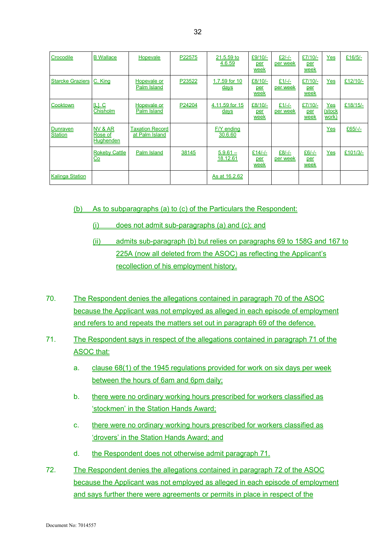| Crocodile                  | <b>B</b> Wallace                                  | <b>Hopevale</b>                          | P22575 | 21.5.59 to<br>4.6.59         | £9/10/-<br>per<br>week | $£2/-/-$<br>per week | $£7/10/-$<br>per<br>week | Yes                    | £16/5/   |
|----------------------------|---------------------------------------------------|------------------------------------------|--------|------------------------------|------------------------|----------------------|--------------------------|------------------------|----------|
| <b>Starcke Graziers</b>    | C. King                                           | Hopevale or<br>Palm Island               | P23522 | 1.7.59 for 10<br><u>days</u> | £8/10/-<br>per<br>week | $£1/-/-$<br>per week | $£7/10/-$<br>per<br>week | Yes                    | £12/10/- |
| Cooktown                   | L1.C<br>Chisholm                                  | Hopevale or<br>Palm Island               | P24204 | 4.11.59 for 15<br>days       | £8/10/-<br>per<br>week | $£1/-/$<br>per week  | £7/10/-<br>per<br>week   | Yes<br>(stock<br>work) | £18/15/- |
| Dunraven<br><b>Station</b> | NV & AR<br>Rose of<br>Hughenden                   | <b>Taxation Record</b><br>at Palm Island |        | F/Y ending<br>30.6.60        |                        |                      |                          | Yes                    | £65/-/-  |
|                            | <b>Rokeby Cattle</b><br>$\underline{\mathsf{Co}}$ | Palm Island                              | 38145  | $5.9.61 -$<br>18.12.61       | $£14/-$<br>per<br>week | $£8/-/$<br>per week  | $£6/-/$<br>per<br>week   | Yes                    | £101/3/- |
| <b>Kalinga Station</b>     |                                                   |                                          |        | As at 16.2.62                |                        |                      |                          |                        |          |

(b) As to subparagraphs (a) to (c) of the Particulars the Respondent:

- (i) does not admit sub-paragraphs (a) and (c); and
- (ii) admits sub-paragraph (b) but relies on paragraphs 69 to 158G and 167 to 225A (now all deleted from the ASOC) as reflecting the Applicant's recollection of his employment history.
- 70. The Respondent denies the allegations contained in paragraph 70 of the ASOC because the Applicant was not employed as alleged in each episode of employment and refers to and repeats the matters set out in paragraph 69 of the defence.
- 71. The Respondent says in respect of the allegations contained in paragraph 71 of the ASOC that:
	- a. clause 68(1) of the 1945 regulations provided for work on six days per week between the hours of 6am and 6pm daily;
	- b. there were no ordinary working hours prescribed for workers classified as 'stockmen' in the Station Hands Award;
	- c. there were no ordinary working hours prescribed for workers classified as 'drovers' in the Station Hands Award; and
	- d. the Respondent does not otherwise admit paragraph 71.
- 72. The Respondent denies the allegations contained in paragraph 72 of the ASOC because the Applicant was not employed as alleged in each episode of employment and says further there were agreements or permits in place in respect of the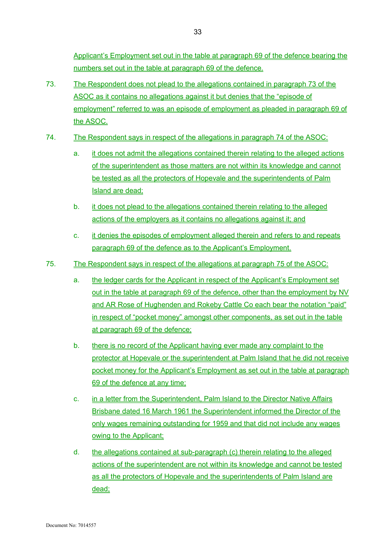Applicant's Employment set out in the table at paragraph 69 of the defence bearing the numbers set out in the table at paragraph 69 of the defence.

- 73. The Respondent does not plead to the allegations contained in paragraph 73 of the ASOC as it contains no allegations against it but denies that the "episode of employment" referred to was an episode of employment as pleaded in paragraph 69 of the ASOC.
- 74. The Respondent says in respect of the allegations in paragraph 74 of the ASOC:
	- a. it does not admit the allegations contained therein relating to the alleged actions of the superintendent as those matters are not within its knowledge and cannot be tested as all the protectors of Hopevale and the superintendents of Palm Island are dead;
	- b. it does not plead to the allegations contained therein relating to the alleged actions of the employers as it contains no allegations against it; and
	- c. it denies the episodes of employment alleged therein and refers to and repeats paragraph 69 of the defence as to the Applicant's Employment.
- 75. The Respondent says in respect of the allegations at paragraph 75 of the ASOC:
	- a. the ledger cards for the Applicant in respect of the Applicant's Employment set out in the table at paragraph 69 of the defence, other than the employment by NV and AR Rose of Hughenden and Rokeby Cattle Co each bear the notation "paid" in respect of "pocket money" amongst other components, as set out in the table at paragraph 69 of the defence;
	- b. there is no record of the Applicant having ever made any complaint to the protector at Hopevale or the superintendent at Palm Island that he did not receive pocket money for the Applicant's Employment as set out in the table at paragraph 69 of the defence at any time;
	- c. in a letter from the Superintendent, Palm Island to the Director Native Affairs Brisbane dated 16 March 1961 the Superintendent informed the Director of the only wages remaining outstanding for 1959 and that did not include any wages owing to the Applicant;
	- d. the allegations contained at sub-paragraph (c) therein relating to the alleged actions of the superintendent are not within its knowledge and cannot be tested as all the protectors of Hopevale and the superintendents of Palm Island are dead;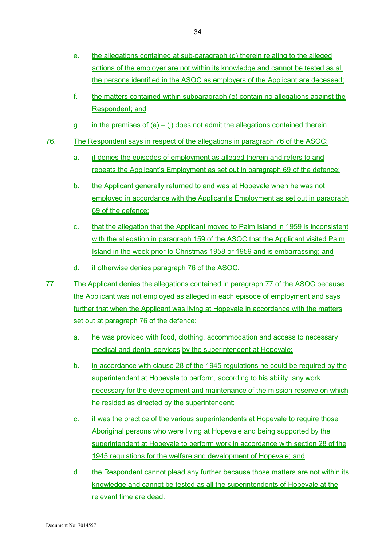- e. the allegations contained at sub-paragraph (d) therein relating to the alleged actions of the employer are not within its knowledge and cannot be tested as all the persons identified in the ASOC as employers of the Applicant are deceased;
- f. the matters contained within subparagraph (e) contain no allegations against the Respondent; and
- g. in the premises of  $(a) (i)$  does not admit the allegations contained therein.
- 76. The Respondent says in respect of the allegations in paragraph 76 of the ASOC:
	- a. it denies the episodes of employment as alleged therein and refers to and repeats the Applicant's Employment as set out in paragraph 69 of the defence;
	- b. the Applicant generally returned to and was at Hopevale when he was not employed in accordance with the Applicant's Employment as set out in paragraph 69 of the defence;
	- c. that the allegation that the Applicant moved to Palm Island in 1959 is inconsistent with the allegation in paragraph 159 of the ASOC that the Applicant visited Palm Island in the week prior to Christmas 1958 or 1959 and is embarrassing; and
	- d. it otherwise denies paragraph 76 of the ASOC.
- 77. The Applicant denies the allegations contained in paragraph 77 of the ASOC because the Applicant was not employed as alleged in each episode of employment and says further that when the Applicant was living at Hopevale in accordance with the matters set out at paragraph 76 of the defence:
	- a. he was provided with food, clothing, accommodation and access to necessary medical and dental services by the superintendent at Hopevale;
	- b. in accordance with clause 28 of the 1945 regulations he could be required by the superintendent at Hopevale to perform, according to his ability, any work necessary for the development and maintenance of the mission reserve on which he resided as directed by the superintendent;
	- c. it was the practice of the various superintendents at Hopevale to require those Aboriginal persons who were living at Hopevale and being supported by the superintendent at Hopevale to perform work in accordance with section 28 of the 1945 regulations for the welfare and development of Hopevale; and
	- d. the Respondent cannot plead any further because those matters are not within its knowledge and cannot be tested as all the superintendents of Hopevale at the relevant time are dead.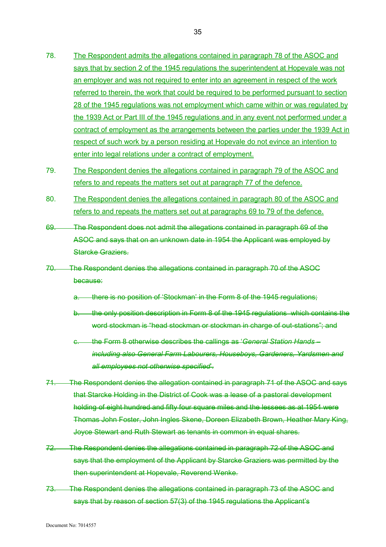- 78. The Respondent admits the allegations contained in paragraph 78 of the ASOC and says that by section 2 of the 1945 regulations the superintendent at Hopevale was not an employer and was not required to enter into an agreement in respect of the work referred to therein, the work that could be required to be performed pursuant to section 28 of the 1945 regulations was not employment which came within or was regulated by the 1939 Act or Part III of the 1945 regulations and in any event not performed under a contract of employment as the arrangements between the parties under the 1939 Act in respect of such work by a person residing at Hopevale do not evince an intention to enter into legal relations under a contract of employment.
- 79. The Respondent denies the allegations contained in paragraph 79 of the ASOC and refers to and repeats the matters set out at paragraph 77 of the defence.
- 80. The Respondent denies the allegations contained in paragraph 80 of the ASOC and refers to and repeats the matters set out at paragraphs 69 to 79 of the defence.
- 69. The Respondent does not admit the allegations contained in paragraph 69 of the ASOC and says that on an unknown date in 1954 the Applicant was employed by Starcke Graziers.
- 70. The Respondent denies the allegations contained in paragraph 70 of the ASOC because:
	- there is no position of 'Stockman' in the Form 8 of the 1945 regulations;
	- b. the only position description in Form 8 of the 1945 regulations which contains the word stockman is "head stockman or stockman in charge of out-stations"; and
	- c. the Form 8 otherwise describes the callings as '*General Station Hands including also General Farm Labourers, Houseboys, Gardeners, Yardsmen and all employees not otherwise specified*'.
- 71. The Respondent denies the allegation contained in paragraph 71 of the ASOC and says that Starcke Holding in the District of Cook was a lease of a pastoral development holding of eight hundred and fifty four square miles and the lessees as at 1954 were Thomas John Foster, John Ingles Skene, Doreen Elizabeth Brown, Heather Mary King, Joyce Stewart and Ruth Stewart as tenants in common in equal shares.
- 72. The Respondent denies the allegations contained in paragraph 72 of the ASOC and says that the employment of the Applicant by Starcke Graziers was permitted by the then superintendent at Hopevale, Reverend Wenke.
- 73. The Respondent denies the allegations contained in paragraph 73 of the ASOC and says that by reason of section 57(3) of the 1945 regulations the Applicant's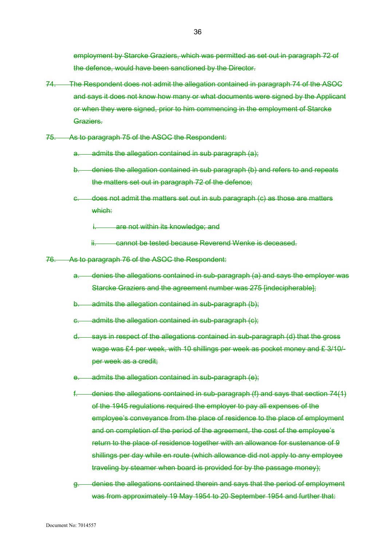employment by Starcke Graziers, which was permitted as set out in paragraph 72 of the defence, would have been sanctioned by the Director.

- 74. The Respondent does not admit the allegation contained in paragraph 74 of the ASOC and says it does not know how many or what documents were signed by the Applicant or when they were signed, prior to him commencing in the employment of Starcke Graziers.
- 75. As to paragraph 75 of the ASOC the Respondent:
	- a. admits the allegation contained in sub paragraph (a):
	- b. denies the allegation contained in sub paragraph (b) and refers to and repeats the matters set out in paragraph 72 of the defence;
	- c. does not admit the matters set out in sub paragraph (c) as those are matters which:
		- i. are not within its knowledge; and
		- ii. cannot be tested because Reverend Wenke is deceased.
- 76. As to paragraph 76 of the ASOC the Respondent:
	- a. denies the allegations contained in sub-paragraph (a) and says the employer was Starcke Graziers and the agreement number was 275 [indecipherable];
	- b. admits the allegation contained in sub-paragraph (b);
	- c. admits the allegation contained in sub-paragraph (c);
	- d. says in respect of the allegations contained in sub-paragraph (d) that the gross wage was £4 per week, with 10 shillings per week as pocket money and £ 3/10/ per week as a credit;
	- admits the allegation contained in sub-paragraph (e);
	- f. denies the allegations contained in sub-paragraph (f) and says that section 74(1) of the 1945 regulations required the employer to pay all expenses of the employee's conveyance from the place of residence to the place of employment and on completion of the period of the agreement, the cost of the employee's return to the place of residence together with an allowance for sustenance of 9 shillings per day while en route (which allowance did not apply to any employee traveling by steamer when board is provided for by the passage money);
	- g. denies the allegations contained therein and says that the period of employment was from approximately 19 May 1954 to 20 September 1954 and further that: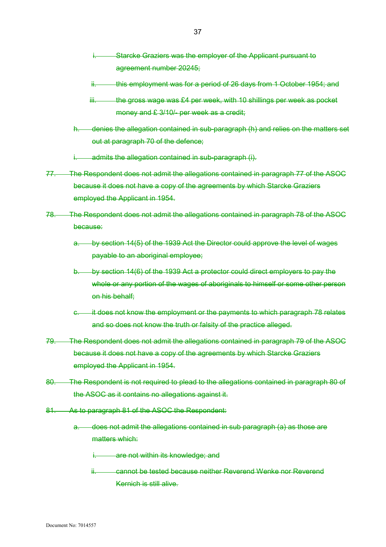- Starcke Graziers was the employer of the Applicant pursuant to agreement number 20245;
- this employment was for a period of 26 days from 1 October 1954; and
- iii. the gross wage was £4 per week, with 10 shillings per week as pocket money and £ 3/10/- per week as a credit:
- h. denies the allegation contained in sub-paragraph (h) and relies on the matters set out at paragraph 70 of the defence;
- admits the allegation contained in sub-paragraph (i).
- 77. The Respondent does not admit the allegations contained in paragraph 77 of the ASOC because it does not have a copy of the agreements by which Starcke Graziers employed the Applicant in 1954.
- 78. The Respondent does not admit the allegations contained in paragraph 78 of the ASOC because:
	- a. by section 14(5) of the 1939 Act the Director could approve the level of wages payable to an aboriginal employee;
	- b. by section 14(6) of the 1939 Act a protector could direct employers to pay the whole or any portion of the wages of aboriginals to himself or some other person on his behalf;
	- it does not know the employment or the payments to which paragraph 78 relates and so does not know the truth or falsity of the practice alleged.
- 79. The Respondent does not admit the allegations contained in paragraph 79 of the ASOC because it does not have a copy of the agreements by which Starcke Graziers employed the Applicant in 1954.
- 80. The Respondent is not required to plead to the allegations contained in paragraph 80 of the ASOC as it contains no allegations against it.
- 81. As to paragraph 81 of the ASOC the Respondent:
	- a. does not admit the allegations contained in sub paragraph (a) as those are matters which:
		- i. are not within its knowledge; and
		- ii. cannot be tested because neither Reverend Wenke nor Reverend Kernich is still alive.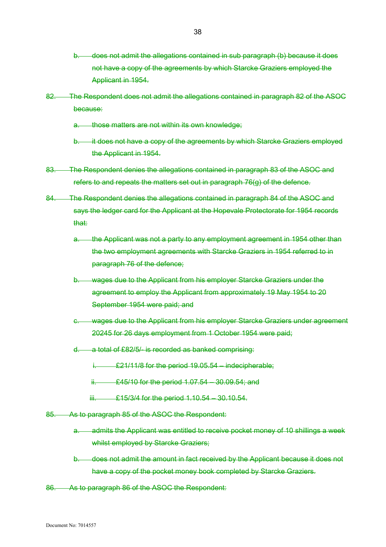- b. does not admit the allegations contained in sub paragraph (b) because it does not have a copy of the agreements by which Starcke Graziers employed the Applicant in 1954.
- 82. The Respondent does not admit the allegations contained in paragraph 82 of the ASOC because:
	- a. those matters are not within its own knowledge;
	- b. it does not have a copy of the agreements by which Starcke Graziers employed the Applicant in 1954.
- 83. The Respondent denies the allegations contained in paragraph 83 of the ASOC and refers to and repeats the matters set out in paragraph 76(g) of the defence.
- 84. The Respondent denies the allegations contained in paragraph 84 of the ASOC and says the ledger card for the Applicant at the Hopevale Protectorate for 1954 records that:
	- the Applicant was not a party to any employment agreement in 1954 other than the two employment agreements with Starcke Graziers in 1954 referred to in paragraph 76 of the defence;
	- b. wages due to the Applicant from his employer Starcke Graziers under the agreement to employ the Applicant from approximately 19 May 1954 to 20 September 1954 were paid; and
	- c. wages due to the Applicant from his employer Starcke Graziers under agreement 20245 for 26 days employment from 1 October 1954 were paid;
	- d. a total of £82/5/- is recorded as banked comprising:
		- i.  $£21/11/8$  for the period  $19.05.54$  indecipherable;
		- ii.  $£45/10$  for the period  $1.07.54 30.09.54$ ; and
		- iii. E15/3/4 for the period 1.10.54 30.10.54.
- 85. As to paragraph 85 of the ASOC the Respondent:
	- a. admits the Applicant was entitled to receive pocket money of 10 shillings a week whilst employed by Starcke Graziers;
	- b. does not admit the amount in fact received by the Applicant because it does not have a copy of the pocket money book completed by Starcke Graziers.
- 86. As to paragraph 86 of the ASOC the Respondent: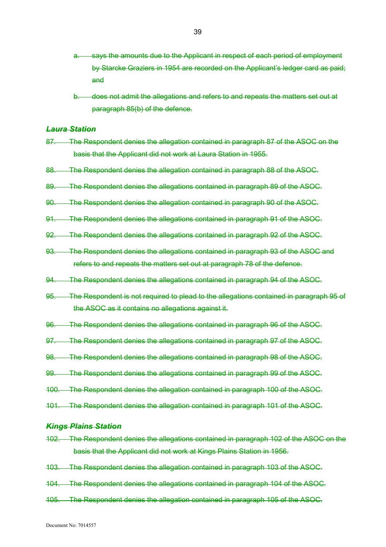- says the amounts due to the Applicant in respect of each period of employment by Starcke Graziers in 1954 are recorded on the Applicant's ledger card as paid; and
- b. does not admit the allegations and refers to and repeats the matters set out at paragraph 85(b) of the defence.

#### *Laura Station*

- 87. The Respondent denies the allegation contained in paragraph 87 of the ASOC on the basis that the Applicant did not work at Laura Station in 1955.
- 88. The Respondent denies the allegation contained in paragraph 88 of the ASOC.
- 89. The Respondent denies the allegations contained in paragraph 89 of the ASOC.
- 90. The Respondent denies the allegation contained in paragraph 90 of the ASOC.
- 91. The Respondent denies the allegations contained in paragraph 91 of the ASOC.
- 92. The Respondent denies the allegations contained in paragraph 92 of the ASOC.
- 93. The Respondent denies the allegations contained in paragraph 93 of the ASOC and refers to and repeats the matters set out at paragraph 78 of the defence.
- 94. The Respondent denies the allegations contained in paragraph 94 of the ASOC.
- 95. The Respondent is not required to plead to the allegations contained in paragraph 95 of the ASOC as it contains no allegations against it.
- 96. The Respondent denies the allegations contained in paragraph 96 of the ASOC.
- 97. The Respondent denies the allegations contained in paragraph 97 of the ASOC.
- 98. The Respondent denies the allegations contained in paragraph 98 of the ASOC.
- 99. The Respondent denies the allegations contained in paragraph 99 of the ASOC.
- 100. The Respondent denies the allegation contained in paragraph 100 of the ASOC.
- 101. The Respondent denies the allegation contained in paragraph 101 of the ASOC.

#### *Kings Plains Station*

- 102. The Respondent denies the allegations contained in paragraph 102 of the ASOC on the basis that the Applicant did not work at Kings Plains Station in 1956.
- 103. The Respondent denies the allegation contained in paragraph 103 of the ASOC.
- 104. The Respondent denies the allegations contained in paragraph 104 of the ASOC.
- 105. The Respondent denies the allegation contained in paragraph 105 of the ASOC.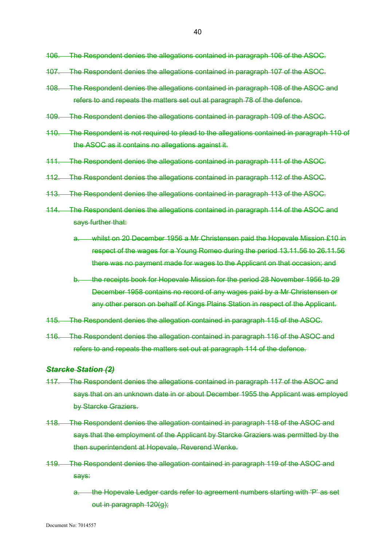- 106. The Respondent denies the allegations contained in paragraph 106 of the ASOC.
- 107. The Respondent denies the allegations contained in paragraph 107 of the ASOC.
- 108. The Respondent denies the allegations contained in paragraph 108 of the ASOC and refers to and repeats the matters set out at paragraph 78 of the defence.
- 109. The Respondent denies the allegations contained in paragraph 109 of the ASOC.
- 110. The Respondent is not required to plead to the allegations contained in paragraph 110 of the ASOC as it contains no allegations against it.
- 111. The Respondent denies the allegations contained in paragraph 111 of the ASOC.
- 112. The Respondent denies the allegations contained in paragraph 112 of the ASOC.
- 113. The Respondent denies the allegations contained in paragraph 113 of the ASOC.
- 114. The Respondent denies the allegations contained in paragraph 114 of the ASOC and says further that:
	- a. whilst on 20 December 1956 a Mr Christensen paid the Hopevale Mission £10 in respect of the wages for a Young Romeo during the period 13.11.56 to 26.11.56 there was no payment made for wages to the Applicant on that occasion; and
	- b. the receipts book for Hopevale Mission for the period 28 November 1956 to 29 December 1958 contains no record of any wages paid by a Mr Christensen or any other person on behalf of Kings Plains Station in respect of the Applicant.
- 115. The Respondent denies the allegation contained in paragraph 115 of the ASOC.
- 116. The Respondent denies the allegation contained in paragraph 116 of the ASOC and refers to and repeats the matters set out at paragraph 114 of the defence.

#### *Starcke Station (2)*

- 117. The Respondent denies the allegations contained in paragraph 117 of the ASOC and says that on an unknown date in or about December 1955 the Applicant was employed by Starcke Graziers.
- 118. The Respondent denies the allegation contained in paragraph 118 of the ASOC and says that the employment of the Applicant by Starcke Graziers was permitted by the then superintendent at Hopevale, Reverend Wenke.
- 119. The Respondent denies the allegation contained in paragraph 119 of the ASOC and says:
	- a. the Hopevale Ledger cards refer to agreement numbers starting with 'P' as set out in paragraph 120(g);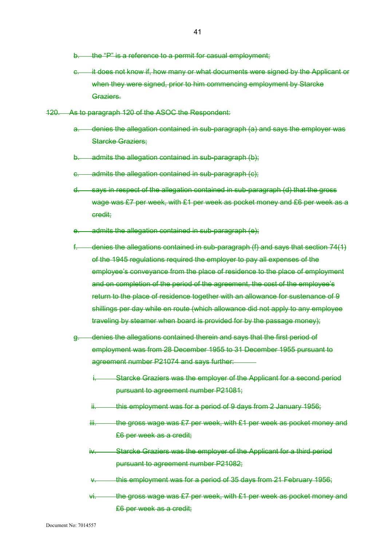- b. the "P" is a reference to a permit for casual employment;
- e. it does not know if, how many or what documents were signed by the Applicant or when they were signed, prior to him commencing employment by Starcke Graziers.
- 120. As to paragraph 120 of the ASOC the Respondent:
	- a. denies the allegation contained in sub-paragraph (a) and says the employer was Starcke Graziers;
	- b. admits the allegation contained in sub-paragraph (b);
	- c. admits the allegation contained in sub-paragraph (c);
	- d. says in respect of the allegation contained in sub-paragraph (d) that the gross wage was £7 per week, with £1 per week as pocket money and £6 per week as a credit;
	- e. admits the allegation contained in sub-paragraph (e);
	- f. denies the allegations contained in sub-paragraph (f) and says that section 74(1) of the 1945 regulations required the employer to pay all expenses of the employee's conveyance from the place of residence to the place of employment and on completion of the period of the agreement, the cost of the employee's return to the place of residence together with an allowance for sustenance of 9 shillings per day while en route (which allowance did not apply to any employee traveling by steamer when board is provided for by the passage money);
	- g. denies the allegations contained therein and says that the first period of employment was from 28 December 1955 to 31 December 1955 pursuant to agreement number P21074 and says further:
		- Starcke Graziers was the employer of the Applicant for a second period pursuant to agreement number P21081;
		- ii. this employment was for a period of 9 days from 2 January 1956;
		- $iii.$  the gross wage was £7 per week, with £1 per week as pocket money and £6 per week as a credit;
		- iv. Starcke Graziers was the employer of the Applicant for a third period pursuant to agreement number P21082;
		- this employment was for a period of 35 days from 21 February 1956;
		- $vi.$  the gross wage was £7 per week, with £1 per week as pocket money and £6 per week as a credit;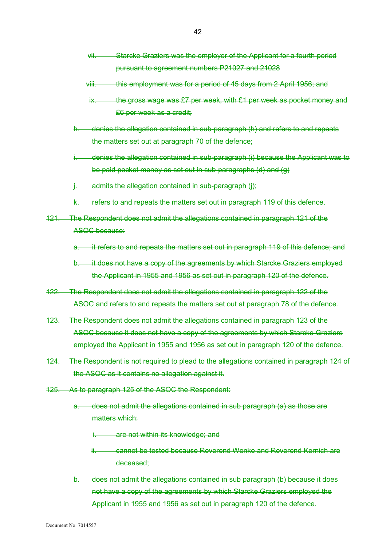- vii. Starcke Graziers was the employer of the Applicant for a fourth period pursuant to agreement numbers P21027 and 21028
- viii. this employment was for a period of 45 days from 2 April 1956; and
- ix. the gross wage was  $£7$  per week, with  $£1$  per week as pocket money and £6 per week as a credit;
- denies the allegation contained in sub-paragraph (h) and refers to and repeats the matters set out at paragraph 70 of the defence;
- i. denies the allegation contained in sub-paragraph (i) because the Applicant was to be paid pocket money as set out in sub-paragraphs (d) and (g)
- admits the allegation contained in sub-paragraph (i);
- k. refers to and repeats the matters set out in paragraph 119 of this defence.
- 121. The Respondent does not admit the allegations contained in paragraph 121 of the ASOC because:
	- a. it refers to and repeats the matters set out in paragraph 119 of this defence; and
	- b. it does not have a copy of the agreements by which Starcke Graziers employed the Applicant in 1955 and 1956 as set out in paragraph 120 of the defence.
- 122. The Respondent does not admit the allegations contained in paragraph 122 of the ASOC and refers to and repeats the matters set out at paragraph 78 of the defence.
- 123. The Respondent does not admit the allegations contained in paragraph 123 of the ASOC because it does not have a copy of the agreements by which Starcke Graziers employed the Applicant in 1955 and 1956 as set out in paragraph 120 of the defence.
- 124. The Respondent is not required to plead to the allegations contained in paragraph 124 of the ASOC as it contains no allegation against it.
- 125. As to paragraph 125 of the ASOC the Respondent:
	- a. does not admit the allegations contained in sub paragraph (a) as those are matters which:
		- i. are not within its knowledge; and
		- ii. cannot be tested because Reverend Wenke and Reverend Kernich are deceased;
	- b. does not admit the allegations contained in sub paragraph (b) because it does not have a copy of the agreements by which Starcke Graziers employed the Applicant in 1955 and 1956 as set out in paragraph 120 of the defence.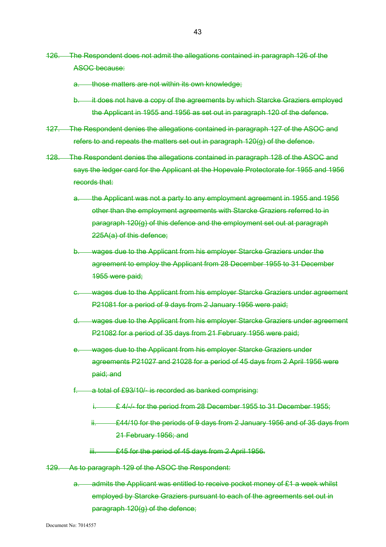- 126. The Respondent does not admit the allegations contained in paragraph 126 of the ASOC because:
	- a. those matters are not within its own knowledge;
	- b. it does not have a copy of the agreements by which Starcke Graziers employed the Applicant in 1955 and 1956 as set out in paragraph 120 of the defence.
- 127. The Respondent denies the allegations contained in paragraph 127 of the ASOC and refers to and repeats the matters set out in paragraph 120(g) of the defence.
- 128. The Respondent denies the allegations contained in paragraph 128 of the ASOC and says the ledger card for the Applicant at the Hopevale Protectorate for 1955 and 1956 records that:
	- a. the Applicant was not a party to any employment agreement in 1955 and 1956 other than the employment agreements with Starcke Graziers referred to in paragraph 120(g) of this defence and the employment set out at paragraph 225A(a) of this defence;
	- b. wages due to the Applicant from his employer Starcke Graziers under the agreement to employ the Applicant from 28 December 1955 to 31 December 1955 were paid;
	- c. wages due to the Applicant from his employer Starcke Graziers under agreement P21081 for a period of 9 days from 2 January 1956 were paid;
	- d. wages due to the Applicant from his employer Starcke Graziers under agreement P21082 for a period of 35 days from 21 February 1956 were paid;
	- wages due to the Applicant from his employer Starcke Graziers under agreements P21027 and 21028 for a period of 45 days from 2 April 1956 were paid; and
	- a total of £93/10/- is recorded as banked comprising:
		- **E.** 4/-/- for the period from 28 December 1955 to 31 December 1955;
		- £44/10 for the periods of 9 days from 2 January 1956 and of 35 days from 21 February 1956; and
		- iii. **£45 for the period of 45 days from 2 April 1956.**
- 129. As to paragraph 129 of the ASOC the Respondent:
	- a. admits the Applicant was entitled to receive pocket money of £1 a week whilst employed by Starcke Graziers pursuant to each of the agreements set out in paragraph 120(g) of the defence;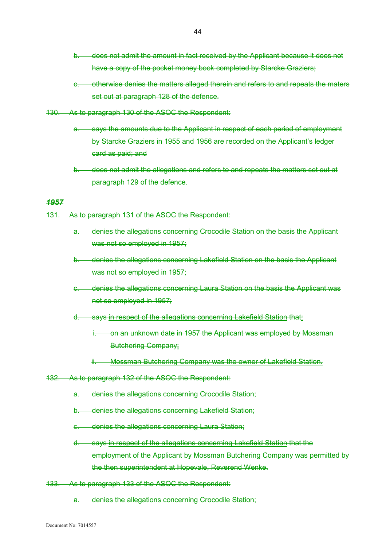- b. does not admit the amount in fact received by the Applicant because it does not have a copy of the pocket money book completed by Starcke Graziers;
- c. otherwise denies the matters alleged therein and refers to and repeats the maters set out at paragraph 128 of the defence.
- 130. As to paragraph 130 of the ASOC the Respondent:
	- a. says the amounts due to the Applicant in respect of each period of employment by Starcke Graziers in 1955 and 1956 are recorded on the Applicant's ledger card as paid; and
	- b. does not admit the allegations and refers to and repeats the matters set out at paragraph 129 of the defence.

## *1957*

131. As to paragraph 131 of the ASOC the Respondent:

- a. denies the allegations concerning Crocodile Station on the basis the Applicant was not so employed in 1957;
- b. denies the allegations concerning Lakefield Station on the basis the Applicant was not so employed in 1957;
- c. denies the allegations concerning Laura Station on the basis the Applicant was not so employed in 1957;
- d. says in respect of the allegations concerning Lakefield Station that:
	- i. on an unknown date in 1957 the Applicant was employed by Mossman Butchering Company;
	- ii. Mossman Butchering Company was the owner of Lakefield Station.
- 132. As to paragraph 132 of the ASOC the Respondent:
	- a. denies the allegations concerning Crocodile Station;
	- b. denies the allegations concerning Lakefield Station;
	- c. denies the allegations concerning Laura Station;
	- d. says in respect of the allegations concerning Lakefield Station that the employment of the Applicant by Mossman Butchering Company was permitted by the then superintendent at Hopevale, Reverend Wenke.
- 133. As to paragraph 133 of the ASOC the Respondent:

a. denies the allegations concerning Crocodile Station;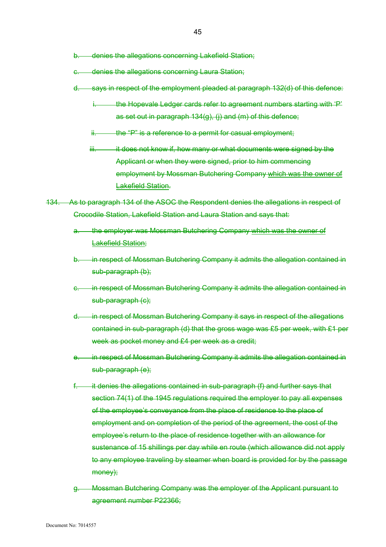b. denies the allegations concerning Lakefield Station;

- c. denies the allegations concerning Laura Station;
- d. says in respect of the employment pleaded at paragraph 132(d) of this defence:
	- i. the Hopevale Ledger cards refer to agreement numbers starting with 'P' as set out in paragraph 134(g), (j) and (m) of this defence;
	- $ii.$  the "P" is a reference to a permit for casual employment;
	- iii. iii. it does not know if, how many or what documents were signed by the Applicant or when they were signed, prior to him commencing employment by Mossman Butchering Company which was the owner of Lakefield Station.
- 134. As to paragraph 134 of the ASOC the Respondent denies the allegations in respect of Crocodile Station, Lakefield Station and Laura Station and says that:
	- the employer was Mossman Butchering Company which was the owner of Lakefield Station;
	- b. in respect of Mossman Butchering Company it admits the allegation contained in sub-paragraph (b);
	- c. in respect of Mossman Butchering Company it admits the allegation contained in sub-paragraph (c);
	- d. in respect of Mossman Butchering Company it says in respect of the allegations contained in sub-paragraph (d) that the gross wage was £5 per week, with £1 per week as pocket money and £4 per week as a credit:
	- e. in respect of Mossman Butchering Company it admits the allegation contained in sub-paragraph (e);
	- it denies the allegations contained in sub-paragraph (f) and further says that section 74(1) of the 1945 regulations required the employer to pay all expenses of the employee's conveyance from the place of residence to the place of employment and on completion of the period of the agreement, the cost of the employee's return to the place of residence together with an allowance for sustenance of 15 shillings per day while en route (which allowance did not apply to any employee traveling by steamer when board is provided for by the passage money);
	- g. Mossman Butchering Company was the employer of the Applicant pursuant to agreement number P22366;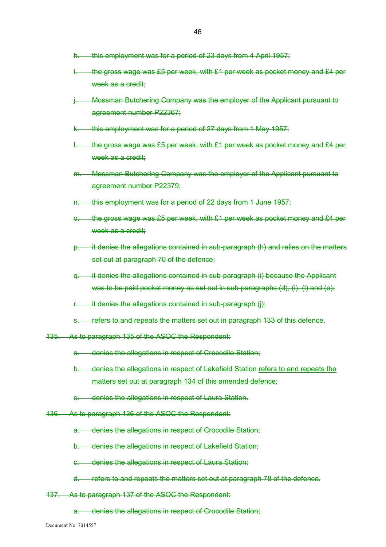- h. this employment was for a period of 23 days from 4 April 1957;
- the gross wage was £5 per week, with £1 per week as pocket money and £4 per week as a credit:
- Mossman Butchering Company was the employer of the Applicant pursuant to agreement number P22367;
- this employment was for a period of 27 days from 1 May 1957;
- the gross wage was  $£5$  per week, with  $£1$  per week as pocket money and  $£4$  per week as a credit:
- m. Mossman Butchering Company was the employer of the Applicant pursuant to agreement number P22379;
- n. this employment was for a period of 22 days from 1 June 1957;
- o. the gross wage was  $£5$  per week, with  $£1$  per week as pocket money and  $£4$  per week as a credit:
- p. it denies the allegations contained in sub-paragraph (h) and relies on the matters set out at paragraph 70 of the defence;
- q. it denies the allegations contained in sub-paragraph (i) because the Applicant was to be paid pocket money as set out in sub-paragraphs (d), (i), (l) and (o);
- $\frac{1}{2}$  it denies the allegations contained in sub-paragraph (i);
- s. refers to and repeats the matters set out in paragraph 133 of this defence.
- 135. As to paragraph 135 of the ASOC the Respondent:
	- a. denies the allegations in respect of Crocodile Station;
	- b. denies the allegations in respect of Lakefield Station refers to and repeats the matters set out at paragraph 134 of this amended defence;
	- c. denies the allegations in respect of Laura Station.
- 136. As to paragraph 136 of the ASOC the Respondent:
	- a. denies the allegations in respect of Crocodile Station;
	- b. denies the allegations in respect of Lakefield Station;
	- c. denies the allegations in respect of Laura Station;
	- d. refers to and repeats the matters set out at paragraph 78 of the defence.
- 137. As to paragraph 137 of the ASOC the Respondent:
	- a. denies the allegations in respect of Crocodile Station;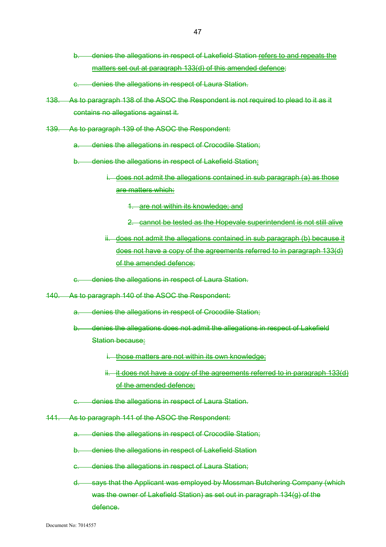- b. denies the allegations in respect of Lakefield Station refers to and repeats the matters set out at paragraph 133(d) of this amended defence;
- c. denies the allegations in respect of Laura Station.
- 138. As to paragraph 138 of the ASOC the Respondent is not required to plead to it as it contains no allegations against it.
- 139. As to paragraph 139 of the ASOC the Respondent:
	- a. denies the allegations in respect of Crocodile Station;
	- b. denies the allegations in respect of Lakefield Station:
		- i. does not admit the allegations contained in sub paragraph (a) as those are matters which:

1. are not within its knowledge; and

- 2. cannot be tested as the Hopevale superintendent is not still alive
- ii. does not admit the allegations contained in sub paragraph (b) because it does not have a copy of the agreements referred to in paragraph 133(d) of the amended defence;
- c. denies the allegations in respect of Laura Station.
- 140. As to paragraph 140 of the ASOC the Respondent:
	- denies the allegations in respect of Crocodile Station:
	- b. denies the allegations does not admit the allegations in respect of Lakefield Station because:
		- i. those matters are not within its own knowledge;
		- ii. it does not have a copy of the agreements referred to in paragraph 133(d) of the amended defence;
	- c. denies the allegations in respect of Laura Station.
- 141. As to paragraph 141 of the ASOC the Respondent:
	- a. denies the allegations in respect of Crocodile Station;
	- b. denies the allegations in respect of Lakefield Station
	- c. denies the allegations in respect of Laura Station;
	- d. says that the Applicant was employed by Mossman Butchering Company (which was the owner of Lakefield Station) as set out in paragraph 134(g) of the defence.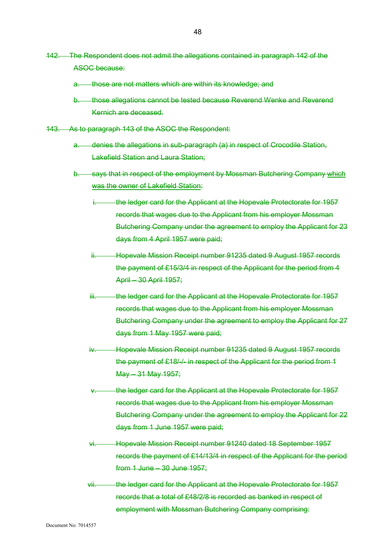- 142. The Respondent does not admit the allegations contained in paragraph 142 of the ASOC because:
	- a. those are not matters which are within its knowledge; and
	- b. those allegations cannot be tested because Reverend Wenke and Reverend Kernich are deceased.
- 143. As to paragraph 143 of the ASOC the Respondent:
	- a. denies the allegations in sub-paragraph (a) in respect of Crocodile Station, Lakefield Station and Laura Station;
	- b. says that in respect of the employment by Mossman Butchering Company which was the owner of Lakefield Station:
		- the ledger card for the Applicant at the Hopevale Protectorate for 1957 records that wages due to the Applicant from his employer Mossman Butchering Company under the agreement to employ the Applicant for 23 days from 4 April 1957 were paid;
		- ii. Hopevale Mission Receipt number 91235 dated 9 August 1957 records the payment of £15/3/4 in respect of the Applicant for the period from 4 April – 30 April 1957;
		- iii. the ledger card for the Applicant at the Hopevale Protectorate for 1957 records that wages due to the Applicant from his employer Mossman Butchering Company under the agreement to employ the Applicant for 27 days from 1 May 1957 were paid;
		- iv. Hopevale Mission Receipt number 91235 dated 9 August 1957 records the payment of £18/-/- in respect of the Applicant for the period from 1 May – 31 May 1957;
		- the ledger card for the Applicant at the Hopevale Protectorate for 1957 records that wages due to the Applicant from his employer Mossman Butchering Company under the agreement to employ the Applicant for 22 days from 1 June 1957 were paid;
		- vi. Hopevale Mission Receipt number 91240 dated 18 September 1957 records the payment of £14/13/4 in respect of the Applicant for the period from 1 June – 30 June 1957;
		- vii. the ledger card for the Applicant at the Hopevale Protectorate for 1957 records that a total of £48/2/8 is recorded as banked in respect of employment with Mossman Butchering Company comprising: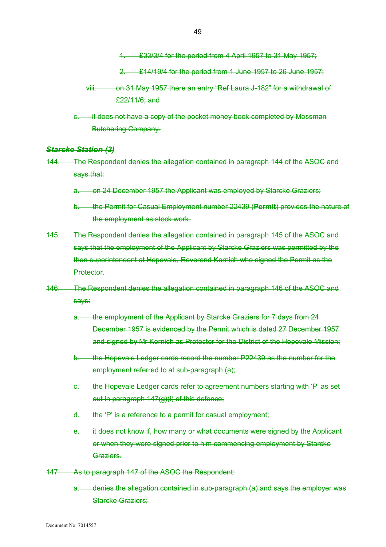1. £33/3/4 for the period from 4 April 1957 to 31 May 1957;

2.  $\angle$  £14/19/4 for the period from 1 June 1957 to 26 June 1957;

- viii. on 31 May 1957 there an entry "Ref Laura J-182" for a withdrawal of £22/11/6; and
- it does not have a copy of the pocket money book completed by Mossman Butchering Company.

# *Starcke Station (3)*

- 144. The Respondent denies the allegation contained in paragraph 144 of the ASOC and says that:
	- a. on 24 December 1957 the Applicant was employed by Starcke Graziers;
	- b. the Permit for Casual Employment number 22439 (**Permit**) provides the nature of the employment as stock work.
- 145. The Respondent denies the allegation contained in paragraph 145 of the ASOC and says that the employment of the Applicant by Starcke Graziers was permitted by the then superintendent at Hopevale, Reverend Kernich who signed the Permit as the **Protector**
- 146. The Respondent denies the allegation contained in paragraph 146 of the ASOC and says:
	- a. the employment of the Applicant by Starcke Graziers for 7 days from 24 December 1957 is evidenced by the Permit which is dated 27 December 1957 and signed by Mr Kernich as Protector for the District of the Hopevale Mission;
	- b. the Hopevale Ledger cards record the number P22439 as the number for the employment referred to at sub-paragraph (a);
	- the Hopevale Ledger cards refer to agreement numbers starting with 'P' as set out in paragraph 147(g)(i) of this defence;
	- d. the 'P' is a reference to a permit for casual employment;
	- e. it does not know if, how many or what documents were signed by the Applicant or when they were signed prior to him commencing employment by Starcke Graziers.
- 147. As to paragraph 147 of the ASOC the Respondent:
	- a. denies the allegation contained in sub-paragraph (a) and says the employer was Starcke Graziers: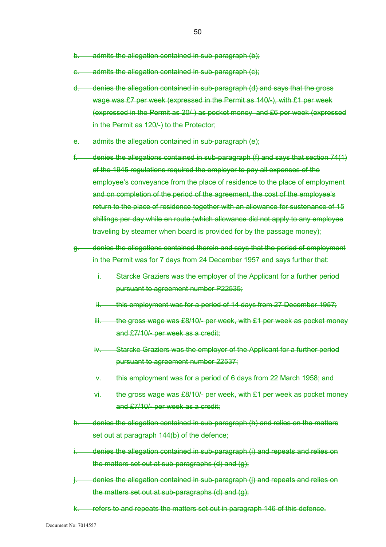- b. admits the allegation contained in sub-paragraph (b);
- c. admits the allegation contained in sub-paragraph (c);
- d. denies the allegation contained in sub-paragraph (d) and says that the gross wage was £7 per week (expressed in the Permit as 140/-), with £1 per week (expressed in the Permit as 20/-) as pocket money and £6 per week (expressed in the Permit as 120/-) to the Protector;
- e. admits the allegation contained in sub-paragraph (e);
- f. denies the allegations contained in sub-paragraph (f) and says that section 74(1) of the 1945 regulations required the employer to pay all expenses of the employee's conveyance from the place of residence to the place of employment and on completion of the period of the agreement, the cost of the employee's return to the place of residence together with an allowance for sustenance of 15 shillings per day while en route (which allowance did not apply to any employee traveling by steamer when board is provided for by the passage money);
- g. denies the allegations contained therein and says that the period of employment in the Permit was for 7 days from 24 December 1957 and says further that:
	- i. Starcke Graziers was the employer of the Applicant for a further period pursuant to agreement number P22535;
	- ii. this employment was for a period of 14 days from 27 December 1957;
	- $iii.$  the gross wage was £8/10/- per week, with £1 per week as pocket money and £7/10/- per week as a credit;
	- iv. Starcke Graziers was the employer of the Applicant for a further period pursuant to agreement number 22537;
	- this employment was for a period of 6 days from 22 March 1958; and
	- vi. the gross wage was £8/10/- per week, with £1 per week as pocket money and £7/10/- per week as a credit;
- denies the allegation contained in sub-paragraph (h) and relies on the matters set out at paragraph 144(b) of the defence;
- denies the allegation contained in sub-paragraph (i) and repeats and relies on the matters set out at sub-paragraphs (d) and (g);
- denies the allegation contained in sub-paragraph (i) and repeats and relies on the matters set out at sub-paragraphs (d) and (g);
- k. refers to and repeats the matters set out in paragraph 146 of this defence.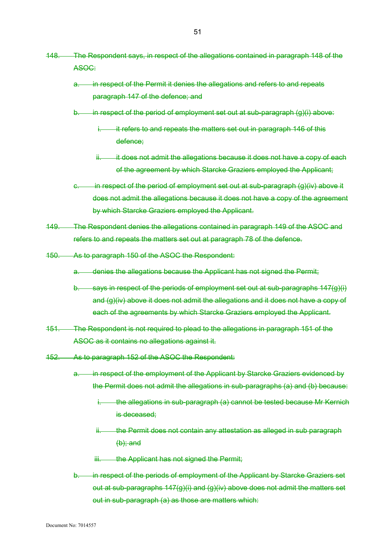- 148. The Respondent says, in respect of the allegations contained in paragraph 148 of the ASOC:
	- a. in respect of the Permit it denies the allegations and refers to and repeats paragraph 147 of the defence; and
	- b. in respect of the period of employment set out at sub-paragraph (g)(i) above:
		- it refers to and repeats the matters set out in paragraph 146 of this defence;
		- it does not admit the allegations because it does not have a copy of each of the agreement by which Starcke Graziers employed the Applicant;
	- c. in respect of the period of employment set out at sub-paragraph (g)(iv) above it does not admit the allegations because it does not have a copy of the agreement by which Starcke Graziers employed the Applicant.
- 149. The Respondent denies the allegations contained in paragraph 149 of the ASOC and refers to and repeats the matters set out at paragraph 78 of the defence.
- 150. As to paragraph 150 of the ASOC the Respondent:
	- a. denies the allegations because the Applicant has not signed the Permit;
	- b. says in respect of the periods of employment set out at sub-paragraphs 147(g)(i) and (g)(iv) above it does not admit the allegations and it does not have a copy of each of the agreements by which Starcke Graziers employed the Applicant.
- 151. The Respondent is not required to plead to the allegations in paragraph 151 of the ASOC as it contains no allegations against it.
- 152. As to paragraph 152 of the ASOC the Respondent:
	- a. in respect of the employment of the Applicant by Starcke Graziers evidenced by the Permit does not admit the allegations in sub-paragraphs (a) and (b) because:
		- i. the allegations in sub-paragraph (a) cannot be tested because Mr Kernich is deceased;
		- ii. the Permit does not contain any attestation as alleged in sub paragraph  $(b)$ ; and
		- iii. the Applicant has not signed the Permit;
	- b. in respect of the periods of employment of the Applicant by Starcke Graziers set out at sub-paragraphs 147(g)(i) and (g)(iv) above does not admit the matters set out in sub-paragraph (a) as those are matters which: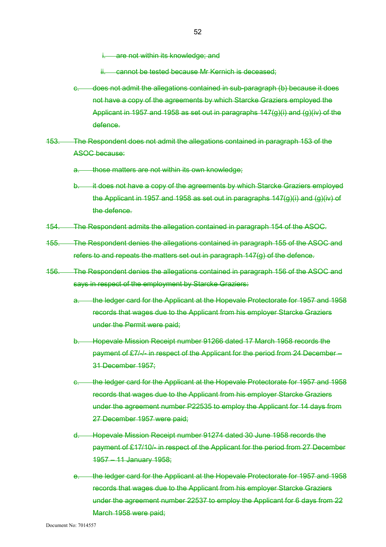are not within its knowledge; and

cannot be tested because Mr Kernich is deceased;

- c. does not admit the allegations contained in sub-paragraph (b) because it does not have a copy of the agreements by which Starcke Graziers employed the Applicant in 1957 and 1958 as set out in paragraphs 147(g)(i) and (g)(iv) of the defence.
- 153. The Respondent does not admit the allegations contained in paragraph 153 of the ASOC because:
	- those matters are not within its own knowledge;
	- b. it does not have a copy of the agreements by which Starcke Graziers employed the Applicant in 1957 and 1958 as set out in paragraphs  $147(g)(i)$  and  $(g)(iv)$  of the defence.
- 154. The Respondent admits the allegation contained in paragraph 154 of the ASOC.
- 155. The Respondent denies the allegations contained in paragraph 155 of the ASOC and refers to and repeats the matters set out in paragraph 147(g) of the defence.
- 156. The Respondent denies the allegations contained in paragraph 156 of the ASOC and says in respect of the employment by Starcke Graziers:
	- a. the ledger card for the Applicant at the Hopevale Protectorate for 1957 and 1958 records that wages due to the Applicant from his employer Starcke Graziers under the Permit were paid;
	- b. Hopevale Mission Receipt number 91266 dated 17 March 1958 records the payment of £7/-/- in respect of the Applicant for the period from 24 December – 31 December 1957;
	- c. the ledger card for the Applicant at the Hopevale Protectorate for 1957 and 1958 records that wages due to the Applicant from his employer Starcke Graziers under the agreement number P22535 to employ the Applicant for 14 days from 27 December 1957 were paid;
	- d. Hopevale Mission Receipt number 91274 dated 30 June 1958 records the payment of £17/10/- in respect of the Applicant for the period from 27 December 1957 – 11 January 1958;
	- e. the ledger card for the Applicant at the Hopevale Protectorate for 1957 and 1958 records that wages due to the Applicant from his employer Starcke Graziers under the agreement number 22537 to employ the Applicant for 6 days from 22 March 1958 were paid;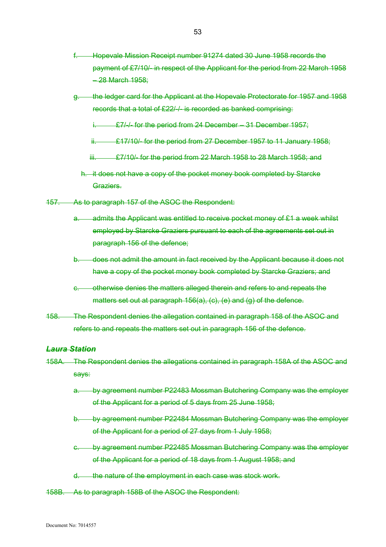- f. Hopevale Mission Receipt number 91274 dated 30 June 1958 records the payment of £7/10/- in respect of the Applicant for the period from 22 March 1958 – 28 March 1958;
- g. the ledger card for the Applicant at the Hopevale Protectorate for 1957 and 1958 records that a total of £22/-/- is recorded as banked comprising:
	- i. **£7/-/-** for the period from 24 December 31 December 1957;
	- ii. **£17/10/-** for the period from 27 December 1957 to 11 January 1958;
	- $iii.$   $E7/10/5$  for the period from 22 March 1958 to 28 March 1958; and
	- h. it does not have a copy of the pocket money book completed by Starcke Graziers.
- 157. As to paragraph 157 of the ASOC the Respondent:
	- admits the Applicant was entitled to receive pocket money of £1 a week whilst employed by Starcke Graziers pursuant to each of the agreements set out in paragraph 156 of the defence;
	- b. does not admit the amount in fact received by the Applicant because it does not have a copy of the pocket money book completed by Starcke Graziers; and
	- c. otherwise denies the matters alleged therein and refers to and repeats the matters set out at paragraph 156(a), (c), (e) and (g) of the defence.
- 158. The Respondent denies the allegation contained in paragraph 158 of the ASOC and refers to and repeats the matters set out in paragraph 156 of the defence.

## *Laura Station*

- 158A. The Respondent denies the allegations contained in paragraph 158A of the ASOC and says:
	- a. by agreement number P22483 Mossman Butchering Company was the employer of the Applicant for a period of 5 days from 25 June 1958;
	- b. by agreement number P22484 Mossman Butchering Company was the employer of the Applicant for a period of 27 days from 1 July 1958;
	- c. by agreement number P22485 Mossman Butchering Company was the employer of the Applicant for a period of 18 days from 1 August 1958; and
	- d. the nature of the employment in each case was stock work.
- 158B. As to paragraph 158B of the ASOC the Respondent: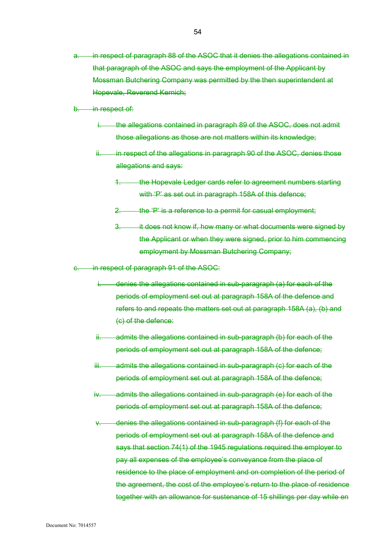in respect of paragraph 88 of the ASOC that it denies the allegations contained in that paragraph of the ASOC and says the employment of the Applicant by Mossman Butchering Company was permitted by the then superintendent at Hopevale, Reverend Kernich;

b. in respect of:

- the allegations contained in paragraph 89 of the ASOC, does not admit those allegations as those are not matters within its knowledge;
- ii. in respect of the allegations in paragraph 90 of the ASOC, denies those allegations and says:
	- the Hopevale Ledger cards refer to agreement numbers starting with 'P' as set out in paragraph 158A of this defence;
	- 2. the 'P' is a reference to a permit for casual employment;
	- 3. it does not know if, how many or what documents were signed by the Applicant or when they were signed, prior to him commencing employment by Mossman Butchering Company;
- in respect of paragraph 91 of the ASOC:
	- denies the allegations contained in sub-paragraph (a) for each of the periods of employment set out at paragraph 158A of the defence and refers to and repeats the matters set out at paragraph 158A (a), (b) and (c) of the defence:
	- ii. admits the allegations contained in sub-paragraph (b) for each of the periods of employment set out at paragraph 158A of the defence;
	- iii. admits the allegations contained in sub-paragraph (c) for each of the periods of employment set out at paragraph 158A of the defence;
	- iv. admits the allegations contained in sub-paragraph (e) for each of the periods of employment set out at paragraph 158A of the defence;
	- denies the allegations contained in sub-paragraph (f) for each of the periods of employment set out at paragraph 158A of the defence and says that section 74(1) of the 1945 regulations required the employer to pay all expenses of the employee's conveyance from the place of residence to the place of employment and on completion of the period of the agreement, the cost of the employee's return to the place of residence together with an allowance for sustenance of 15 shillings per day while en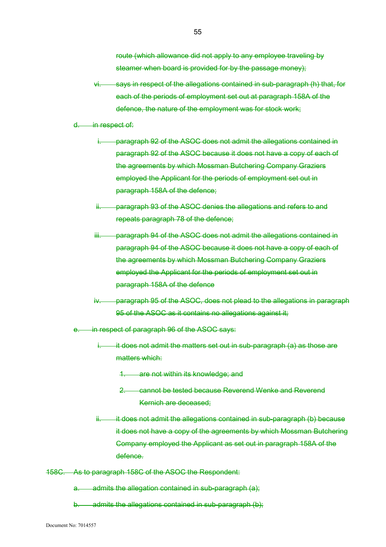route (which allowance did not apply to any employee traveling by steamer when board is provided for by the passage money);

- vi. says in respect of the allegations contained in sub-paragraph (h) that, for each of the periods of employment set out at paragraph 158A of the defence, the nature of the employment was for stock work;
- d. in respect of:
	- paragraph 92 of the ASOC does not admit the allegations contained in paragraph 92 of the ASOC because it does not have a copy of each of the agreements by which Mossman Butchering Company Graziers employed the Applicant for the periods of employment set out in paragraph 158A of the defence;
	- ii. paragraph 93 of the ASOC denies the allegations and refers to and repeats paragraph 78 of the defence;
	- iii. paragraph 94 of the ASOC does not admit the allegations contained in paragraph 94 of the ASOC because it does not have a copy of each of the agreements by which Mossman Butchering Company Graziers employed the Applicant for the periods of employment set out in paragraph 158A of the defence
	- paragraph 95 of the ASOC, does not plead to the allegations in paragraph 95 of the ASOC as it contains no allegations against it;
- e. in respect of paragraph 96 of the ASOC says:
	- $i.$  it does not admit the matters set out in sub-paragraph (a) as those are matters which:
		- 1. are not within its knowledge; and
		- 2. cannot be tested because Reverend Wenke and Reverend Kernich are deceased;
	- ii. it does not admit the allegations contained in sub-paragraph (b) because it does not have a copy of the agreements by which Mossman Butchering Company employed the Applicant as set out in paragraph 158A of the defence.
- 158C. As to paragraph 158C of the ASOC the Respondent:
	- a. admits the allegation contained in sub-paragraph (a);
	- b. admits the allegations contained in sub-paragraph (b);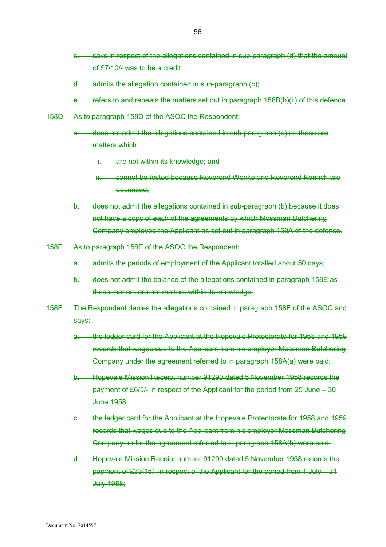- c. says in respect of the allegations contained in sub-paragraph (d) that the amount of £7/10/- was to be a credit;
- d. admits the allegation contained in sub-paragraph (c);
- e. refers to and repeats the matters set out in paragraph 158B(b)(ii) of this defence.
- 158D. As to paragraph 158D of the ASOC the Respondent:
	- a. does not admit the allegations contained in sub-paragraph (a) as those are matters which:

i. are not within its knowledge; and

- ii. cannot be tested because Reverend Wenke and Reverend Kernich are deceased;
- b. does not admit the allegations contained in sub-paragraph (b) because it does not have a copy of each of the agreements by which Mossman Butchering Company employed the Applicant as set out in paragraph 158A of the defence.
- 158E. As to paragraph 158E of the ASOC the Respondent:
	- a. admits the periods of employment of the Applicant totalled about 50 days;
	- b. does not admit the balance of the allegations contained in paragraph 158E as those matters are not matters within its knowledge.
- 158F. The Respondent denies the allegations contained in paragraph 158F of the ASOC and says:
	- a. the ledger card for the Applicant at the Hopevale Protectorate for 1958 and 1959 records that wages due to the Applicant from his employer Mossman Butchering Company under the agreement referred to in paragraph 158A(a) were paid;
	- b. Hopevale Mission Receipt number 91290 dated 5 November 1958 records the payment of £6/5/- in respect of the Applicant for the period from 25 June – 30 June 1958;
	- c. the ledger card for the Applicant at the Hopevale Protectorate for 1958 and 1959 records that wages due to the Applicant from his employer Mossman Butchering Company under the agreement referred to in paragraph 158A(b) were paid;
	- d. Hopevale Mission Receipt number 91290 dated 5 November 1958 records the payment of £33/15/- in respect of the Applicant for the period from 1 July – 31 July 1958;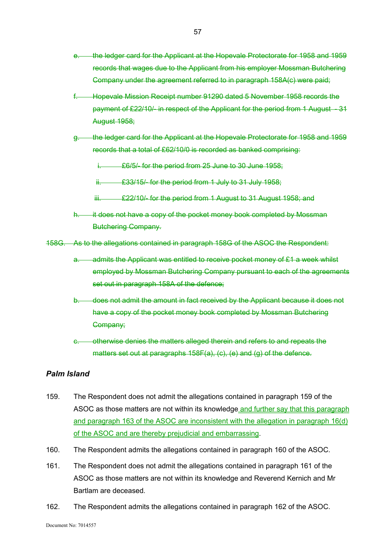- e. the ledger card for the Applicant at the Hopevale Protectorate for 1958 and 1959 records that wages due to the Applicant from his employer Mossman Butchering Company under the agreement referred to in paragraph 158A(c) were paid;
- f. Hopevale Mission Receipt number 91290 dated 5 November 1958 records the payment of £22/10/- in respect of the Applicant for the period from 1 August - 31 August 1958;
- g. the ledger card for the Applicant at the Hopevale Protectorate for 1958 and 1959 records that a total of £62/10/0 is recorded as banked comprising:
	- **E6/5/- for the period from 25 June to 30 June 1958;**
	- ii.  $\frac{233}{15}$  for the period from 1 July to 31 July 1958;
	- iii. **£22/10/- for the period from 1 August to 31 August 1958; and**
- h. it does not have a copy of the pocket money book completed by Mossman Butchering Company.
- 158G. As to the allegations contained in paragraph 158G of the ASOC the Respondent:
	- a. admits the Applicant was entitled to receive pocket money of £1 a week whilst employed by Mossman Butchering Company pursuant to each of the agreements set out in paragraph 158A of the defence;
	- b. does not admit the amount in fact received by the Applicant because it does not have a copy of the pocket money book completed by Mossman Butchering Company;
	- c. otherwise denies the matters alleged therein and refers to and repeats the matters set out at paragraphs 158F(a), (c), (e) and (g) of the defence.

# *Palm Island*

- 159. The Respondent does not admit the allegations contained in paragraph 159 of the ASOC as those matters are not within its knowledge and further say that this paragraph and paragraph 163 of the ASOC are inconsistent with the allegation in paragraph 16(d) of the ASOC and are thereby prejudicial and embarrassing.
- 160. The Respondent admits the allegations contained in paragraph 160 of the ASOC.
- 161. The Respondent does not admit the allegations contained in paragraph 161 of the ASOC as those matters are not within its knowledge and Reverend Kernich and Mr Bartlam are deceased.
- 162. The Respondent admits the allegations contained in paragraph 162 of the ASOC.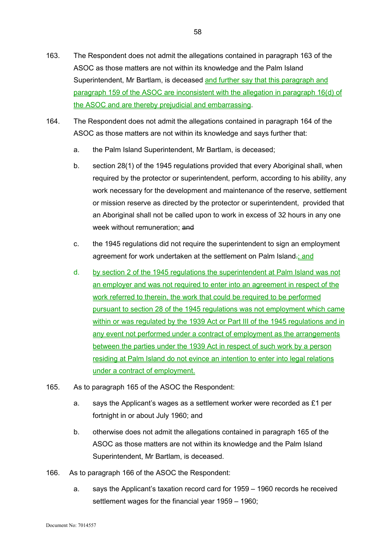- 164. The Respondent does not admit the allegations contained in paragraph 164 of the ASOC as those matters are not within its knowledge and says further that:
	- a. the Palm Island Superintendent, Mr Bartlam, is deceased;
	- b. section 28(1) of the 1945 regulations provided that every Aboriginal shall, when required by the protector or superintendent, perform, according to his ability, any work necessary for the development and maintenance of the reserve, settlement or mission reserve as directed by the protector or superintendent, provided that an Aboriginal shall not be called upon to work in excess of 32 hours in any one week without remuneration; and
	- c. the 1945 regulations did not require the superintendent to sign an employment agreement for work undertaken at the settlement on Palm Island-; and
	- d. by section 2 of the 1945 regulations the superintendent at Palm Island was not an employer and was not required to enter into an agreement in respect of the work referred to therein, the work that could be required to be performed pursuant to section 28 of the 1945 regulations was not employment which came within or was regulated by the 1939 Act or Part III of the 1945 regulations and in any event not performed under a contract of employment as the arrangements between the parties under the 1939 Act in respect of such work by a person residing at Palm Island do not evince an intention to enter into legal relations under a contract of employment.
- 165. As to paragraph 165 of the ASOC the Respondent:
	- a. says the Applicant's wages as a settlement worker were recorded as £1 per fortnight in or about July 1960; and
	- b. otherwise does not admit the allegations contained in paragraph 165 of the ASOC as those matters are not within its knowledge and the Palm Island Superintendent, Mr Bartlam, is deceased.
- 166. As to paragraph 166 of the ASOC the Respondent:
	- a. says the Applicant's taxation record card for 1959 1960 records he received settlement wages for the financial year 1959 – 1960;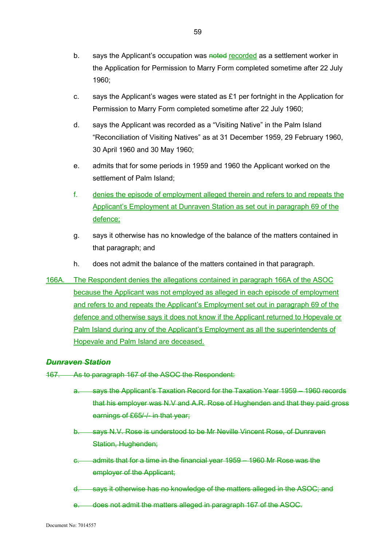- b. says the Applicant's occupation was noted recorded as a settlement worker in the Application for Permission to Marry Form completed sometime after 22 July 1960;
- c. says the Applicant's wages were stated as £1 per fortnight in the Application for Permission to Marry Form completed sometime after 22 July 1960;
- d. says the Applicant was recorded as a "Visiting Native" in the Palm Island "Reconciliation of Visiting Natives" as at 31 December 1959, 29 February 1960, 30 April 1960 and 30 May 1960;
- e. admits that for some periods in 1959 and 1960 the Applicant worked on the settlement of Palm Island;
- f. denies the episode of employment alleged therein and refers to and repeats the Applicant's Employment at Dunraven Station as set out in paragraph 69 of the defence;
- g. says it otherwise has no knowledge of the balance of the matters contained in that paragraph; and
- h. does not admit the balance of the matters contained in that paragraph.
- 166A. The Respondent denies the allegations contained in paragraph 166A of the ASOC because the Applicant was not employed as alleged in each episode of employment and refers to and repeats the Applicant's Employment set out in paragraph 69 of the defence and otherwise says it does not know if the Applicant returned to Hopevale or Palm Island during any of the Applicant's Employment as all the superintendents of Hopevale and Palm Island are deceased.

# *Dunraven Station*

- 167. As to paragraph 167 of the ASOC the Respondent:
	- a. says the Applicant's Taxation Record for the Taxation Year 1959 1960 records that his employer was N.V and A.R. Rose of Hughenden and that they paid gross earnings of £65/-/- in that year;
	- b. says N.V. Rose is understood to be Mr Neville Vincent Rose, of Dunraven Station, Hughenden;
	- c. admits that for a time in the financial year 1959 1960 Mr Rose was the employer of the Applicant;
	- d. says it otherwise has no knowledge of the matters alleged in the ASOC; and
	- e. does not admit the matters alleged in paragraph 167 of the ASOC.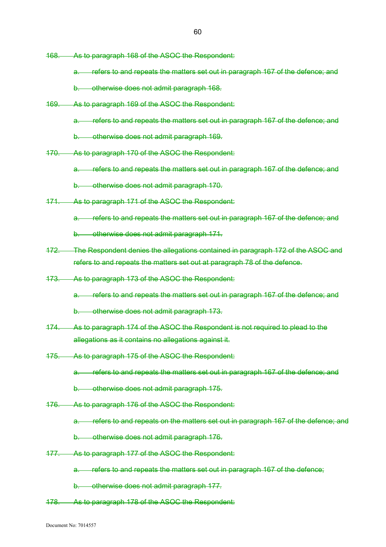- 168. As to paragraph 168 of the ASOC the Respondent:
	- a. refers to and repeats the matters set out in paragraph 167 of the defence; and
	- b. otherwise does not admit paragraph 168.
- 169. As to paragraph 169 of the ASOC the Respondent:
	- a. refers to and repeats the matters set out in paragraph 167 of the defence; and
	- b. otherwise does not admit paragraph 169.
- 170. As to paragraph 170 of the ASOC the Respondent:
	- a. refers to and repeats the matters set out in paragraph 167 of the defence; and
	- b. otherwise does not admit paragraph 170.
- 171. As to paragraph 171 of the ASOC the Respondent:
	- a. refers to and repeats the matters set out in paragraph 167 of the defence; and
	- b. otherwise does not admit paragraph 171.
- 172. The Respondent denies the allegations contained in paragraph 172 of the ASOC and refers to and repeats the matters set out at paragraph 78 of the defence.
- 173. As to paragraph 173 of the ASOC the Respondent:
	- a. refers to and repeats the matters set out in paragraph 167 of the defence; and
	- b. otherwise does not admit paragraph 173.
- 174. As to paragraph 174 of the ASOC the Respondent is not required to plead to the allegations as it contains no allegations against it.
- 175. As to paragraph 175 of the ASOC the Respondent:
	- a. refers to and repeats the matters set out in paragraph 167 of the defence; and
	- b. otherwise does not admit paragraph 175.
- 176. As to paragraph 176 of the ASOC the Respondent:
	- a. refers to and repeats on the matters set out in paragraph 167 of the defence; and
	- b. otherwise does not admit paragraph 176.
- 177. As to paragraph 177 of the ASOC the Respondent:
	- a. refers to and repeats the matters set out in paragraph 167 of the defence;
	- b. otherwise does not admit paragraph 177.
- 178. As to paragraph 178 of the ASOC the Respondent: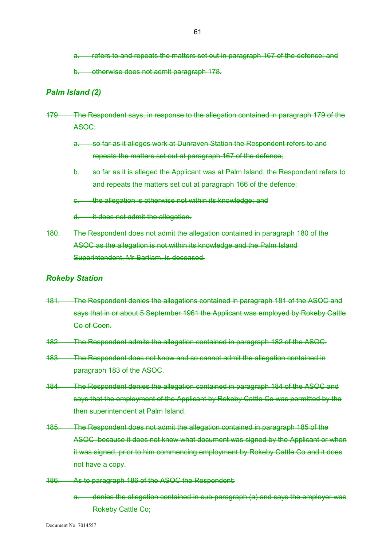- a. refers to and repeats the matters set out in paragraph 167 of the defence; and
- b. otherwise does not admit paragraph 178.

### *Palm Island (2)*

- 179. The Respondent says, in response to the allegation contained in paragraph 179 of the ASOC:
	- a. so far as it alleges work at Dunraven Station the Respondent refers to and repeats the matters set out at paragraph 167 of the defence;
	- b. so far as it is alleged the Applicant was at Palm Island, the Respondent refers to and repeats the matters set out at paragraph 166 of the defence;
	- c. the allegation is otherwise not within its knowledge; and
	- d. it does not admit the allegation.
- 180. The Respondent does not admit the allegation contained in paragraph 180 of the ASOC as the allegation is not within its knowledge and the Palm Island Superintendent, Mr Bartlam, is deceased.

### *Rokeby Station*

- 181. The Respondent denies the allegations contained in paragraph 181 of the ASOC and says that in or about 5 September 1961 the Applicant was employed by Rokeby Cattle Co of Coen.
- 182. The Respondent admits the allegation contained in paragraph 182 of the ASOC.
- 183. The Respondent does not know and so cannot admit the allegation contained in paragraph 183 of the ASOC.
- 184. The Respondent denies the allegation contained in paragraph 184 of the ASOC and says that the employment of the Applicant by Rokeby Cattle Co was permitted by the then superintendent at Palm Island.
- 185. The Respondent does not admit the allegation contained in paragraph 185 of the ASOC because it does not know what document was signed by the Applicant or when it was signed, prior to him commencing employment by Rokeby Cattle Co and it does not have a copy.
- 186. As to paragraph 186 of the ASOC the Respondent:
	- a. denies the allegation contained in sub-paragraph (a) and says the employer was Rokeby Cattle Co;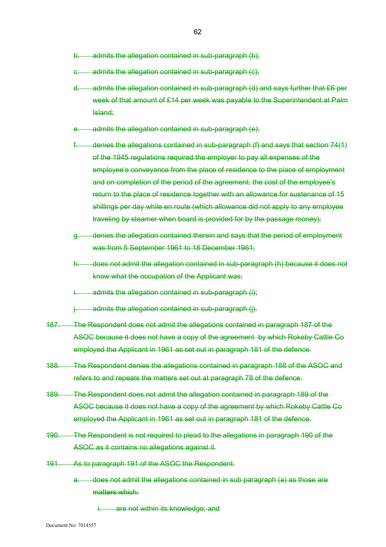- b. admits the allegation contained in sub-paragraph (b);
- c. admits the allegation contained in sub-paragraph (c);
- d. admits the allegation contained in sub-paragraph (d) and says further that £6 per week of that amount of £14 per week was payable to the Superintendent at Palm Island;
- admits the allegation contained in sub-paragraph (e);
- f. denies the allegations contained in sub-paragraph (f) and says that section 74(1) of the 1945 regulations required the employer to pay all expenses of the employee's conveyance from the place of residence to the place of employment and on completion of the period of the agreement, the cost of the employee's return to the place of residence together with an allowance for sustenance of 15 shillings per day while en route (which allowance did not apply to any employee traveling by steamer when board is provided for by the passage money);
- g. denies the allegation contained therein and says that the period of employment was from 5 September 1961 to 18 December 1961;
- h. does not admit the allegation contained in sub-paragraph (h) because it does not know what the occupation of the Applicant was;
- admits the allegation contained in sub-paragraph (i):
- $j.$  admits the allegation contained in sub-paragraph  $(j).$
- 187. The Respondent does not admit the allegations contained in paragraph 187 of the ASOC because it does not have a copy of the agreement by which Rokeby Cattle Co employed the Applicant in 1961 as set out in paragraph 181 of the defence.
- 188. The Respondent denies the allegations contained in paragraph 188 of the ASOC and refers to and repeats the matters set out at paragraph 78 of the defence.
- 189. The Respondent does not admit the allegation contained in paragraph 189 of the ASOC because it does not have a copy of the agreement by which Rokeby Cattle Co employed the Applicant in 1961 as set out in paragraph 181 of the defence.
- 190. The Respondent is not required to plead to the allegations in paragraph 190 of the ASOC as it contains no allegations against it.
- 191. As to paragraph 191 of the ASOC the Respondent:
	- a. does not admit the allegations contained in sub paragraph (a) as those are matters which:
		- i. are not within its knowledge; and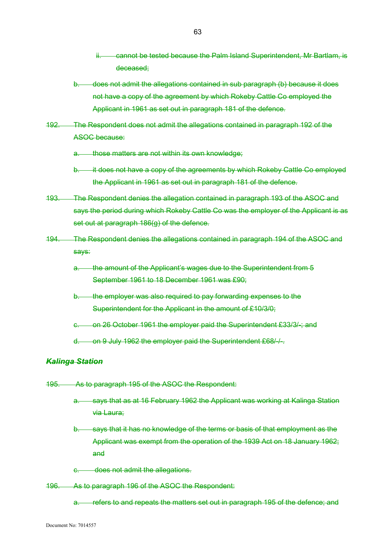- ii. cannot be tested because the Palm Island Superintendent, Mr Bartlam, is deceased;
- b. does not admit the allegations contained in sub paragraph (b) because it does not have a copy of the agreement by which Rokeby Cattle Co employed the Applicant in 1961 as set out in paragraph 181 of the defence.
- 192. The Respondent does not admit the allegations contained in paragraph 192 of the ASOC because:
	- a. those matters are not within its own knowledge;
	- b. it does not have a copy of the agreements by which Rokeby Cattle Co employed the Applicant in 1961 as set out in paragraph 181 of the defence.
- 193. The Respondent denies the allegation contained in paragraph 193 of the ASOC and says the period during which Rokeby Cattle Co was the employer of the Applicant is as set out at paragraph 186(g) of the defence.
- 194. The Respondent denies the allegations contained in paragraph 194 of the ASOC and says:
	- a. the amount of the Applicant's wages due to the Superintendent from 5 September 1961 to 18 December 1961 was £90;
	- b. the employer was also required to pay forwarding expenses to the Superintendent for the Applicant in the amount of £10/3/0;
	- c. on 26 October 1961 the employer paid the Superintendent £33/3/-; and
	- d. on 9 July 1962 the employer paid the Superintendent £68/-/-.

## *Kalinga Station*

- 195. As to paragraph 195 of the ASOC the Respondent:
	- a. says that as at 16 February 1962 the Applicant was working at Kalinga Station via Laura;
	- b. says that it has no knowledge of the terms or basis of that employment as the Applicant was exempt from the operation of the 1939 Act on 18 January 1962; and
	- c. does not admit the allegations.
- 196. As to paragraph 196 of the ASOC the Respondent:
	- a. refers to and repeats the matters set out in paragraph 195 of the defence; and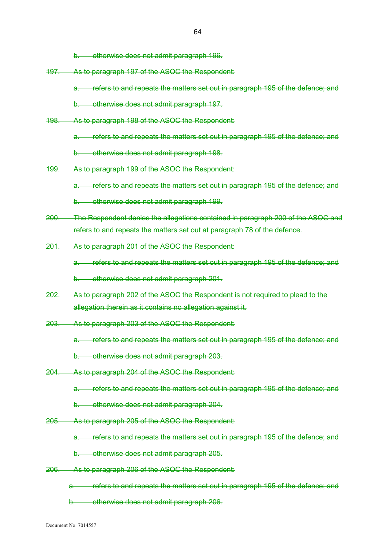b. otherwise does not admit paragraph 196.

197. As to paragraph 197 of the ASOC the Respondent:

a. refers to and repeats the matters set out in paragraph 195 of the defence; and

b. otherwise does not admit paragraph 197.

198. As to paragraph 198 of the ASOC the Respondent:

a. refers to and repeats the matters set out in paragraph 195 of the defence; and

b. otherwise does not admit paragraph 198.

199. As to paragraph 199 of the ASOC the Respondent:

a. refers to and repeats the matters set out in paragraph 195 of the defence; and

b. otherwise does not admit paragraph 199.

- 200. The Respondent denies the allegations contained in paragraph 200 of the ASOC and refers to and repeats the matters set out at paragraph 78 of the defence.
- 201. As to paragraph 201 of the ASOC the Respondent:

a. refers to and repeats the matters set out in paragraph 195 of the defence; and

b. otherwise does not admit paragraph 201.

- 202. As to paragraph 202 of the ASOC the Respondent is not required to plead to the allegation therein as it contains no allegation against it.
- 203. As to paragraph 203 of the ASOC the Respondent:

a. refers to and repeats the matters set out in paragraph 195 of the defence; and

b. otherwise does not admit paragraph 203.

- 204. As to paragraph 204 of the ASOC the Respondent:
	- a. refers to and repeats the matters set out in paragraph 195 of the defence; and
	- b. otherwise does not admit paragraph 204.
- 205. As to paragraph 205 of the ASOC the Respondent:
	- a. refers to and repeats the matters set out in paragraph 195 of the defence; and
	- b. otherwise does not admit paragraph 205.
- 206. As to paragraph 206 of the ASOC the Respondent:

a. refers to and repeats the matters set out in paragraph 195 of the defence; and

b. otherwise does not admit paragraph 206.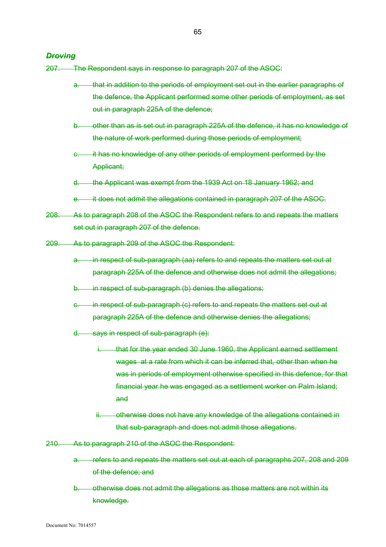### *Droving*

207. The Respondent says in response to paragraph 207 of the ASOC:

- a. that in addition to the periods of employment set out in the earlier paragraphs of the defence, the Applicant performed some other periods of employment, as set out in paragraph 225A of the defence;
- b. other than as is set out in paragraph 225A of the defence, it has no knowledge of the nature of work performed during those periods of employment;
- c. it has no knowledge of any other periods of employment performed by the Applicant;
- d. the Applicant was exempt from the 1939 Act on 18 January 1962; and
- e. it does not admit the allegations contained in paragraph 207 of the ASOC.
- 208. As to paragraph 208 of the ASOC the Respondent refers to and repeats the matters set out in paragraph 207 of the defence.
- 209. As to paragraph 209 of the ASOC the Respondent:
	- a. in respect of sub-paragraph (aa) refers to and repeats the matters set out at paragraph 225A of the defence and otherwise does not admit the allegations;
	- b. in respect of sub-paragraph (b) denies the allegations;
	- c. in respect of sub-paragraph (c) refers to and repeats the matters set out at paragraph 225A of the defence and otherwise denies the allegations;
	- d. says in respect of sub-paragraph (e):
		- i. that for the year ended 30 June 1960, the Applicant earned settlement wages at a rate from which it can be inferred that, other than when he was in periods of employment otherwise specified in this defence, for that financial year he was engaged as a settlement worker on Palm Island; and
		- ii. otherwise does not have any knowledge of the allegations contained in that sub-paragraph and does not admit those allegations.
- 210. As to paragraph 210 of the ASOC the Respondent:
	- a. refers to and repeats the matters set out at each of paragraphs 207, 208 and 209 of the defence; and
	- b. otherwise does not admit the allegations as those matters are not within its knowledge.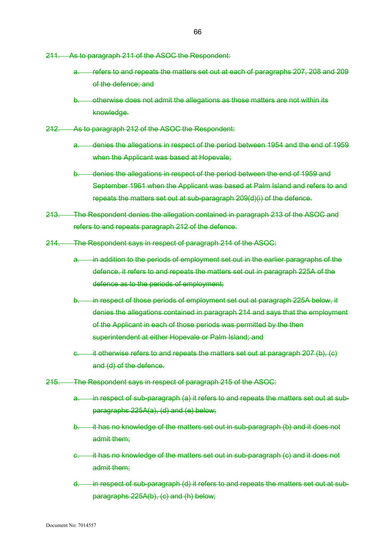- 211. As to paragraph 211 of the ASOC the Respondent:
	- a. refers to and repeats the matters set out at each of paragraphs 207, 208 and 209 of the defence; and
	- otherwise does not admit the allegations as those matters are not within its knowledge.
- 212. As to paragraph 212 of the ASOC the Respondent:
	- a. denies the allegations in respect of the period between 1954 and the end of 1959 when the Applicant was based at Hopevale;
	- b. denies the allegations in respect of the period between the end of 1959 and September 1961 when the Applicant was based at Palm Island and refers to and repeats the matters set out at sub-paragraph 209(d)(i) of the defence.
- 213. The Respondent denies the allegation contained in paragraph 213 of the ASOC and refers to and repeats paragraph 212 of the defence.
- 214. The Respondent says in respect of paragraph 214 of the ASOC:
	- a. in addition to the periods of employment set out in the earlier paragraphs of the defence, it refers to and repeats the matters set out in paragraph 225A of the defence as to the periods of employment;
	- b. in respect of those periods of employment set out at paragraph 225A below, it denies the allegations contained in paragraph 214 and says that the employment of the Applicant in each of those periods was permitted by the then superintendent at either Hopevale or Palm Island; and
	- $c.$  it otherwise refers to and repeats the matters set out at paragraph 207 (b),  $(c)$ and (d) of the defence.
- 215. The Respondent says in respect of paragraph 215 of the ASOC:
	- a. in respect of sub-paragraph (a) it refers to and repeats the matters set out at subparagraphs 225A(a), (d) and (e) below;
	- b. it has no knowledge of the matters set out in sub-paragraph (b) and it does not admit them;
	- c. it has no knowledge of the matters set out in sub-paragraph (c) and it does not admit them;
	- d. in respect of sub-paragraph (d) it refers to and repeats the matters set out at subparagraphs 225A(b), (c) and (h) below;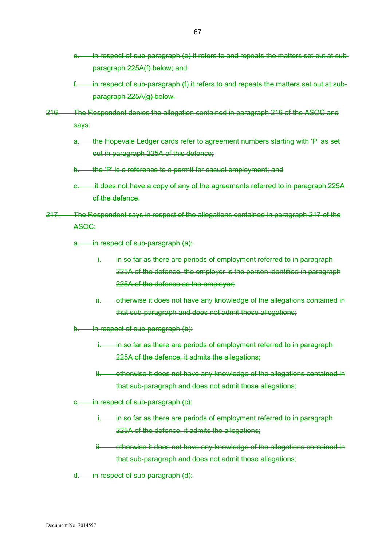- e. in respect of sub-paragraph (e) it refers to and repeats the matters set out at subparagraph 225A(f) below; and
- in respect of sub-paragraph (f) it refers to and repeats the matters set out at subparagraph 225A(g) below.
- 216. The Respondent denies the allegation contained in paragraph 216 of the ASOC and says:
	- a. the Hopevale Ledger cards refer to agreement numbers starting with 'P' as set out in paragraph 225A of this defence;
	- b. the 'P' is a reference to a permit for casual employment; and
	- e. it does not have a copy of any of the agreements referred to in paragraph 225A of the defence.
- 217. The Respondent says in respect of the allegations contained in paragraph 217 of the ASOC:
	- a. in respect of sub-paragraph (a):
		- i. in so far as there are periods of employment referred to in paragraph 225A of the defence, the employer is the person identified in paragraph 225A of the defence as the employer;
		- ii. otherwise it does not have any knowledge of the allegations contained in that sub-paragraph and does not admit those allegations;
	- b. in respect of sub-paragraph (b):
		- in so far as there are periods of employment referred to in paragraph 225A of the defence, it admits the allegations;
		- ii. otherwise it does not have any knowledge of the allegations contained in that sub-paragraph and does not admit those allegations;
	- c. in respect of sub-paragraph (c):
		- i. in so far as there are periods of employment referred to in paragraph 225A of the defence, it admits the allegations;
		- ii. otherwise it does not have any knowledge of the allegations contained in that sub-paragraph and does not admit those allegations;
	- d. in respect of sub-paragraph (d):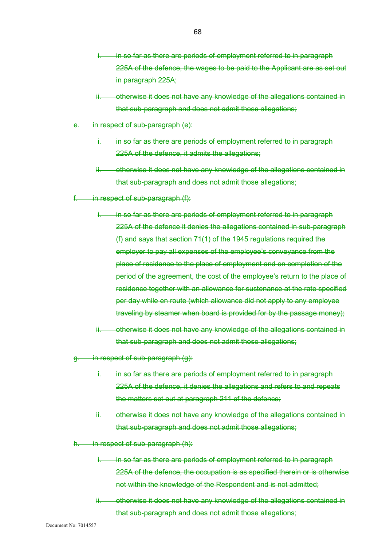- in so far as there are periods of employment referred to in paragraph 225A of the defence, the wages to be paid to the Applicant are as set out in paragraph 225A;
- otherwise it does not have any knowledge of the allegations contained in that sub-paragraph and does not admit those allegations;
- e. in respect of sub-paragraph (e):
	- in so far as there are periods of employment referred to in paragraph 225A of the defence, it admits the allegations;
	- ii. otherwise it does not have any knowledge of the allegations contained in that sub-paragraph and does not admit those allegations;
- $f.$  in respect of sub-paragraph  $(f)$ :
	- i. in so far as there are periods of employment referred to in paragraph 225A of the defence it denies the allegations contained in sub-paragraph (f) and says that section 71(1) of the 1945 regulations required the employer to pay all expenses of the employee's conveyance from the place of residence to the place of employment and on completion of the period of the agreement, the cost of the employee's return to the place of residence together with an allowance for sustenance at the rate specified per day while en route (which allowance did not apply to any employee traveling by steamer when board is provided for by the passage money);
	- ii. otherwise it does not have any knowledge of the allegations contained in that sub-paragraph and does not admit those allegations;
- in respect of sub-paragraph (g):
	- in so far as there are periods of employment referred to in paragraph 225A of the defence, it denies the allegations and refers to and repeats the matters set out at paragraph 211 of the defence;
	- otherwise it does not have any knowledge of the allegations contained in that sub-paragraph and does not admit those allegations;

in respect of sub-paragraph (h):

- in so far as there are periods of employment referred to in paragraph 225A of the defence, the occupation is as specified therein or is otherwise not within the knowledge of the Respondent and is not admitted;
- ii. otherwise it does not have any knowledge of the allegations contained in that sub-paragraph and does not admit those allegations;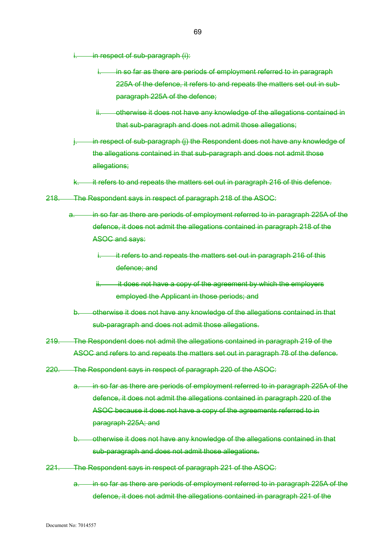in respect of sub-paragraph (i):

- in so far as there are periods of employment referred to in paragraph 225A of the defence, it refers to and repeats the matters set out in subparagraph 225A of the defence;
- otherwise it does not have any knowledge of the allegations contained in that sub-paragraph and does not admit those allegations;
- in respect of sub-paragraph (j) the Respondent does not have any knowledge of the allegations contained in that sub-paragraph and does not admit those allegations;
- it refers to and repeats the matters set out in paragraph 216 of this defence.
- 218. The Respondent says in respect of paragraph 218 of the ASOC:
	- a. in so far as there are periods of employment referred to in paragraph 225A of the defence, it does not admit the allegations contained in paragraph 218 of the ASOC and says:
		- it refers to and repeats the matters set out in paragraph 216 of this defence; and
		- it does not have a copy of the agreement by which the employers employed the Applicant in those periods; and
		- b. otherwise it does not have any knowledge of the allegations contained in that sub-paragraph and does not admit those allegations.
- 219. The Respondent does not admit the allegations contained in paragraph 219 of the ASOC and refers to and repeats the matters set out in paragraph 78 of the defence.
- 220. The Respondent says in respect of paragraph 220 of the ASOC:
	- in so far as there are periods of employment referred to in paragraph 225A of the defence, it does not admit the allegations contained in paragraph 220 of the ASOC because it does not have a copy of the agreements referred to in paragraph 225A; and
	- b. otherwise it does not have any knowledge of the allegations contained in that sub-paragraph and does not admit those allegations.
- 221. The Respondent says in respect of paragraph 221 of the ASOC:
	- a. in so far as there are periods of employment referred to in paragraph 225A of the defence, it does not admit the allegations contained in paragraph 221 of the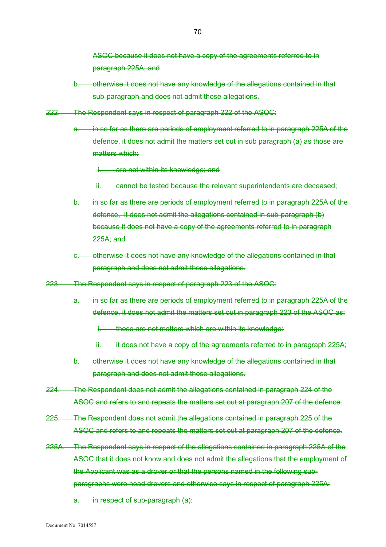ASOC because it does not have a copy of the agreements referred to in paragraph 225A; and

- b. otherwise it does not have any knowledge of the allegations contained in that sub-paragraph and does not admit those allegations.
- 222. The Respondent says in respect of paragraph 222 of the ASOC:
	- in so far as there are periods of employment referred to in paragraph 225A of the defence, it does not admit the matters set out in sub paragraph (a) as those are matters which:

i. are not within its knowledge; and

- ii. cannot be tested because the relevant superintendents are deceased;
- b. in so far as there are periods of employment referred to in paragraph 225A of the defence, it does not admit the allegations contained in sub-paragraph (b) because it does not have a copy of the agreements referred to in paragraph 225A; and
- c. otherwise it does not have any knowledge of the allegations contained in that paragraph and does not admit those allegations.
- 223. The Respondent says in respect of paragraph 223 of the ASOC:
	- a. in so far as there are periods of employment referred to in paragraph 225A of the defence, it does not admit the matters set out in paragraph 223 of the ASOC as:
		- i. those are not matters which are within its knowledge:
		- $ii.$  it does not have a copy of the agreements referred to in paragraph 225A;
	- b. otherwise it does not have any knowledge of the allegations contained in that paragraph and does not admit those allegations.
- 224. The Respondent does not admit the allegations contained in paragraph 224 of the ASOC and refers to and repeats the matters set out at paragraph 207 of the defence.
- 225. The Respondent does not admit the allegations contained in paragraph 225 of the ASOC and refers to and repeats the matters set out at paragraph 207 of the defence.
- 225A. The Respondent says in respect of the allegations contained in paragraph 225A of the ASOC that it does not know and does not admit the allegations that the employment of the Applicant was as a drover or that the persons named in the following subparagraphs were head drovers and otherwise says in respect of paragraph 225A:

a. in respect of sub-paragraph (a):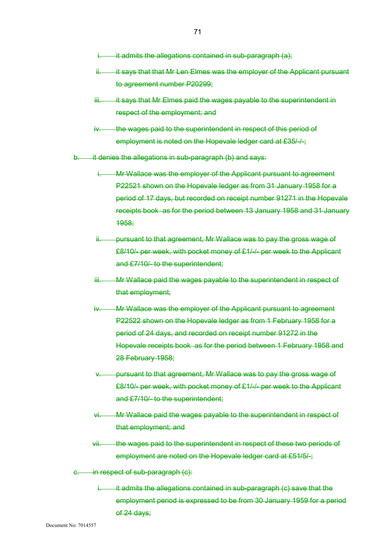- $\overline{\mathbf{a}}$  it admits the allegations contained in sub-paragraph (a);
- ii. it says that that Mr Len Elmes was the employer of the Applicant pursuant to agreement number P20299;
- iii. it says that Mr Elmes paid the wages payable to the superintendent in respect of the employment; and
- iv. the wages paid to the superintendent in respect of this period of employment is noted on the Hopevale ledger card at £35/-/-;
- it denies the allegations in sub-paragraph (b) and says:
	- **IMr Wallace was the employer of the Applicant pursuant to agreement** P22521 shown on the Hopevale ledger as from 31 January 1958 for a period of 17 days, but recorded on receipt number 91271 in the Hopevale receipts book as for the period between 13 January 1958 and 31 January 1958;
	- ii. pursuant to that agreement, Mr Wallace was to pay the gross wage of £8/10/- per week, with pocket money of £1/-/- per week to the Applicant and £7/10/- to the superintendent;
	- iii. Mr Wallace paid the wages payable to the superintendent in respect of that employment;
	- iv. Mr Wallace was the employer of the Applicant pursuant to agreement P22522 shown on the Hopevale ledger as from 1 February 1958 for a period of 24 days, and recorded on receipt number 91272 in the Hopevale receipts book as for the period between 1 February 1958 and 28 February 1958;
	- v. pursuant to that agreement, Mr Wallace was to pay the gross wage of £8/10/- per week, with pocket money of £1/-/- per week to the Applicant and £7/10/- to the superintendent;
	- vi. Mr Wallace paid the wages payable to the superintendent in respect of that employment; and
	- vii. the wages paid to the superintendent in respect of these two periods of employment are noted on the Hopevale ledger card at £51/5/-;
- in respect of sub-paragraph (c):
	- it admits the allegations contained in sub-paragraph (c) save that the employment period is expressed to be from 30 January 1959 for a period of 24 days;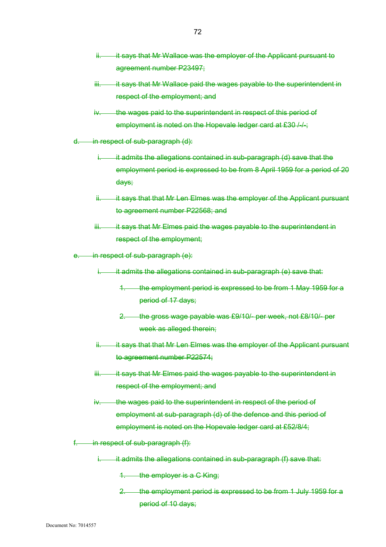- ii. it says that Mr Wallace was the employer of the Applicant pursuant to agreement number P23497;
- iii. it says that Mr Wallace paid the wages payable to the superintendent in respect of the employment; and
- iv. the wages paid to the superintendent in respect of this period of employment is noted on the Hopevale ledger card at £30 /-/-;
- d. in respect of sub-paragraph (d):
	- $i.$  it admits the allegations contained in sub-paragraph (d) save that the employment period is expressed to be from 8 April 1959 for a period of 20 days;
	- ii. it says that that Mr Len Elmes was the employer of the Applicant pursuant to agreement number P22568; and
	- iii. it says that Mr Elmes paid the wages payable to the superintendent in respect of the employment;
- e. in respect of sub-paragraph (e):
	- it admits the allegations contained in sub-paragraph (e) save that:
		- 1. the employment period is expressed to be from 1 May 1959 for a period of 17 days;
		- 2. the gross wage payable was £9/10/- per week, not £8/10/- per week as alleged therein;
	- ii. it says that that Mr Len Elmes was the employer of the Applicant pursuant to agreement number P22574;
	- iii. it says that Mr Elmes paid the wages payable to the superintendent in respect of the employment; and
	- iv. the wages paid to the superintendent in respect of the period of employment at sub-paragraph (d) of the defence and this period of employment is noted on the Hopevale ledger card at £52/8/4;
- $f.$  in respect of sub-paragraph  $(f)$ :
	- it admits the allegations contained in sub-paragraph (f) save that:
		- 1. the employer is a C King;
		- 2. the employment period is expressed to be from 1 July 1959 for a period of 10 days;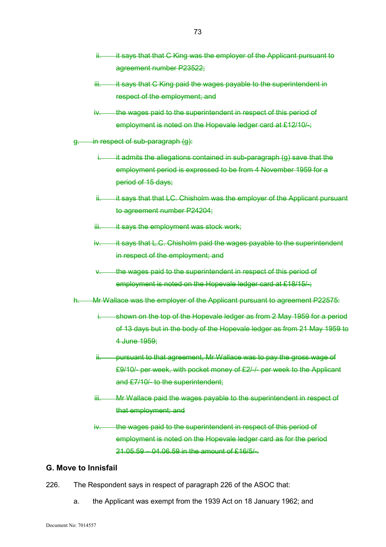- ii. it says that that C King was the employer of the Applicant pursuant to agreement number P23522;
- iii. it says that C King paid the wages payable to the superintendent in respect of the employment; and
- iv. the wages paid to the superintendent in respect of this period of employment is noted on the Hopevale ledger card at £12/10/-;
- g. in respect of sub-paragraph (g):
	- $i.$  it admits the allegations contained in sub-paragraph (g) save that the employment period is expressed to be from 4 November 1959 for a period of 15 days;
	- ii. it says that that LC. Chisholm was the employer of the Applicant pursuant to agreement number P24204;
	- iii. it says the employment was stock work;
	- iv. it says that L.C. Chisholm paid the wages payable to the superintendent in respect of the employment; and
	- v. the wages paid to the superintendent in respect of this period of employment is noted on the Hopevale ledger card at £18/15/-;

h. Mr Wallace was the employer of the Applicant pursuant to agreement P22575:

- i. shown on the top of the Hopevale ledger as from 2 May 1959 for a period of 13 days but in the body of the Hopevale ledger as from 21 May 1959 to 4 June 1959;
- ii. pursuant to that agreement, Mr Wallace was to pay the gross wage of £9/10/- per week, with pocket money of £2/-/- per week to the Applicant and £7/10/- to the superintendent;
- iii. Mr Wallace paid the wages payable to the superintendent in respect of that employment; and
- iv. the wages paid to the superintendent in respect of this period of employment is noted on the Hopevale ledger card as for the period 21.05.59 – 04.06.59 in the amount of £16/5/-.

## **G. Move to Innisfail**

- 226. The Respondent says in respect of paragraph 226 of the ASOC that:
	- a. the Applicant was exempt from the 1939 Act on 18 January 1962; and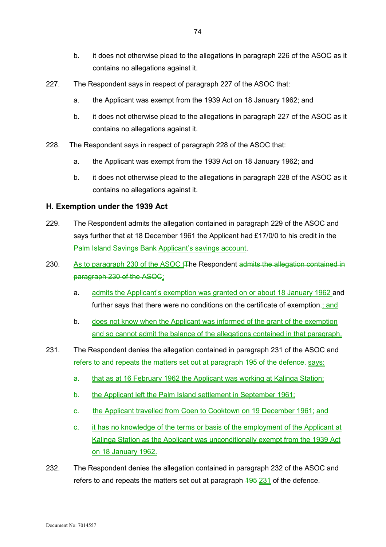- b. it does not otherwise plead to the allegations in paragraph 226 of the ASOC as it contains no allegations against it.
- 227. The Respondent says in respect of paragraph 227 of the ASOC that:
	- a. the Applicant was exempt from the 1939 Act on 18 January 1962; and
	- b. it does not otherwise plead to the allegations in paragraph 227 of the ASOC as it contains no allegations against it.
- 228. The Respondent says in respect of paragraph 228 of the ASOC that:
	- a. the Applicant was exempt from the 1939 Act on 18 January 1962; and
	- b. it does not otherwise plead to the allegations in paragraph 228 of the ASOC as it contains no allegations against it.

#### **H. Exemption under the 1939 Act**

- 229. The Respondent admits the allegation contained in paragraph 229 of the ASOC and says further that at 18 December 1961 the Applicant had £17/0/0 to his credit in the Palm Island Savings Bank Applicant's savings account.
- 230. As to paragraph 230 of the ASOC t<sub>T</sub>he Respondent admits the allegation contained in paragraph 230 of the ASOC:
	- a. admits the Applicant's exemption was granted on or about 18 January 1962 and further says that there were no conditions on the certificate of exemption.; and
	- b. does not know when the Applicant was informed of the grant of the exemption and so cannot admit the balance of the allegations contained in that paragraph.
- 231. The Respondent denies the allegation contained in paragraph 231 of the ASOC and refers to and repeats the matters set out at paragraph 195 of the defence. says:
	- a. that as at 16 February 1962 the Applicant was working at Kalinga Station;
	- b. the Applicant left the Palm Island settlement in September 1961;
	- c. the Applicant travelled from Coen to Cooktown on 19 December 1961; and
	- c. it has no knowledge of the terms or basis of the employment of the Applicant at Kalinga Station as the Applicant was unconditionally exempt from the 1939 Act on 18 January 1962.
- 232. The Respondent denies the allegation contained in paragraph 232 of the ASOC and refers to and repeats the matters set out at paragraph  $\frac{495}{231}$  of the defence.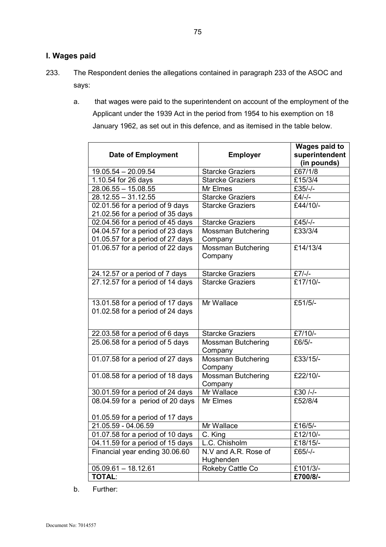# **I. Wages paid**

- 233. The Respondent denies the allegations contained in paragraph 233 of the ASOC and says:
	- a. that wages were paid to the superintendent on account of the employment of the Applicant under the 1939 Act in the period from 1954 to his exemption on 18 January 1962, as set out in this defence, and as itemised in the table below.

|                                  |                           | <b>Wages paid to</b> |
|----------------------------------|---------------------------|----------------------|
| <b>Date of Employment</b>        | <b>Employer</b>           | superintendent       |
|                                  |                           | (in pounds)          |
| $19.05.54 - 20.09.54$            | <b>Starcke Graziers</b>   | £67/1/8              |
| 1.10.54 for 26 days              | <b>Starcke Graziers</b>   | £15/3/4              |
| $28.06.55 - 15.08.55$            | Mr Elmes                  | £35/-/-              |
| $28.12.55 - 31.12.55$            | <b>Starcke Graziers</b>   | $£4/-/-$             |
| 02.01.56 for a period of 9 days  | <b>Starcke Graziers</b>   | £44/10/-             |
| 21.02.56 for a period of 35 days |                           |                      |
| 02.04.56 for a period of 45 days | <b>Starcke Graziers</b>   | £45/-/-              |
| 04.04.57 for a period of 23 days | <b>Mossman Butchering</b> | £33/3/4              |
| 01.05.57 for a period of 27 days | Company                   |                      |
| 01.06.57 for a period of 22 days | <b>Mossman Butchering</b> | £14/13/4             |
|                                  | Company                   |                      |
| 24.12.57 or a period of 7 days   | <b>Starcke Graziers</b>   | $£7/-/-$             |
| 27.12.57 for a period of 14 days | <b>Starcke Graziers</b>   | £17/10/-             |
|                                  |                           |                      |
| 13.01.58 for a period of 17 days | Mr Wallace                | £51/5/-              |
| 01.02.58 for a period of 24 days |                           |                      |
|                                  |                           |                      |
| 22.03.58 for a period of 6 days  | <b>Starcke Graziers</b>   | £7/10/-              |
| 25.06.58 for a period of 5 days  | <b>Mossman Butchering</b> | £6/5/-               |
|                                  | Company                   |                      |
| 01.07.58 for a period of 27 days | Mossman Butchering        | £33/15/-             |
|                                  | Company                   |                      |
| 01.08.58 for a period of 18 days | <b>Mossman Butchering</b> | £22/10/-             |
|                                  | Company                   |                      |
| 30.01.59 for a period of 24 days | Mr Wallace                | £30 /-/-             |
| 08.04.59 for a period of 20 days | Mr Elmes                  | £52/8/4              |
|                                  |                           |                      |
| 01.05.59 for a period of 17 days |                           |                      |
| 21.05.59 - 04.06.59              | Mr Wallace                | £16/5/-              |
| 01.07.58 for a period of 10 days | C. King                   | $£12/10/-$           |
| 04.11.59 for a period of 15 days | L.C. Chisholm             | £18/15/-             |
| Financial year ending 30.06.60   | N.V and A.R. Rose of      | £65/-/-              |
|                                  | Hughenden                 |                      |
| $05.09.61 - 18.12.61$            | Rokeby Cattle Co          | £101/3/-             |
| <b>TOTAL:</b>                    |                           | £700/8/-             |

b. Further: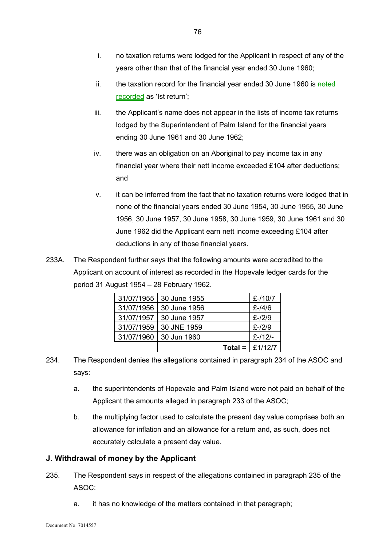- i. no taxation returns were lodged for the Applicant in respect of any of the years other than that of the financial year ended 30 June 1960;
- ii. the taxation record for the financial year ended 30 June 1960 is  $\frac{1}{100}$ recorded as 'Ist return';
- iii. the Applicant's name does not appear in the lists of income tax returns lodged by the Superintendent of Palm Island for the financial years ending 30 June 1961 and 30 June 1962;
- iv. there was an obligation on an Aboriginal to pay income tax in any financial year where their nett income exceeded £104 after deductions; and
- v. it can be inferred from the fact that no taxation returns were lodged that in none of the financial years ended 30 June 1954, 30 June 1955, 30 June 1956, 30 June 1957, 30 June 1958, 30 June 1959, 30 June 1961 and 30 June 1962 did the Applicant earn nett income exceeding £104 after deductions in any of those financial years.
- 233A. The Respondent further says that the following amounts were accredited to the Applicant on account of interest as recorded in the Hopevale ledger cards for the period 31 August 1954 – 28 February 1962.

|            |              | Total = $\vert$ £1/12/7 |
|------------|--------------|-------------------------|
| 31/07/1960 | 30 Jun 1960  | $E - 12$                |
| 31/07/1959 | 30 JNE 1959  | $E - 12/9$              |
| 31/07/1957 | 30 June 1957 | $E - 12/9$              |
| 31/07/1956 | 30 June 1956 | $E - 14/6$              |
| 31/07/1955 | 30 June 1955 | $E - 10/7$              |

- 234. The Respondent denies the allegations contained in paragraph 234 of the ASOC and says:
	- a. the superintendents of Hopevale and Palm Island were not paid on behalf of the Applicant the amounts alleged in paragraph 233 of the ASOC;
	- b. the multiplying factor used to calculate the present day value comprises both an allowance for inflation and an allowance for a return and, as such, does not accurately calculate a present day value.

## **J. Withdrawal of money by the Applicant**

- 235. The Respondent says in respect of the allegations contained in paragraph 235 of the ASOC:
	- a. it has no knowledge of the matters contained in that paragraph;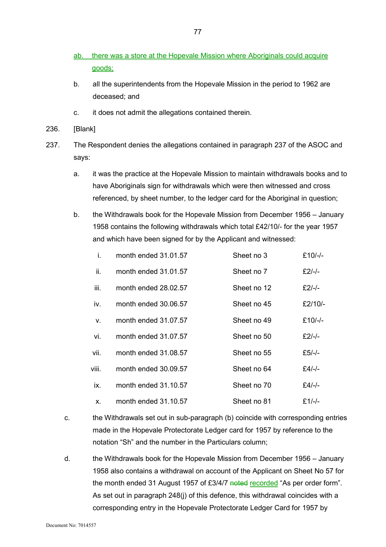- ab. there was a store at the Hopevale Mission where Aboriginals could acquire goods;
- b. all the superintendents from the Hopevale Mission in the period to 1962 are deceased; and
- c. it does not admit the allegations contained therein.
- 236. [Blank]
- 237. The Respondent denies the allegations contained in paragraph 237 of the ASOC and says:
	- a. it was the practice at the Hopevale Mission to maintain withdrawals books and to have Aboriginals sign for withdrawals which were then witnessed and cross referenced, by sheet number, to the ledger card for the Aboriginal in question;
	- b. the Withdrawals book for the Hopevale Mission from December 1956 January 1958 contains the following withdrawals which total £42/10/- for the year 1957 and which have been signed for by the Applicant and witnessed:

| i.    | month ended 31.01.57 | Sheet no 3  | £10/-/-  |
|-------|----------------------|-------------|----------|
| ii.   | month ended 31,01.57 | Sheet no 7  | £2/-/-   |
| iii.  | month ended 28,02,57 | Sheet no 12 | £2/-/-   |
| iv.   | month ended 30.06.57 | Sheet no 45 | £2/10/-  |
| v.    | month ended 31.07.57 | Sheet no 49 | £10/-/-  |
| vi.   | month ended 31.07.57 | Sheet no 50 | £2/-/-   |
| vii.  | month ended 31.08.57 | Sheet no 55 | £5/-/-   |
| viii. | month ended 30.09.57 | Sheet no 64 | £4/-/-   |
| ix.   | month ended 31.10.57 | Sheet no 70 | £4/-/-   |
| Χ.    | month ended 31.10.57 | Sheet no 81 | $£1/-/-$ |

- c. the Withdrawals set out in sub-paragraph (b) coincide with corresponding entries made in the Hopevale Protectorate Ledger card for 1957 by reference to the notation "Sh" and the number in the Particulars column;
- d. the Withdrawals book for the Hopevale Mission from December 1956 January 1958 also contains a withdrawal on account of the Applicant on Sheet No 57 for the month ended 31 August 1957 of £3/4/7 noted recorded "As per order form". As set out in paragraph 248(j) of this defence, this withdrawal coincides with a corresponding entry in the Hopevale Protectorate Ledger Card for 1957 by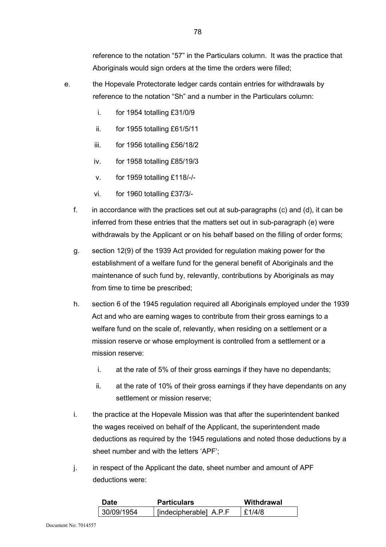reference to the notation "57" in the Particulars column. It was the practice that Aboriginals would sign orders at the time the orders were filled;

- e. the Hopevale Protectorate ledger cards contain entries for withdrawals by reference to the notation "Sh" and a number in the Particulars column:
	- i. for 1954 totalling £31/0/9
	- ii. for 1955 totalling £61/5/11
	- iii. for 1956 totalling £56/18/2
	- iv. for 1958 totalling £85/19/3
	- v. for 1959 totalling £118/-/-
	- vi. for 1960 totalling £37/3/-
	- f. in accordance with the practices set out at sub-paragraphs (c) and (d), it can be inferred from these entries that the matters set out in sub-paragraph (e) were withdrawals by the Applicant or on his behalf based on the filling of order forms;
	- g. section 12(9) of the 1939 Act provided for regulation making power for the establishment of a welfare fund for the general benefit of Aboriginals and the maintenance of such fund by, relevantly, contributions by Aboriginals as may from time to time be prescribed;
	- h. section 6 of the 1945 regulation required all Aboriginals employed under the 1939 Act and who are earning wages to contribute from their gross earnings to a welfare fund on the scale of, relevantly, when residing on a settlement or a mission reserve or whose employment is controlled from a settlement or a mission reserve:
		- i. at the rate of 5% of their gross earnings if they have no dependants;
		- ii. at the rate of 10% of their gross earnings if they have dependants on any settlement or mission reserve;
	- i. the practice at the Hopevale Mission was that after the superintendent banked the wages received on behalf of the Applicant, the superintendent made deductions as required by the 1945 regulations and noted those deductions by a sheet number and with the letters 'APF';
	- j. in respect of the Applicant the date, sheet number and amount of APF deductions were:

| Date       | <b>Particulars</b>     | Withdrawal |
|------------|------------------------|------------|
| 30/09/1954 | [indecipherable] A.P.F | f1/4/8     |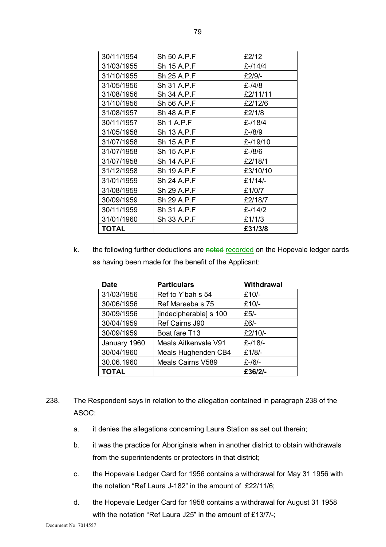| 30/11/1954 | Sh 50 A.P.F       | £2/12     |
|------------|-------------------|-----------|
| 31/03/1955 | Sh 15 A.P.F       | £-/14/4   |
| 31/10/1955 | Sh 25 A.P.F       | £2/9/-    |
| 31/05/1956 | Sh 31 A.P.F       | $£ -/4/8$ |
| 31/08/1956 | Sh 34 A.P.F       | £2/11/11  |
| 31/10/1956 | Sh 56 A.P.F       | £2/12/6   |
| 31/08/1957 | Sh 48 A.P.F       | £2/1/8    |
| 30/11/1957 | <b>Sh 1 A.P.F</b> | £-/18/4   |
| 31/05/1958 | Sh 13 A.P.F       | £-/8/9    |
| 31/07/1958 | Sh 15 A.P.F       | £-/19/10  |
| 31/07/1958 | Sh 15 A.P.F       | £-/8/6    |
| 31/07/1958 | Sh 14 A.P.F       | £2/18/1   |
| 31/12/1958 | Sh 19 A.P.F       | £3/10/10  |
| 31/01/1959 | Sh 24 A.P.F       | £1/14/-   |
| 31/08/1959 | Sh 29 A.P.F       | £1/0/7    |
| 30/09/1959 | Sh 29 A.P.F       | £2/18/7   |
| 30/11/1959 | Sh 31 A.P.F       | $£-114/2$ |
| 31/01/1960 | Sh 33 A.P.F       | £1/1/3    |
| TOTAL      |                   | £31/3/8   |

k. the following further deductions are noted recorded on the Hopevale ledger cards as having been made for the benefit of the Applicant:

| <b>Date</b>  | <b>Particulars</b>     | Withdrawal |
|--------------|------------------------|------------|
| 31/03/1956   | Ref to Y'bah s 54      | £10/-      |
| 30/06/1956   | Ref Mareeba s 75       | £10/-      |
| 30/09/1956   | [indecipherable] s 100 | $£5/-$     |
| 30/04/1959   | Ref Cairns J90         | $£6/-$     |
| 30/09/1959   | Boat fare T13          | £2/10/-    |
| January 1960 | Meals Aitkenvale V91   | $E - 18$   |
| 30/04/1960   | Meals Hughenden CB4    | £1/8/-     |
| 30.06.1960   | Meals Cairns V589      | $£$ -/6/-  |
| <b>TOTAL</b> |                        | £36/2/-    |

- 238. The Respondent says in relation to the allegation contained in paragraph 238 of the ASOC:
	- a. it denies the allegations concerning Laura Station as set out therein;
	- b. it was the practice for Aboriginals when in another district to obtain withdrawals from the superintendents or protectors in that district;
	- c. the Hopevale Ledger Card for 1956 contains a withdrawal for May 31 1956 with the notation "Ref Laura J-182" in the amount of £22/11/6;
	- d. the Hopevale Ledger Card for 1958 contains a withdrawal for August 31 1958 with the notation "Ref Laura J25" in the amount of £13/7/-;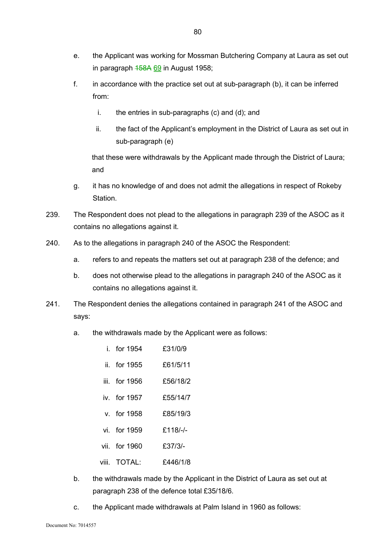- e. the Applicant was working for Mossman Butchering Company at Laura as set out in paragraph  $158A$  69 in August 1958;
- f. in accordance with the practice set out at sub-paragraph (b), it can be inferred from:
	- i. the entries in sub-paragraphs (c) and (d); and
	- ii. the fact of the Applicant's employment in the District of Laura as set out in sub-paragraph (e)

that these were withdrawals by the Applicant made through the District of Laura; and

- g. it has no knowledge of and does not admit the allegations in respect of Rokeby Station.
- 239. The Respondent does not plead to the allegations in paragraph 239 of the ASOC as it contains no allegations against it.
- 240. As to the allegations in paragraph 240 of the ASOC the Respondent:
	- a. refers to and repeats the matters set out at paragraph 238 of the defence; and
	- b. does not otherwise plead to the allegations in paragraph 240 of the ASOC as it contains no allegations against it.
- 241. The Respondent denies the allegations contained in paragraph 241 of the ASOC and says:
	- a. the withdrawals made by the Applicant were as follows:
		- i. for  $1954$   $f31/0/9$
		- ii. for 1955 £61/5/11
		- iii. for  $1956$   $f56/18/2$
		- iv. for 1957 £55/14/7
		- v. for 1958 £85/19/3
		- vi. for 1959 £118/-/-
		- vii. for 1960 £37/3/-
		- viii. TOTAL: £446/1/8
	- b. the withdrawals made by the Applicant in the District of Laura as set out at paragraph 238 of the defence total £35/18/6.
	- c. the Applicant made withdrawals at Palm Island in 1960 as follows: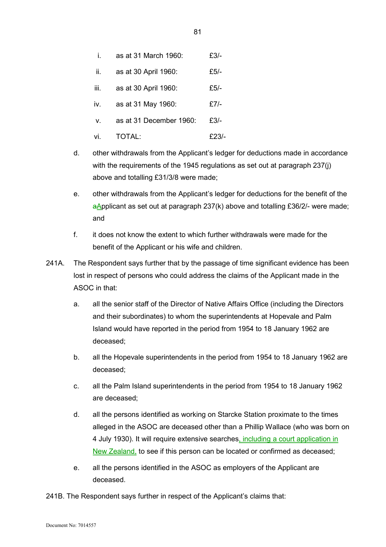| i.   | as at 31 March 1960:    | £3/-   |
|------|-------------------------|--------|
| ii.  | as at 30 April 1960:    | £5/-   |
| iii. | as at 30 April 1960:    | $£5/-$ |
| iv.  | as at 31 May 1960:      | £7/-   |
| V.   | as at 31 December 1960: | £3/-   |
| vi.  | TOTAL:                  | £23/-  |

- d. other withdrawals from the Applicant's ledger for deductions made in accordance with the requirements of the 1945 regulations as set out at paragraph 237(j) above and totalling £31/3/8 were made;
- e. other withdrawals from the Applicant's ledger for deductions for the benefit of the  $a\Delta$ pplicant as set out at paragraph 237(k) above and totalling £36/2/- were made; and
- f. it does not know the extent to which further withdrawals were made for the benefit of the Applicant or his wife and children.
- 241A. The Respondent says further that by the passage of time significant evidence has been lost in respect of persons who could address the claims of the Applicant made in the ASOC in that:
	- a. all the senior staff of the Director of Native Affairs Office (including the Directors and their subordinates) to whom the superintendents at Hopevale and Palm Island would have reported in the period from 1954 to 18 January 1962 are deceased;
	- b. all the Hopevale superintendents in the period from 1954 to 18 January 1962 are deceased;
	- c. all the Palm Island superintendents in the period from 1954 to 18 January 1962 are deceased;
	- d. all the persons identified as working on Starcke Station proximate to the times alleged in the ASOC are deceased other than a Phillip Wallace (who was born on 4 July 1930). It will require extensive searches, including a court application in New Zealand, to see if this person can be located or confirmed as deceased;
	- e. all the persons identified in the ASOC as employers of the Applicant are deceased.

241B. The Respondent says further in respect of the Applicant's claims that: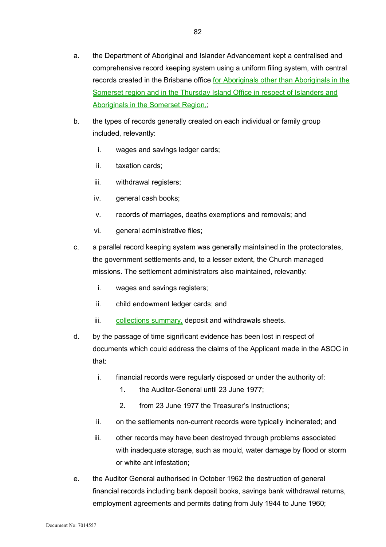- b. the types of records generally created on each individual or family group included, relevantly:
	- i. wages and savings ledger cards;
	- ii. taxation cards;
	- iii. withdrawal registers;
	- iv. general cash books;
	- v. records of marriages, deaths exemptions and removals; and
	- vi. general administrative files;
- c. a parallel record keeping system was generally maintained in the protectorates, the government settlements and, to a lesser extent, the Church managed missions. The settlement administrators also maintained, relevantly:
	- i. wages and savings registers;
	- ii. child endowment ledger cards; and
	- iii. collections summary, deposit and withdrawals sheets.
- d. by the passage of time significant evidence has been lost in respect of documents which could address the claims of the Applicant made in the ASOC in that:
	- i. financial records were regularly disposed or under the authority of:
		- 1. the Auditor-General until 23 June 1977;
		- 2. from 23 June 1977 the Treasurer's Instructions;
	- ii. on the settlements non-current records were typically incinerated; and
	- iii. other records may have been destroyed through problems associated with inadequate storage, such as mould, water damage by flood or storm or white ant infestation;
- e. the Auditor General authorised in October 1962 the destruction of general financial records including bank deposit books, savings bank withdrawal returns, employment agreements and permits dating from July 1944 to June 1960;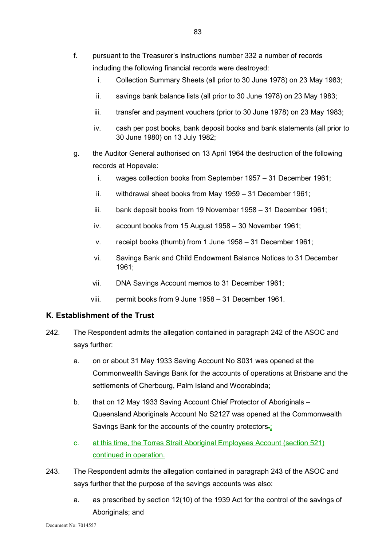- f. pursuant to the Treasurer's instructions number 332 a number of records including the following financial records were destroyed:
	- i. Collection Summary Sheets (all prior to 30 June 1978) on 23 May 1983;
	- ii. savings bank balance lists (all prior to 30 June 1978) on 23 May 1983;
	- iii. transfer and payment vouchers (prior to 30 June 1978) on 23 May 1983;
	- iv. cash per post books, bank deposit books and bank statements (all prior to 30 June 1980) on 13 July 1982;
- g. the Auditor General authorised on 13 April 1964 the destruction of the following records at Hopevale:
	- i. wages collection books from September 1957 31 December 1961;
	- ii. withdrawal sheet books from May 1959 31 December 1961;
	- iii. bank deposit books from 19 November 1958 31 December 1961;
	- iv. account books from 15 August 1958 30 November 1961;
	- v. receipt books (thumb) from 1 June 1958 31 December 1961;
	- vi. Savings Bank and Child Endowment Balance Notices to 31 December 1961;
	- vii. DNA Savings Account memos to 31 December 1961;
	- viii. permit books from 9 June 1958 31 December 1961.

## **K. Establishment of the Trust**

- 242. The Respondent admits the allegation contained in paragraph 242 of the ASOC and says further:
	- a. on or about 31 May 1933 Saving Account No S031 was opened at the Commonwealth Savings Bank for the accounts of operations at Brisbane and the settlements of Cherbourg, Palm Island and Woorabinda;
	- b. that on 12 May 1933 Saving Account Chief Protector of Aboriginals Queensland Aboriginals Account No S2127 was opened at the Commonwealth Savings Bank for the accounts of the country protectors.
	- c. at this time, the Torres Strait Aboriginal Employees Account (section 521) continued in operation.
- 243. The Respondent admits the allegation contained in paragraph 243 of the ASOC and says further that the purpose of the savings accounts was also:
	- a. as prescribed by section 12(10) of the 1939 Act for the control of the savings of Aboriginals; and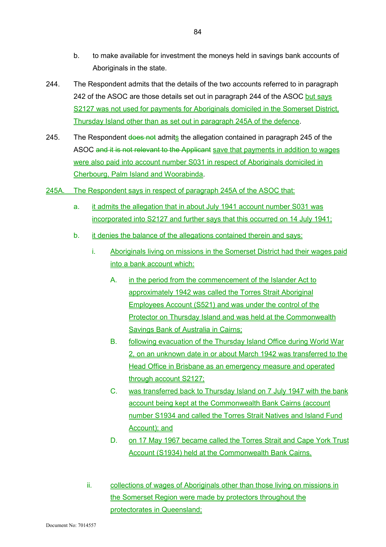- b. to make available for investment the moneys held in savings bank accounts of Aboriginals in the state.
- 244. The Respondent admits that the details of the two accounts referred to in paragraph 242 of the ASOC are those details set out in paragraph 244 of the ASOC but says S2127 was not used for payments for Aboriginals domiciled in the Somerset District, Thursday Island other than as set out in paragraph 245A of the defence.
- 245. The Respondent does not admits the allegation contained in paragraph 245 of the ASOC and it is not relevant to the Applicant save that payments in addition to wages were also paid into account number S031 in respect of Aboriginals domiciled in Cherbourg, Palm Island and Woorabinda.
- 245A. The Respondent says in respect of paragraph 245A of the ASOC that:
	- a. it admits the allegation that in about July 1941 account number S031 was incorporated into S2127 and further says that this occurred on 14 July 1941;
	- b. it denies the balance of the allegations contained therein and says:
		- i. Aboriginals living on missions in the Somerset District had their wages paid into a bank account which:
			- A. in the period from the commencement of the Islander Act to approximately 1942 was called the Torres Strait Aboriginal Employees Account (S521) and was under the control of the Protector on Thursday Island and was held at the Commonwealth Savings Bank of Australia in Cairns;
			- B. following evacuation of the Thursday Island Office during World War 2, on an unknown date in or about March 1942 was transferred to the Head Office in Brisbane as an emergency measure and operated through account S2127;
			- C. was transferred back to Thursday Island on 7 July 1947 with the bank account being kept at the Commonwealth Bank Cairns (account number S1934 and called the Torres Strait Natives and Island Fund Account); and
			- D. on 17 May 1967 became called the Torres Strait and Cape York Trust Account (S1934) held at the Commonwealth Bank Cairns.
		- ii. collections of wages of Aboriginals other than those living on missions in the Somerset Region were made by protectors throughout the protectorates in Queensland;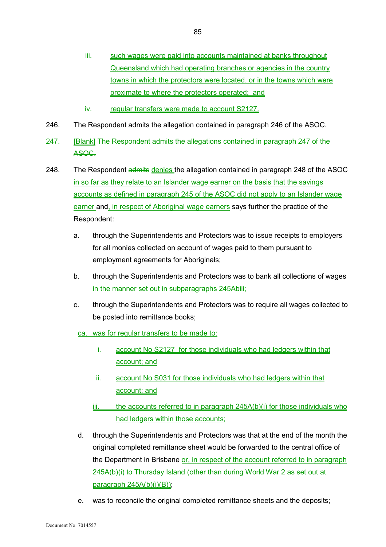- iii. such wages were paid into accounts maintained at banks throughout Queensland which had operating branches or agencies in the country towns in which the protectors were located, or in the towns which were proximate to where the protectors operated; and
- iv. regular transfers were made to account S2127.
- 246. The Respondent admits the allegation contained in paragraph 246 of the ASOC.
- 247. [Blank] The Respondent admits the allegations contained in paragraph 247 of the ASOC.
- 248. The Respondent admits denies the allegation contained in paragraph 248 of the ASOC in so far as they relate to an Islander wage earner on the basis that the savings accounts as defined in paragraph 245 of the ASOC did not apply to an Islander wage earner and, in respect of Aboriginal wage earners says further the practice of the Respondent:
	- a. through the Superintendents and Protectors was to issue receipts to employers for all monies collected on account of wages paid to them pursuant to employment agreements for Aboriginals;
	- b. through the Superintendents and Protectors was to bank all collections of wages in the manner set out in subparagraphs 245Abiii;
	- c. through the Superintendents and Protectors was to require all wages collected to be posted into remittance books;
		- ca. was for regular transfers to be made to:
			- i. account No S2127 for those individuals who had ledgers within that account; and
			- ii. account No S031 for those individuals who had ledgers within that account; and
			- $iii.$  the accounts referred to in paragraph  $245A(b)(i)$  for those individuals who had ledgers within those accounts;
		- d. through the Superintendents and Protectors was that at the end of the month the original completed remittance sheet would be forwarded to the central office of the Department in Brisbane or, in respect of the account referred to in paragraph 245A(b)(i) to Thursday Island (other than during World War 2 as set out at paragraph 245A(b)(i)(B));
		- e. was to reconcile the original completed remittance sheets and the deposits;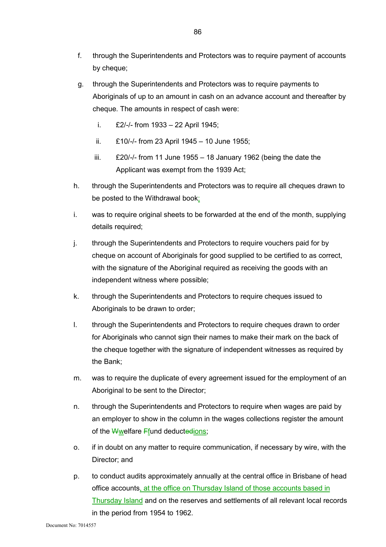- f. through the Superintendents and Protectors was to require payment of accounts by cheque;
- g. through the Superintendents and Protectors was to require payments to Aboriginals of up to an amount in cash on an advance account and thereafter by cheque. The amounts in respect of cash were:
	- i. £2/-/- from 1933 22 April 1945;
	- ii. £10/-/- from 23 April 1945 10 June 1955;
	- iii.  $£20/-$  from 11 June 1955 18 January 1962 (being the date the Applicant was exempt from the 1939 Act;
- h. through the Superintendents and Protectors was to require all cheques drawn to be posted to the Withdrawal book;
- i. was to require original sheets to be forwarded at the end of the month, supplying details required;
- j. through the Superintendents and Protectors to require vouchers paid for by cheque on account of Aboriginals for good supplied to be certified to as correct, with the signature of the Aboriginal required as receiving the goods with an independent witness where possible;
- k. through the Superintendents and Protectors to require cheques issued to Aboriginals to be drawn to order;
- l. through the Superintendents and Protectors to require cheques drawn to order for Aboriginals who cannot sign their names to make their mark on the back of the cheque together with the signature of independent witnesses as required by the Bank;
- m. was to require the duplicate of every agreement issued for the employment of an Aboriginal to be sent to the Director;
- n. through the Superintendents and Protectors to require when wages are paid by an employer to show in the column in the wages collections register the amount of the  $W$ welfare Ffund deductedions;
- o. if in doubt on any matter to require communication, if necessary by wire, with the Director; and
- p. to conduct audits approximately annually at the central office in Brisbane of head office accounts, at the office on Thursday Island of those accounts based in Thursday Island and on the reserves and settlements of all relevant local records in the period from 1954 to 1962.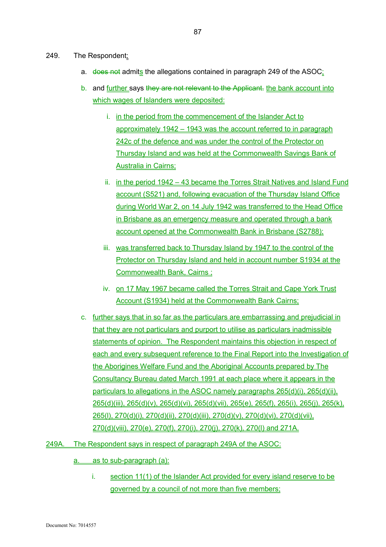- 249. The Respondent:
	- a. does not admits the allegations contained in paragraph 249 of the ASOC:
	- b. and further says they are not relevant to the Applicant. the bank account into which wages of Islanders were deposited:
		- i. in the period from the commencement of the Islander Act to approximately 1942 – 1943 was the account referred to in paragraph 242c of the defence and was under the control of the Protector on Thursday Island and was held at the Commonwealth Savings Bank of Australia in Cairns;
		- ii. in the period 1942 43 became the Torres Strait Natives and Island Fund account (S521) and, following evacuation of the Thursday Island Office during World War 2, on 14 July 1942 was transferred to the Head Office in Brisbane as an emergency measure and operated through a bank account opened at the Commonwealth Bank in Brisbane (S2788);
		- iii. was transferred back to Thursday Island by 1947 to the control of the Protector on Thursday Island and held in account number S1934 at the Commonwealth Bank, Cairns ;
		- iv. on 17 May 1967 became called the Torres Strait and Cape York Trust Account (S1934) held at the Commonwealth Bank Cairns;
	- c. further says that in so far as the particulars are embarrassing and prejudicial in that they are not particulars and purport to utilise as particulars inadmissible statements of opinion. The Respondent maintains this objection in respect of each and every subsequent reference to the Final Report into the Investigation of the Aborigines Welfare Fund and the Aboriginal Accounts prepared by The Consultancy Bureau dated March 1991 at each place where it appears in the particulars to allegations in the ASOC namely paragraphs 265(d)(i), 265(d)(ii), 265(d)(iii), 265(d)(v), 265(d)(vi), 265(d)(vii), 265(e), 265(f), 265(i), 265(j), 265(k), 265(l), 270(d)(i), 270(d)(ii), 270(d)(iii), 270(d)(v), 270(d)(vi), 270(d)(vii), 270(d)(viii), 270(e), 270(f), 270(i), 270(j), 270(k), 270(l) and 271A.
- 249A. The Respondent says in respect of paragraph 249A of the ASOC:
	- a. as to sub-paragraph (a):
		- i. section 11(1) of the Islander Act provided for every island reserve to be governed by a council of not more than five members;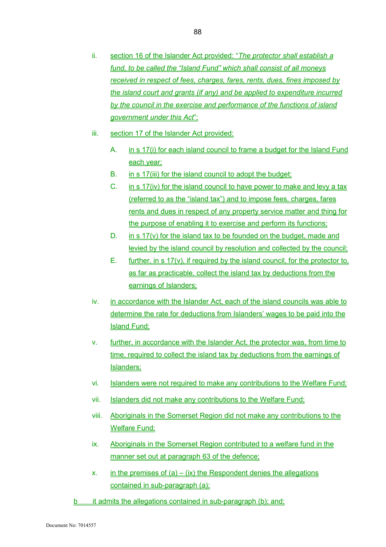- ii. section 16 of the Islander Act provided: "*The protector shall establish a fund, to be called the "Island Fund" which shall consist of all moneys received in respect of fees, charges, fares, rents, dues, fines imposed by the island court and grants (if any) and be applied to expenditure incurred by the council in the exercise and performance of the functions of island government under this Act*";
- iii. section 17 of the Islander Act provided:
	- A. in s 17(i) for each island council to frame a budget for the Island Fund each year;
	- B. in s 17(iii) for the island council to adopt the budget;
	- C. in s 17(iv) for the island council to have power to make and levy a tax (referred to as the "island tax") and to impose fees, charges, fares rents and dues in respect of any property service matter and thing for the purpose of enabling it to exercise and perform its functions;
	- D. in s  $17(y)$  for the island tax to be founded on the budget, made and levied by the island council by resolution and collected by the council;
	- $E_{\text{m}}$  further, in s 17(y), if required by the island council, for the protector to, as far as practicable, collect the island tax by deductions from the earnings of Islanders;
- iv. in accordance with the Islander Act, each of the island councils was able to determine the rate for deductions from Islanders' wages to be paid into the Island Fund;
- v. further, in accordance with the Islander Act, the protector was, from time to time, required to collect the island tax by deductions from the earnings of Islanders;
- vi. Islanders were not required to make any contributions to the Welfare Fund;
- vii. Islanders did not make any contributions to the Welfare Fund;
- viii. Aboriginals in the Somerset Region did not make any contributions to the Welfare Fund;
- ix. Aboriginals in the Somerset Region contributed to a welfare fund in the manner set out at paragraph 63 of the defence;
- x. in the premises of  $(a) (ix)$  the Respondent denies the allegations contained in sub-paragraph (a);
- b it admits the allegations contained in sub-paragraph (b); and;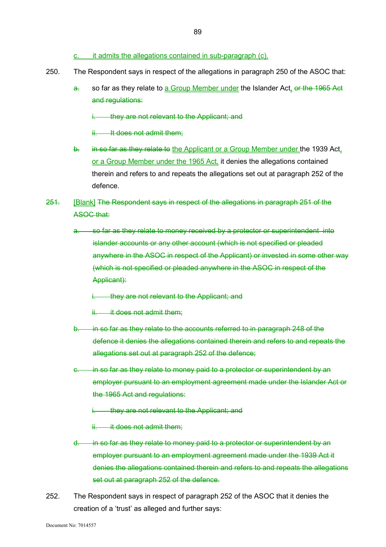- c. it admits the allegations contained in sub-paragraph (c).
- 250. The Respondent says in respect of the allegations in paragraph 250 of the ASOC that:
	- a. so far as they relate to a Group Member under the Islander Act, or the 1965 Act and regulations:
		- i. they are not relevant to the Applicant; and
		- ii. It does not admit them:
	- b. in so far as they relate to the Applicant or a Group Member under the 1939 Act. or a Group Member under the 1965 Act, it denies the allegations contained therein and refers to and repeats the allegations set out at paragraph 252 of the defence.
- 251. [Blank] The Respondent says in respect of the allegations in paragraph 251 of the ASOC that:
	- a. so far as they relate to money received by a protector or superintendent into islander accounts or any other account (which is not specified or pleaded anywhere in the ASOC in respect of the Applicant) or invested in some other way (which is not specified or pleaded anywhere in the ASOC in respect of the Applicant):
		- i. they are not relevant to the Applicant; and
		- ii. it does not admit them:
	- b. in so far as they relate to the accounts referred to in paragraph 248 of the defence it denies the allegations contained therein and refers to and repeats the allegations set out at paragraph 252 of the defence;
	- in so far as they relate to money paid to a protector or superintendent by an employer pursuant to an employment agreement made under the Islander Act or the 1965 Act and regulations:
		- they are not relevant to the Applicant; and
		- ii. it does not admit them:
	- d. in so far as they relate to money paid to a protector or superintendent by an employer pursuant to an employment agreement made under the 1939 Act it denies the allegations contained therein and refers to and repeats the allegations set out at paragraph 252 of the defence.
- 252. The Respondent says in respect of paragraph 252 of the ASOC that it denies the creation of a 'trust' as alleged and further says: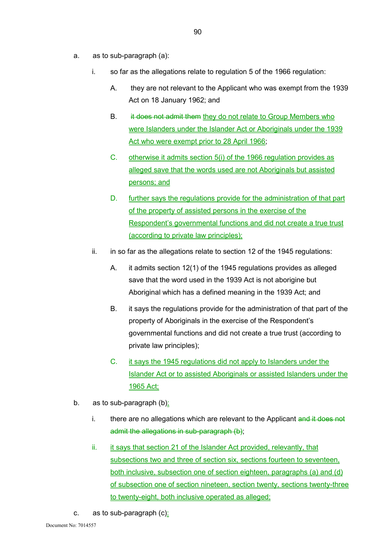- a. as to sub-paragraph (a):
	- i. so far as the allegations relate to regulation 5 of the 1966 regulation:
		- A. they are not relevant to the Applicant who was exempt from the 1939 Act on 18 January 1962; and
		- B. it does not admit them they do not relate to Group Members who were Islanders under the Islander Act or Aboriginals under the 1939 Act who were exempt prior to 28 April 1966;
		- C. otherwise it admits section 5(i) of the 1966 regulation provides as alleged save that the words used are not Aboriginals but assisted persons; and
		- D. further says the regulations provide for the administration of that part of the property of assisted persons in the exercise of the Respondent's governmental functions and did not create a true trust (according to private law principles);
	- ii. in so far as the allegations relate to section 12 of the 1945 regulations:
		- A. it admits section 12(1) of the 1945 regulations provides as alleged save that the word used in the 1939 Act is not aborigine but Aboriginal which has a defined meaning in the 1939 Act; and
		- B. it says the regulations provide for the administration of that part of the property of Aboriginals in the exercise of the Respondent's governmental functions and did not create a true trust (according to private law principles);
		- C. it says the 1945 regulations did not apply to Islanders under the Islander Act or to assisted Aboriginals or assisted Islanders under the 1965 Act;
- b. as to sub-paragraph (b):
	- i. there are no allegations which are relevant to the Applicant  $\frac{d}{dt}$  does not admit the allegations in sub-paragraph (b);
	- ii. it says that section 21 of the Islander Act provided, relevantly, that subsections two and three of section six, sections fourteen to seventeen, both inclusive, subsection one of section eighteen, paragraphs (a) and (d) of subsection one of section nineteen, section twenty, sections twenty-three to twenty-eight, both inclusive operated as alleged;
- c. as to sub-paragraph  $(c)$ :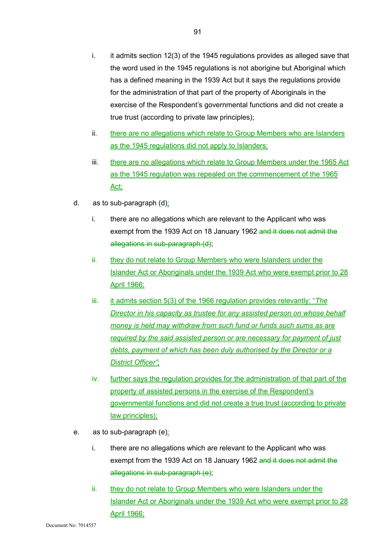- i. it admits section 12(3) of the 1945 regulations provides as alleged save that the word used in the 1945 regulations is not aborigine but Aboriginal which has a defined meaning in the 1939 Act but it says the regulations provide for the administration of that part of the property of Aboriginals in the exercise of the Respondent's governmental functions and did not create a true trust (according to private law principles);
- ii. there are no allegations which relate to Group Members who are Islanders as the 1945 regulations did not apply to Islanders;
- iii. there are no allegations which relate to Group Members under the 1965 Act as the 1945 regulation was repealed on the commencement of the 1965 Act;
- d. as to sub-paragraph  $(d)$ :
	- i. there are no allegations which are relevant to the Applicant who was exempt from the 1939 Act on 18 January 1962 and it does not admit the allegations in sub-paragraph (d);
	- ii. they do not relate to Group Members who were Islanders under the Islander Act or Aboriginals under the 1939 Act who were exempt prior to 28 April 1966;
	- iii. <u>it admits section 5(3)</u> of the 1966 regulation provides relevantly: "*The Director in his capacity as trustee for any assisted person on whose behalf money is held may withdraw from such fund or funds such sums as are required by the said assisted person or are necessary for payment of just debts, payment of which has been duly authorised by the Director or a District Officer"*;
	- iv. further says the regulation provides for the administration of that part of the property of assisted persons in the exercise of the Respondent's governmental functions and did not create a true trust (according to private law principles);
- e. as to sub-paragraph (e):
	- i. there are no allegations which are relevant to the Applicant who was exempt from the 1939 Act on 18 January 1962 and it does not admit the allegations in sub-paragraph (e);
	- ii. they do not relate to Group Members who were Islanders under the Islander Act or Aboriginals under the 1939 Act who were exempt prior to 28 April 1966;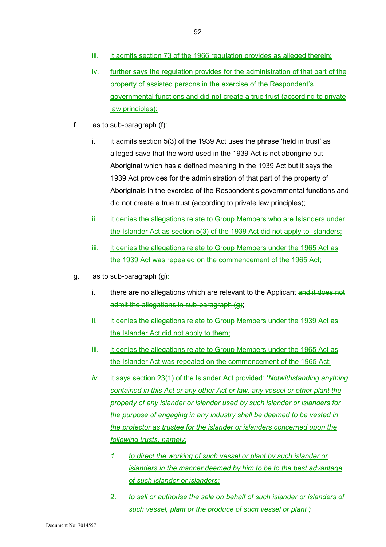- iii. it admits section 73 of the 1966 regulation provides as alleged therein;
- iv. further says the regulation provides for the administration of that part of the property of assisted persons in the exercise of the Respondent's governmental functions and did not create a true trust (according to private law principles);
- f. as to sub-paragraph  $(f)$ :
	- i. it admits section 5(3) of the 1939 Act uses the phrase 'held in trust' as alleged save that the word used in the 1939 Act is not aborigine but Aboriginal which has a defined meaning in the 1939 Act but it says the 1939 Act provides for the administration of that part of the property of Aboriginals in the exercise of the Respondent's governmental functions and did not create a true trust (according to private law principles);
	- ii. it denies the allegations relate to Group Members who are Islanders under the Islander Act as section 5(3) of the 1939 Act did not apply to Islanders;
	- iii. it denies the allegations relate to Group Members under the 1965 Act as the 1939 Act was repealed on the commencement of the 1965 Act;
- g. as to sub-paragraph  $(g)$ :
	- i. there are no allegations which are relevant to the Applicant and it does not admit the allegations in sub-paragraph (g);
	- ii. it denies the allegations relate to Group Members under the 1939 Act as the Islander Act did not apply to them;
	- iii. it denies the allegations relate to Group Members under the 1965 Act as the Islander Act was repealed on the commencement of the 1965 Act;
	- *iv.* it says section 23(1) of the Islander Act provided: '*Notwithstanding anything contained in this Act or any other Act or law, any vessel or other plant the property of any islander or islander used by such islander or islanders for the purpose of engaging in any industry shall be deemed to be vested in the protector as trustee for the islander or islanders concerned upon the following trusts, namely:* 
		- *1. to direct the working of such vessel or plant by such islander or islanders in the manner deemed by him to be to the best advantage of such islander or islanders;*
		- 2. *to sell or authorise the sale on behalf of such islander or islanders of such vessel, plant or the produce of such vessel or plant";*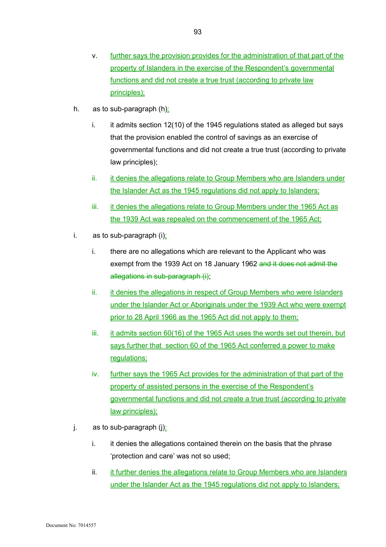- v. further says the provision provides for the administration of that part of the property of Islanders in the exercise of the Respondent's governmental functions and did not create a true trust (according to private law principles);
- h. as to sub-paragraph  $(h)$ :
	- $i.$  it admits section 12(10) of the 1945 regulations stated as alleged but says that the provision enabled the control of savings as an exercise of governmental functions and did not create a true trust (according to private law principles);
	- ii. it denies the allegations relate to Group Members who are Islanders under the Islander Act as the 1945 regulations did not apply to Islanders;
	- iii. it denies the allegations relate to Group Members under the 1965 Act as the 1939 Act was repealed on the commencement of the 1965 Act;
- i. as to sub-paragraph  $(i)$ :
	- i. there are no allegations which are relevant to the Applicant who was exempt from the 1939 Act on 18 January 1962 and it does not admit the allegations in sub-paragraph (i);
	- ii. it denies the allegations in respect of Group Members who were Islanders under the Islander Act or Aboriginals under the 1939 Act who were exempt prior to 28 April 1966 as the 1965 Act did not apply to them;
	- iii. it admits section 60(16) of the 1965 Act uses the words set out therein, but says further that section 60 of the 1965 Act conferred a power to make regulations;
	- iv. further says the 1965 Act provides for the administration of that part of the property of assisted persons in the exercise of the Respondent's governmental functions and did not create a true trust (according to private law principles);
- j. as to sub-paragraph  $(j)$ :
	- i. it denies the allegations contained therein on the basis that the phrase 'protection and care' was not so used;
	- ii. it further denies the allegations relate to Group Members who are Islanders under the Islander Act as the 1945 regulations did not apply to Islanders;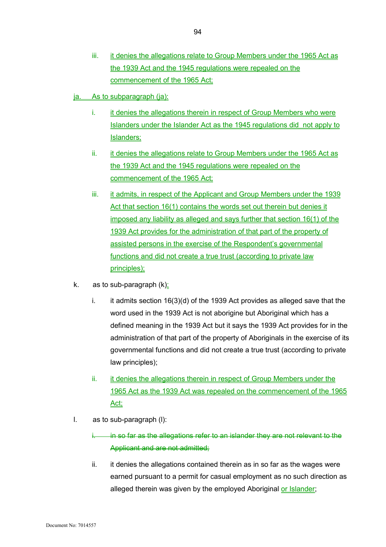- iii. it denies the allegations relate to Group Members under the 1965 Act as the 1939 Act and the 1945 regulations were repealed on the commencement of the 1965 Act;
- ja. As to subparagraph (ja):
	- i. it denies the allegations therein in respect of Group Members who were Islanders under the Islander Act as the 1945 regulations did not apply to Islanders;
	- ii. it denies the allegations relate to Group Members under the 1965 Act as the 1939 Act and the 1945 regulations were repealed on the commencement of the 1965 Act;
	- iii. it admits, in respect of the Applicant and Group Members under the 1939 Act that section 16(1) contains the words set out therein but denies it imposed any liability as alleged and says further that section 16(1) of the 1939 Act provides for the administration of that part of the property of assisted persons in the exercise of the Respondent's governmental functions and did not create a true trust (according to private law principles);
- k. as to sub-paragraph  $(k)$ :
	- i. it admits section  $16(3)(d)$  of the 1939 Act provides as alleged save that the word used in the 1939 Act is not aborigine but Aboriginal which has a defined meaning in the 1939 Act but it says the 1939 Act provides for in the administration of that part of the property of Aboriginals in the exercise of its governmental functions and did not create a true trust (according to private law principles);
	- ii. it denies the allegations therein in respect of Group Members under the 1965 Act as the 1939 Act was repealed on the commencement of the 1965 Act;
- l. as to sub-paragraph (l):
	- in so far as the allegations refer to an islander they are not relevant to the Applicant and are not admitted;
	- ii. it denies the allegations contained therein as in so far as the wages were earned pursuant to a permit for casual employment as no such direction as alleged therein was given by the employed Aboriginal or Islander;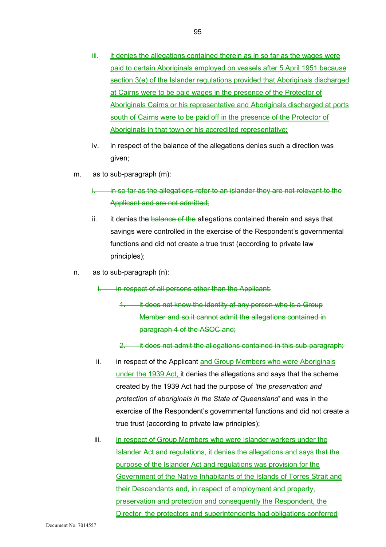- iii. it denies the allegations contained therein as in so far as the wages were paid to certain Aboriginals employed on vessels after 5 April 1951 because section 3(e) of the Islander regulations provided that Aboriginals discharged at Cairns were to be paid wages in the presence of the Protector of Aboriginals Cairns or his representative and Aboriginals discharged at ports south of Cairns were to be paid off in the presence of the Protector of Aboriginals in that town or his accredited representative;
- iv. in respect of the balance of the allegations denies such a direction was given;
- m. as to sub-paragraph (m):
	- in so far as the allegations refer to an islander they are not relevant to the Applicant and are not admitted;
	- ii. it denies the balance of the allegations contained therein and says that savings were controlled in the exercise of the Respondent's governmental functions and did not create a true trust (according to private law principles);
- n. as to sub-paragraph (n):

in respect of all persons other than the Applicant:

- 1. it does not know the identity of any person who is a Group Member and so it cannot admit the allegations contained in paragraph 4 of the ASOC and;
- 2. it does not admit the allegations contained in this sub-paragraph;
- ii. in respect of the Applicant and Group Members who were Aboriginals under the 1939 Act, it denies the allegations and says that the scheme created by the 1939 Act had the purpose of *'the preservation and protection of aboriginals in the State of Queensland'* and was in the exercise of the Respondent's governmental functions and did not create a true trust (according to private law principles);
- iii. in respect of Group Members who were Islander workers under the Islander Act and regulations, it denies the allegations and says that the purpose of the Islander Act and regulations was provision for the Government of the Native Inhabitants of the Islands of Torres Strait and their Descendants and, in respect of employment and property, preservation and protection and consequently the Respondent, the Director, the protectors and superintendents had obligations conferred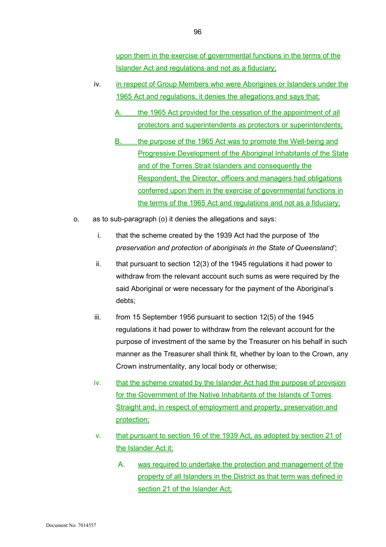upon them in the exercise of governmental functions in the terms of the Islander Act and regulations and not as a fiduciary;

- iv. in respect of Group Members who were Aborigines or Islanders under the 1965 Act and regulations, it denies the allegations and says that:
	- the 1965 Act provided for the cessation of the appointment of all protectors and superintendents as protectors or superintendents;
	- B. the purpose of the 1965 Act was to promote the Well-being and Progressive Development of the Aboriginal Inhabitants of the State and of the Torres Strait Islanders and consequently the Respondent, the Director, officers and managers had obligations conferred upon them in the exercise of governmental functions in the terms of the 1965 Act and regulations and not as a fiduciary;
- o. as to sub-paragraph (o) it denies the allegations and says:
	- i. that the scheme created by the 1939 Act had the purpose of *'the preservation and protection of aboriginals in the State of Queensland'*;
	- ii. that pursuant to section 12(3) of the 1945 regulations it had power to withdraw from the relevant account such sums as were required by the said Aboriginal or were necessary for the payment of the Aboriginal's debts;
	- iii. from 15 September 1956 pursuant to section 12(5) of the 1945 regulations it had power to withdraw from the relevant account for the purpose of investment of the same by the Treasurer on his behalf in such manner as the Treasurer shall think fit, whether by loan to the Crown, any Crown instrumentality, any local body or otherwise;
	- iv. that the scheme created by the Islander Act had the purpose of provision for the Government of the Native Inhabitants of the Islands of Torres Straight and, in respect of employment and property, preservation and protection;
	- v. that pursuant to section 16 of the 1939 Act, as adopted by section 21 of the Islander Act it:
		- A. was required to undertake the protection and management of the property of all Islanders in the District as that term was defined in section 21 of the Islander Act;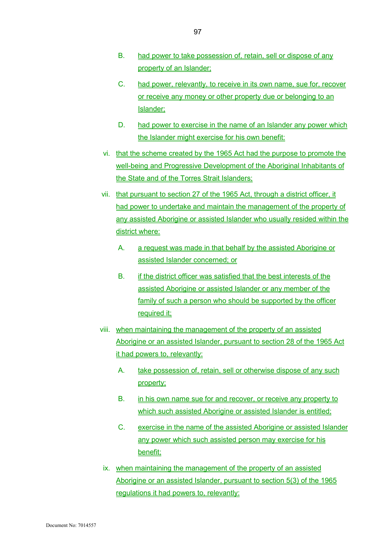- B. had power to take possession of, retain, sell or dispose of any property of an Islander;
- C. had power, relevantly, to receive in its own name, sue for, recover or receive any money or other property due or belonging to an Islander;
- D. had power to exercise in the name of an Islander any power which the Islander might exercise for his own benefit:
- vi. that the scheme created by the 1965 Act had the purpose to promote the well-being and Progressive Development of the Aboriginal Inhabitants of the State and of the Torres Strait Islanders;
- vii. that pursuant to section 27 of the 1965 Act, through a district officer, it had power to undertake and maintain the management of the property of any assisted Aborigine or assisted Islander who usually resided within the district where:
	- A. a request was made in that behalf by the assisted Aborigine or assisted Islander concerned; or
	- B. if the district officer was satisfied that the best interests of the assisted Aborigine or assisted Islander or any member of the family of such a person who should be supported by the officer required it;
- viii. when maintaining the management of the property of an assisted Aborigine or an assisted Islander, pursuant to section 28 of the 1965 Act it had powers to, relevantly:
	- A. take possession of, retain, sell or otherwise dispose of any such property;
	- B. in his own name sue for and recover, or receive any property to which such assisted Aborigine or assisted Islander is entitled;
	- C. exercise in the name of the assisted Aborigine or assisted Islander any power which such assisted person may exercise for his benefit;
- ix. when maintaining the management of the property of an assisted Aborigine or an assisted Islander, pursuant to section 5(3) of the 1965 regulations it had powers to, relevantly: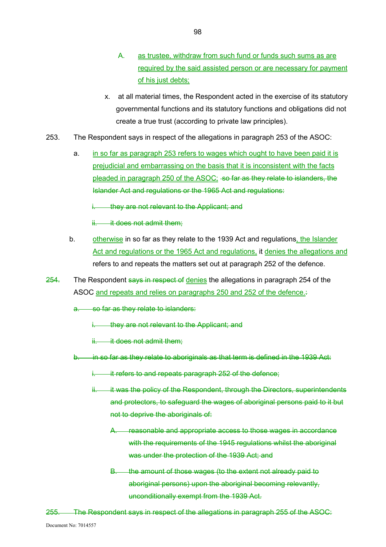- A. as trustee, withdraw from such fund or funds such sums as are required by the said assisted person or are necessary for payment of his just debts;
- x. at all material times, the Respondent acted in the exercise of its statutory governmental functions and its statutory functions and obligations did not create a true trust (according to private law principles).
- 253. The Respondent says in respect of the allegations in paragraph 253 of the ASOC:
	- a. in so far as paragraph 253 refers to wages which ought to have been paid it is prejudicial and embarrassing on the basis that it is inconsistent with the facts pleaded in paragraph 250 of the ASOC; so far as they relate to islanders, the Islander Act and regulations or the 1965 Act and regulations:

they are not relevant to the Applicant; and

- ii. it does not admit them:
- b. otherwise in so far as they relate to the 1939 Act and regulations, the Islander Act and regulations or the 1965 Act and regulations, it denies the allegations and refers to and repeats the matters set out at paragraph 252 of the defence.
- 254. The Respondent says in respect of denies the allegations in paragraph 254 of the ASOC and repeats and relies on paragraphs 250 and 252 of the defence.

a. so far as they relate to islanders:

- they are not relevant to the Applicant; and
- it does not admit them:
- b. in so far as they relate to aboriginals as that term is defined in the 1939 Act:
	- i. it refers to and repeats paragraph 252 of the defence;
	- ii. it was the policy of the Respondent, through the Directors, superintendents and protectors, to safeguard the wages of aboriginal persons paid to it but not to deprive the aboriginals of:
		- A. reasonable and appropriate access to those wages in accordance with the requirements of the 1945 regulations whilst the aboriginal was under the protection of the 1939 Act; and
		- B. the amount of those wages (to the extent not already paid to aboriginal persons) upon the aboriginal becoming relevantly, unconditionally exempt from the 1939 Act.
- 255. The Respondent says in respect of the allegations in paragraph 255 of the ASOC: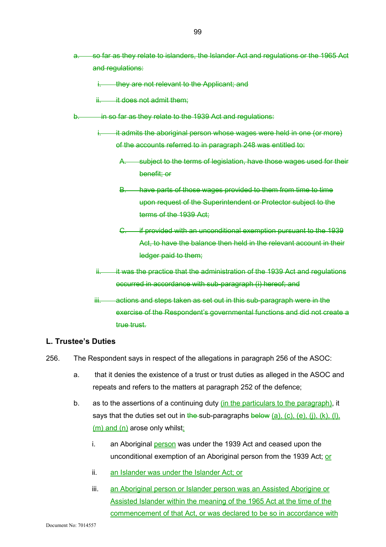- a. so far as they relate to islanders, the Islander Act and regulations or the 1965 Act and regulations:
	- i. they are not relevant to the Applicant; and
	- ii. it does not admit them:
- b. in so far as they relate to the 1939 Act and regulations:
	- it admits the aboriginal person whose wages were held in one (or more) of the accounts referred to in paragraph 248 was entitled to:
		- A. subject to the terms of legislation, have those wages used for their benefit; or
		- B. have parts of those wages provided to them from time to time upon request of the Superintendent or Protector subject to the terms of the 1939 Act;
		- C. if provided with an unconditional exemption pursuant to the 1939 Act, to have the balance then held in the relevant account in their ledger paid to them;
	- ii. it was the practice that the administration of the 1939 Act and regulations occurred in accordance with sub-paragraph (i) hereof; and
	- iii. actions and steps taken as set out in this sub-paragraph were in the exercise of the Respondent's governmental functions and did not create a true trust.

#### **L. Trustee's Duties**

- 256. The Respondent says in respect of the allegations in paragraph 256 of the ASOC:
	- a. that it denies the existence of a trust or trust duties as alleged in the ASOC and repeats and refers to the matters at paragraph 252 of the defence;
	- b. as to the assertions of a continuing duty (in the particulars to the paragraph), it says that the duties set out in the sub-paragraphs below  $(a)$ ,  $(c)$ ,  $(e)$ ,  $(j)$ ,  $(k)$ ,  $(l)$ ,  $(m)$  and  $(n)$  arose only whilst:
		- i. an Aboriginal person was under the 1939 Act and ceased upon the unconditional exemption of an Aboriginal person from the 1939 Act; or
		- ii. an Islander was under the Islander Act; or
		- iii. an Aboriginal person or Islander person was an Assisted Aborigine or Assisted Islander within the meaning of the 1965 Act at the time of the commencement of that Act, or was declared to be so in accordance with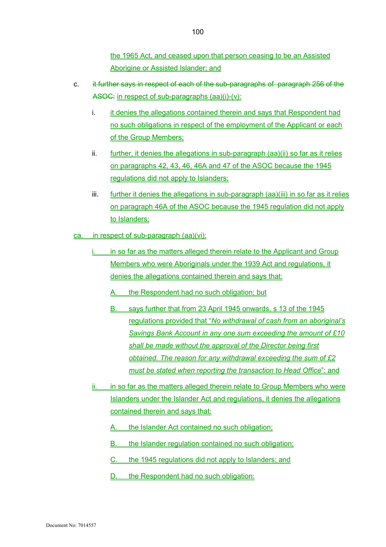the 1965 Act, and ceased upon that person ceasing to be an Assisted Aborigine or Assisted Islander; and

- c. it further says in respect of each of the sub-paragraphs of paragraph 256 of the ASOC: in respect of sub-paragraphs (aa)(i)-(v):
	- i. it denies the allegations contained therein and says that Respondent had no such obligations in respect of the employment of the Applicant or each of the Group Members;
	- ii. further, it denies the allegations in sub-paragraph (aa)(ii) so far as it relies on paragraphs 42, 43, 46, 46A and 47 of the ASOC because the 1945 regulations did not apply to Islanders;
	- iii. further it denies the allegations in sub-paragraph (aa)(iii) in so far as it relies on paragraph 46A of the ASOC because the 1945 regulation did not apply to Islanders;
- ca. in respect of sub-paragraph (aa)(vi):
	- in so far as the matters alleged therein relate to the Applicant and Group Members who were Aboriginals under the 1939 Act and regulations, it denies the allegations contained therein and says that:
		- A. the Respondent had no such obligation; but
		- B. says further that from 23 April 1945 onwards, s 13 of the 1945 regulations provided that "*No withdrawal of cash from an aboriginal's Savings Bank Account in any one sum exceeding the amount of £10 shall be made without the approval of the Director being first obtained. The reason for any withdrawal exceeding the sum of £2 must be stated when reporting the transaction to Head Office*"; and
	- ii. in so far as the matters alleged therein relate to Group Members who were Islanders under the Islander Act and regulations, it denies the allegations contained therein and says that:
		- A. the Islander Act contained no such obligation;
		- B. the Islander regulation contained no such obligation;
		- C. the 1945 regulations did not apply to Islanders; and
		- D. the Respondent had no such obligation: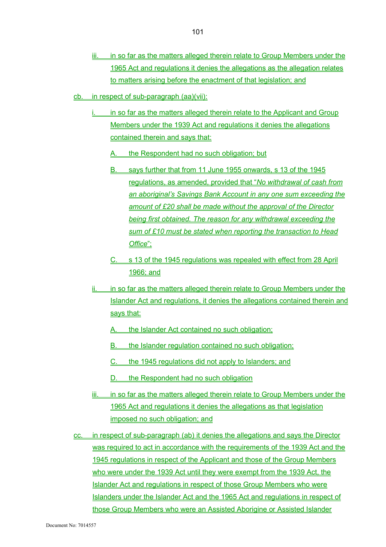- iii. in so far as the matters alleged therein relate to Group Members under the 1965 Act and regulations it denies the allegations as the allegation relates to matters arising before the enactment of that legislation; and
- cb. in respect of sub-paragraph (aa)(vii):
	- in so far as the matters alleged therein relate to the Applicant and Group Members under the 1939 Act and regulations it denies the allegations contained therein and says that:

A. the Respondent had no such obligation; but

- B. says further that from 11 June 1955 onwards, s 13 of the 1945 regulations, as amended, provided that "*No withdrawal of cash from an aboriginal's Savings Bank Account in any one sum exceeding the amount of £20 shall be made without the approval of the Director being first obtained. The reason for any withdrawal exceeding the sum of £10 must be stated when reporting the transaction to Head Office*";
- C. s 13 of the 1945 regulations was repealed with effect from 28 April 1966; and
- ii. in so far as the matters alleged therein relate to Group Members under the Islander Act and regulations, it denies the allegations contained therein and says that:
	- A. the Islander Act contained no such obligation;
	- B. the Islander regulation contained no such obligation;
	- C. the 1945 regulations did not apply to Islanders; and
	- D. the Respondent had no such obligation
- iii. in so far as the matters alleged therein relate to Group Members under the 1965 Act and regulations it denies the allegations as that legislation imposed no such obligation; and
- cc. in respect of sub-paragraph (ab) it denies the allegations and says the Director was required to act in accordance with the requirements of the 1939 Act and the 1945 regulations in respect of the Applicant and those of the Group Members who were under the 1939 Act until they were exempt from the 1939 Act, the Islander Act and regulations in respect of those Group Members who were Islanders under the Islander Act and the 1965 Act and regulations in respect of those Group Members who were an Assisted Aborigine or Assisted Islander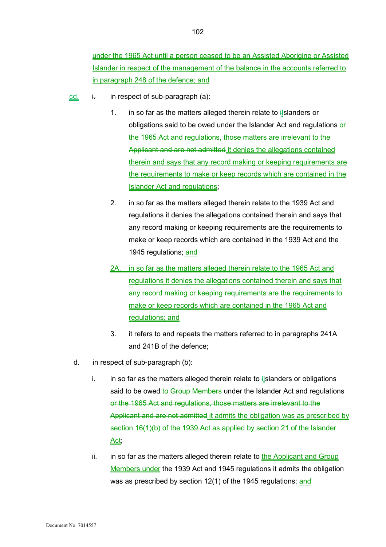under the 1965 Act until a person ceased to be an Assisted Aborigine or Assisted Islander in respect of the management of the balance in the accounts referred to in paragraph 248 of the defence; and

- cd.  $\dot{h}$  in respect of sub-paragraph (a):
	- 1. in so far as the matters alleged therein relate to ilslanders or obligations said to be owed under the Islander Act and regulations  $\theta$ the 1965 Act and regulations, those matters are irrelevant to the Applicant and are not admitted it denies the allegations contained therein and says that any record making or keeping requirements are the requirements to make or keep records which are contained in the Islander Act and regulations;
	- 2. in so far as the matters alleged therein relate to the 1939 Act and regulations it denies the allegations contained therein and says that any record making or keeping requirements are the requirements to make or keep records which are contained in the 1939 Act and the 1945 regulations; and
	- 2A. in so far as the matters alleged therein relate to the 1965 Act and regulations it denies the allegations contained therein and says that any record making or keeping requirements are the requirements to make or keep records which are contained in the 1965 Act and regulations; and
	- 3. it refers to and repeats the matters referred to in paragraphs 241A and 241B of the defence;
	- d. in respect of sub-paragraph (b):
		- i. in so far as the matters alleged therein relate to  $\frac{1}{2}$ slanders or obligations said to be owed to Group Members under the Islander Act and regulations or the 1965 Act and regulations, those matters are irrelevant to the Applicant and are not admitted it admits the obligation was as prescribed by section 16(1)(b) of the 1939 Act as applied by section 21 of the Islander Act;
		- ii. in so far as the matters alleged therein relate to the Applicant and Group Members under the 1939 Act and 1945 regulations it admits the obligation was as prescribed by section 12(1) of the 1945 regulations; and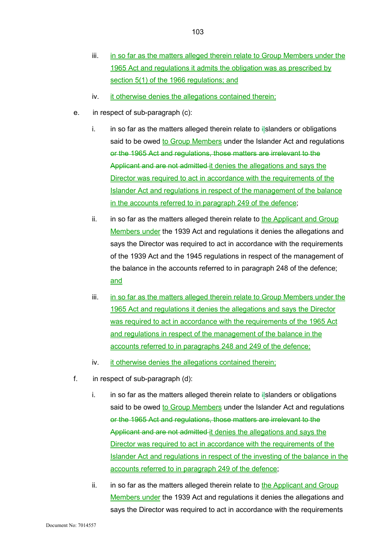- iii. in so far as the matters alleged therein relate to Group Members under the 1965 Act and regulations it admits the obligation was as prescribed by section 5(1) of the 1966 regulations; and
- iv. it otherwise denies the allegations contained therein;
- e. in respect of sub-paragraph (c):
	- i. in so far as the matters alleged therein relate to ilslanders or obligations said to be owed to Group Members under the Islander Act and regulations or the 1965 Act and regulations, those matters are irrelevant to the Applicant and are not admitted it denies the allegations and says the Director was required to act in accordance with the requirements of the Islander Act and regulations in respect of the management of the balance in the accounts referred to in paragraph 249 of the defence;
	- ii. in so far as the matters alleged therein relate to the Applicant and Group Members under the 1939 Act and regulations it denies the allegations and says the Director was required to act in accordance with the requirements of the 1939 Act and the 1945 regulations in respect of the management of the balance in the accounts referred to in paragraph 248 of the defence; and
	- iii. in so far as the matters alleged therein relate to Group Members under the 1965 Act and regulations it denies the allegations and says the Director was required to act in accordance with the requirements of the 1965 Act and regulations in respect of the management of the balance in the accounts referred to in paragraphs 248 and 249 of the defence;
	- iv. it otherwise denies the allegations contained therein;
- f. in respect of sub-paragraph (d):
	- i. in so far as the matters alleged therein relate to  $\ddot{i}$  Islanders or obligations said to be owed to Group Members under the Islander Act and regulations or the 1965 Act and regulations, those matters are irrelevant to the Applicant and are not admitted it denies the allegations and says the Director was required to act in accordance with the requirements of the Islander Act and regulations in respect of the investing of the balance in the accounts referred to in paragraph 249 of the defence;
	- ii. in so far as the matters alleged therein relate to the Applicant and Group Members under the 1939 Act and regulations it denies the allegations and says the Director was required to act in accordance with the requirements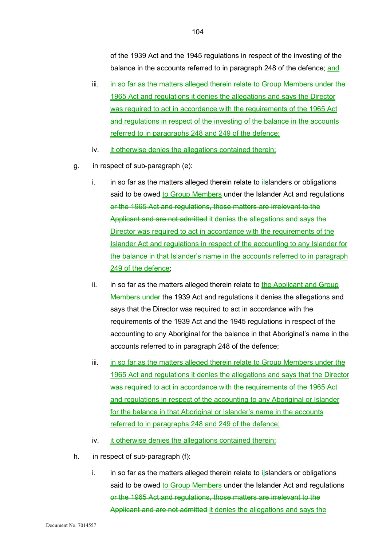of the 1939 Act and the 1945 regulations in respect of the investing of the balance in the accounts referred to in paragraph 248 of the defence; and

- iii. in so far as the matters alleged therein relate to Group Members under the 1965 Act and regulations it denies the allegations and says the Director was required to act in accordance with the requirements of the 1965 Act and regulations in respect of the investing of the balance in the accounts referred to in paragraphs 248 and 249 of the defence;
- iv. it otherwise denies the allegations contained therein;
- g. in respect of sub-paragraph (e):
	- i. in so far as the matters alleged therein relate to  $\ddot{i}$  Islanders or obligations said to be owed to Group Members under the Islander Act and regulations or the 1965 Act and regulations, those matters are irrelevant to the Applicant and are not admitted it denies the allegations and says the Director was required to act in accordance with the requirements of the Islander Act and regulations in respect of the accounting to any Islander for the balance in that Islander's name in the accounts referred to in paragraph 249 of the defence;
	- ii. in so far as the matters alleged therein relate to the Applicant and Group Members under the 1939 Act and regulations it denies the allegations and says that the Director was required to act in accordance with the requirements of the 1939 Act and the 1945 regulations in respect of the accounting to any Aboriginal for the balance in that Aboriginal's name in the accounts referred to in paragraph 248 of the defence;
	- iii. in so far as the matters alleged therein relate to Group Members under the 1965 Act and regulations it denies the allegations and says that the Director was required to act in accordance with the requirements of the 1965 Act and regulations in respect of the accounting to any Aboriginal or Islander for the balance in that Aboriginal or Islander's name in the accounts referred to in paragraphs 248 and 249 of the defence;
	- iv. it otherwise denies the allegations contained therein;
- h. in respect of sub-paragraph (f):
	- i. in so far as the matters alleged therein relate to  $\frac{1}{2}$  slanders or obligations said to be owed to Group Members under the Islander Act and regulations or the 1965 Act and regulations, those matters are irrelevant to the Applicant and are not admitted it denies the allegations and says the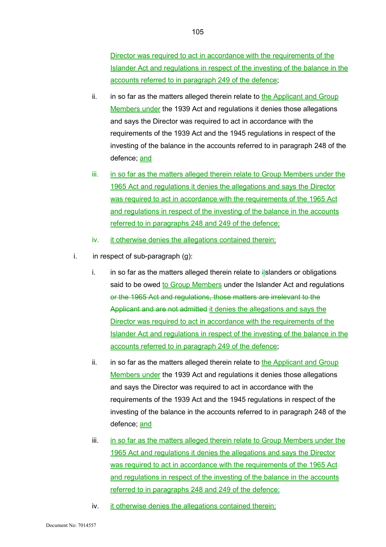Director was required to act in accordance with the requirements of the Islander Act and regulations in respect of the investing of the balance in the accounts referred to in paragraph 249 of the defence;

- ii. in so far as the matters alleged therein relate to the Applicant and Group Members under the 1939 Act and regulations it denies those allegations and says the Director was required to act in accordance with the requirements of the 1939 Act and the 1945 regulations in respect of the investing of the balance in the accounts referred to in paragraph 248 of the defence; and
- iii. in so far as the matters alleged therein relate to Group Members under the 1965 Act and regulations it denies the allegations and says the Director was required to act in accordance with the requirements of the 1965 Act and regulations in respect of the investing of the balance in the accounts referred to in paragraphs 248 and 249 of the defence;
- iv. it otherwise denies the allegations contained therein;
- i. in respect of sub-paragraph  $(g)$ :
	- i. in so far as the matters alleged therein relate to  $\frac{1}{2}$ slanders or obligations said to be owed to Group Members under the Islander Act and regulations or the 1965 Act and regulations, those matters are irrelevant to the Applicant and are not admitted it denies the allegations and says the Director was required to act in accordance with the requirements of the Islander Act and regulations in respect of the investing of the balance in the accounts referred to in paragraph 249 of the defence;
	- ii. in so far as the matters alleged therein relate to the Applicant and Group Members under the 1939 Act and regulations it denies those allegations and says the Director was required to act in accordance with the requirements of the 1939 Act and the 1945 regulations in respect of the investing of the balance in the accounts referred to in paragraph 248 of the defence; and
	- iii. in so far as the matters alleged therein relate to Group Members under the 1965 Act and regulations it denies the allegations and says the Director was required to act in accordance with the requirements of the 1965 Act and regulations in respect of the investing of the balance in the accounts referred to in paragraphs 248 and 249 of the defence;
	- iv. it otherwise denies the allegations contained therein;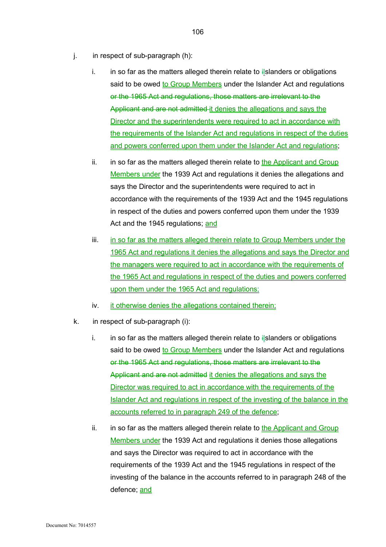- j. in respect of sub-paragraph (h):
	- i. in so far as the matters alleged therein relate to  $i$  slanders or obligations said to be owed to Group Members under the Islander Act and regulations or the 1965 Act and regulations, those matters are irrelevant to the Applicant and are not admitted it denies the allegations and says the Director and the superintendents were required to act in accordance with the requirements of the Islander Act and regulations in respect of the duties and powers conferred upon them under the Islander Act and regulations;
	- ii. in so far as the matters alleged therein relate to the Applicant and Group Members under the 1939 Act and regulations it denies the allegations and says the Director and the superintendents were required to act in accordance with the requirements of the 1939 Act and the 1945 regulations in respect of the duties and powers conferred upon them under the 1939 Act and the 1945 regulations; and
	- iii. in so far as the matters alleged therein relate to Group Members under the 1965 Act and regulations it denies the allegations and says the Director and the managers were required to act in accordance with the requirements of the 1965 Act and regulations in respect of the duties and powers conferred upon them under the 1965 Act and regulations;
	- iv. it otherwise denies the allegations contained therein;
- k. in respect of sub-paragraph (i):
	- i. in so far as the matters alleged therein relate to  $\frac{1}{2}$  slanders or obligations said to be owed to Group Members under the Islander Act and regulations or the 1965 Act and regulations, those matters are irrelevant to the Applicant and are not admitted it denies the allegations and says the Director was required to act in accordance with the requirements of the Islander Act and regulations in respect of the investing of the balance in the accounts referred to in paragraph 249 of the defence;
	- ii. in so far as the matters alleged therein relate to the Applicant and Group Members under the 1939 Act and regulations it denies those allegations and says the Director was required to act in accordance with the requirements of the 1939 Act and the 1945 regulations in respect of the investing of the balance in the accounts referred to in paragraph 248 of the defence; and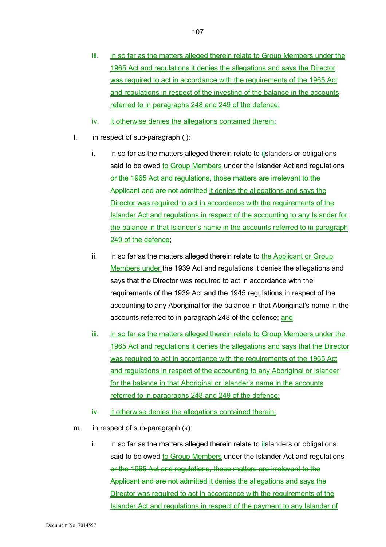- iii. in so far as the matters alleged therein relate to Group Members under the 1965 Act and regulations it denies the allegations and says the Director was required to act in accordance with the requirements of the 1965 Act and regulations in respect of the investing of the balance in the accounts referred to in paragraphs 248 and 249 of the defence;
- iv. it otherwise denies the allegations contained therein;
- l. in respect of sub-paragraph (j):
	- i. in so far as the matters alleged therein relate to  $i$  slanders or obligations said to be owed to Group Members under the Islander Act and regulations or the 1965 Act and regulations, those matters are irrelevant to the Applicant and are not admitted it denies the allegations and says the Director was required to act in accordance with the requirements of the Islander Act and regulations in respect of the accounting to any Islander for the balance in that Islander's name in the accounts referred to in paragraph 249 of the defence:
	- ii. in so far as the matters alleged therein relate to the Applicant or Group Members under the 1939 Act and regulations it denies the allegations and says that the Director was required to act in accordance with the requirements of the 1939 Act and the 1945 regulations in respect of the accounting to any Aboriginal for the balance in that Aboriginal's name in the accounts referred to in paragraph 248 of the defence; and
	- iii. in so far as the matters alleged therein relate to Group Members under the 1965 Act and regulations it denies the allegations and says that the Director was required to act in accordance with the requirements of the 1965 Act and regulations in respect of the accounting to any Aboriginal or Islander for the balance in that Aboriginal or Islander's name in the accounts referred to in paragraphs 248 and 249 of the defence;
	- iv. it otherwise denies the allegations contained therein;
- m. in respect of sub-paragraph (k):
	- i. in so far as the matters alleged therein relate to  $i$ Islanders or obligations said to be owed to Group Members under the Islander Act and regulations or the 1965 Act and regulations, those matters are irrelevant to the Applicant and are not admitted it denies the allegations and says the Director was required to act in accordance with the requirements of the Islander Act and regulations in respect of the payment to any Islander of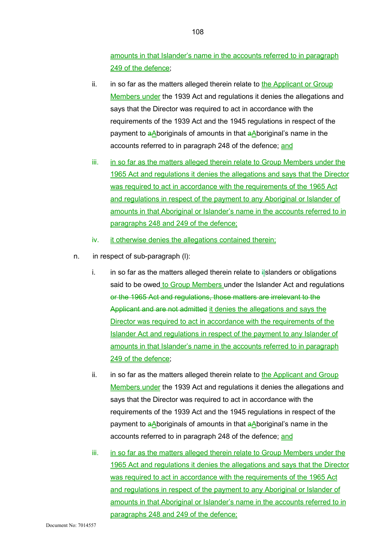amounts in that Islander's name in the accounts referred to in paragraph 249 of the defence;

- ii. in so far as the matters alleged therein relate to the Applicant or Group Members under the 1939 Act and regulations it denies the allegations and says that the Director was required to act in accordance with the requirements of the 1939 Act and the 1945 regulations in respect of the payment to  $a\Delta$ boriginals of amounts in that  $a\Delta$ boriginal's name in the accounts referred to in paragraph 248 of the defence; and
- iii. in so far as the matters alleged therein relate to Group Members under the 1965 Act and regulations it denies the allegations and says that the Director was required to act in accordance with the requirements of the 1965 Act and regulations in respect of the payment to any Aboriginal or Islander of amounts in that Aboriginal or Islander's name in the accounts referred to in paragraphs 248 and 249 of the defence;
- iv. it otherwise denies the allegations contained therein;
- n. in respect of sub-paragraph (l):
	- i. in so far as the matters alleged therein relate to  $\frac{1}{2}$ slanders or obligations said to be owed to Group Members under the Islander Act and regulations or the 1965 Act and regulations, those matters are irrelevant to the Applicant and are not admitted it denies the allegations and says the Director was required to act in accordance with the requirements of the Islander Act and regulations in respect of the payment to any Islander of amounts in that Islander's name in the accounts referred to in paragraph 249 of the defence;
	- ii. in so far as the matters alleged therein relate to the Applicant and Group Members under the 1939 Act and regulations it denies the allegations and says that the Director was required to act in accordance with the requirements of the 1939 Act and the 1945 regulations in respect of the payment to  $a\Delta$ boriginals of amounts in that  $a\Delta$ boriginal's name in the accounts referred to in paragraph 248 of the defence; and
	- iii. in so far as the matters alleged therein relate to Group Members under the 1965 Act and regulations it denies the allegations and says that the Director was required to act in accordance with the requirements of the 1965 Act and regulations in respect of the payment to any Aboriginal or Islander of amounts in that Aboriginal or Islander's name in the accounts referred to in paragraphs 248 and 249 of the defence;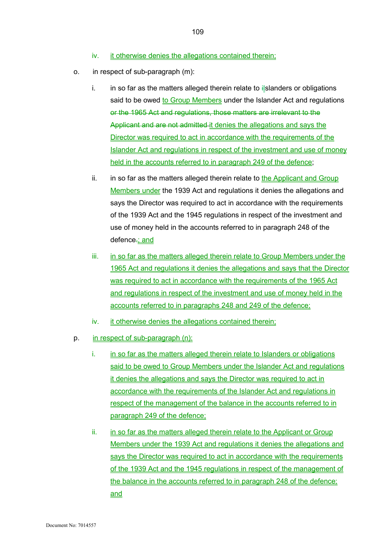- iv. it otherwise denies the allegations contained therein;
- o. in respect of sub-paragraph (m):
	- i. in so far as the matters alleged therein relate to  $\frac{1}{2}$ slanders or obligations said to be owed to Group Members under the Islander Act and regulations or the 1965 Act and regulations, those matters are irrelevant to the Applicant and are not admitted-it denies the allegations and says the Director was required to act in accordance with the requirements of the Islander Act and regulations in respect of the investment and use of money held in the accounts referred to in paragraph 249 of the defence;
	- ii. in so far as the matters alleged therein relate to the Applicant and Group Members under the 1939 Act and regulations it denies the allegations and says the Director was required to act in accordance with the requirements of the 1939 Act and the 1945 regulations in respect of the investment and use of money held in the accounts referred to in paragraph 248 of the defence.; and
	- iii. in so far as the matters alleged therein relate to Group Members under the 1965 Act and regulations it denies the allegations and says that the Director was required to act in accordance with the requirements of the 1965 Act and regulations in respect of the investment and use of money held in the accounts referred to in paragraphs 248 and 249 of the defence;
	- iv. it otherwise denies the allegations contained therein;
- p. in respect of sub-paragraph (n):
	- i. in so far as the matters alleged therein relate to Islanders or obligations said to be owed to Group Members under the Islander Act and regulations it denies the allegations and says the Director was required to act in accordance with the requirements of the Islander Act and regulations in respect of the management of the balance in the accounts referred to in paragraph 249 of the defence;
	- ii. in so far as the matters alleged therein relate to the Applicant or Group Members under the 1939 Act and regulations it denies the allegations and says the Director was required to act in accordance with the requirements of the 1939 Act and the 1945 regulations in respect of the management of the balance in the accounts referred to in paragraph 248 of the defence; and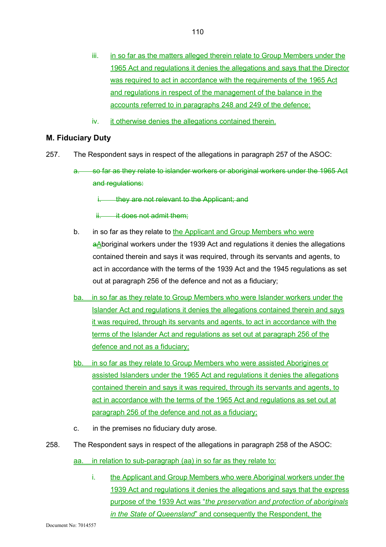iv. it otherwise denies the allegations contained therein.

## **M. Fiduciary Duty**

- 257. The Respondent says in respect of the allegations in paragraph 257 of the ASOC:
	- a. so far as they relate to islander workers or aboriginal workers under the 1965 Act and regulations:

i. they are not relevant to the Applicant; and

ii. it does not admit them:

- b. in so far as they relate to the Applicant and Group Members who were  $a\Delta$ boriginal workers under the 1939 Act and regulations it denies the allegations contained therein and says it was required, through its servants and agents, to act in accordance with the terms of the 1939 Act and the 1945 regulations as set out at paragraph 256 of the defence and not as a fiduciary;
- ba. in so far as they relate to Group Members who were Islander workers under the Islander Act and regulations it denies the allegations contained therein and says it was required, through its servants and agents, to act in accordance with the terms of the Islander Act and regulations as set out at paragraph 256 of the defence and not as a fiduciary;
- bb. in so far as they relate to Group Members who were assisted Aborigines or assisted Islanders under the 1965 Act and regulations it denies the allegations contained therein and says it was required, through its servants and agents, to act in accordance with the terms of the 1965 Act and regulations as set out at paragraph 256 of the defence and not as a fiduciary;
- c. in the premises no fiduciary duty arose.
- 258. The Respondent says in respect of the allegations in paragraph 258 of the ASOC:

aa. in relation to sub-paragraph (aa) in so far as they relate to:

i. the Applicant and Group Members who were Aboriginal workers under the 1939 Act and regulations it denies the allegations and says that the express purpose of the 1939 Act was "*the preservation and protection of aboriginals in the State of Queensland*" and consequently the Respondent, the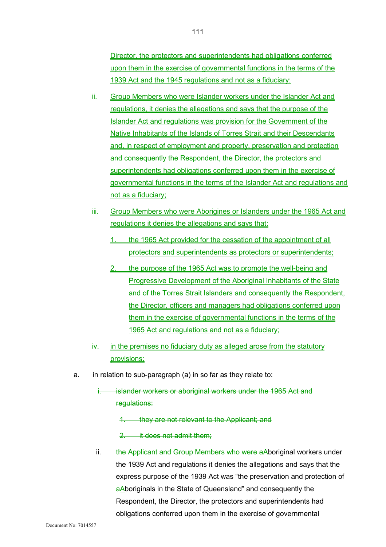Director, the protectors and superintendents had obligations conferred upon them in the exercise of governmental functions in the terms of the 1939 Act and the 1945 regulations and not as a fiduciary;

- ii. Group Members who were Islander workers under the Islander Act and regulations, it denies the allegations and says that the purpose of the Islander Act and regulations was provision for the Government of the Native Inhabitants of the Islands of Torres Strait and their Descendants and, in respect of employment and property, preservation and protection and consequently the Respondent, the Director, the protectors and superintendents had obligations conferred upon them in the exercise of governmental functions in the terms of the Islander Act and regulations and not as a fiduciary;
- iii. Group Members who were Aborigines or Islanders under the 1965 Act and regulations it denies the allegations and says that:
	- 1. the 1965 Act provided for the cessation of the appointment of all protectors and superintendents as protectors or superintendents;
	- 2. the purpose of the 1965 Act was to promote the well-being and Progressive Development of the Aboriginal Inhabitants of the State and of the Torres Strait Islanders and consequently the Respondent, the Director, officers and managers had obligations conferred upon them in the exercise of governmental functions in the terms of the 1965 Act and regulations and not as a fiduciary;
- iv. in the premises no fiduciary duty as alleged arose from the statutory provisions;
- a. in relation to sub-paragraph (a) in so far as they relate to:
	- islander workers or aboriginal workers under the 1965 Act and regulations:
		- 1. they are not relevant to the Applicant; and
		- 2. it does not admit them;
	- ii. the Applicant and Group Members who were aAboriginal workers under the 1939 Act and regulations it denies the allegations and says that the express purpose of the 1939 Act was "the preservation and protection of aAboriginals in the State of Queensland" and consequently the Respondent, the Director, the protectors and superintendents had obligations conferred upon them in the exercise of governmental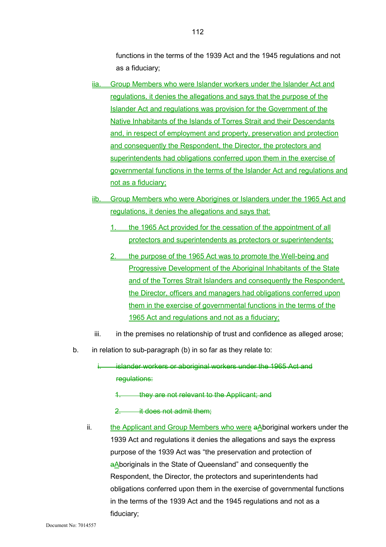functions in the terms of the 1939 Act and the 1945 regulations and not as a fiduciary;

- iia. Group Members who were Islander workers under the Islander Act and regulations, it denies the allegations and says that the purpose of the Islander Act and regulations was provision for the Government of the Native Inhabitants of the Islands of Torres Strait and their Descendants and, in respect of employment and property, preservation and protection and consequently the Respondent, the Director, the protectors and superintendents had obligations conferred upon them in the exercise of governmental functions in the terms of the Islander Act and regulations and not as a fiduciary;
- iib. Group Members who were Aborigines or Islanders under the 1965 Act and regulations, it denies the allegations and says that:
	- 1. the 1965 Act provided for the cessation of the appointment of all protectors and superintendents as protectors or superintendents;
	- 2. the purpose of the 1965 Act was to promote the Well-being and Progressive Development of the Aboriginal Inhabitants of the State and of the Torres Strait Islanders and consequently the Respondent, the Director, officers and managers had obligations conferred upon them in the exercise of governmental functions in the terms of the 1965 Act and regulations and not as a fiduciary;
- iii. in the premises no relationship of trust and confidence as alleged arose;
- b. in relation to sub-paragraph (b) in so far as they relate to:
	- islander workers or aboriginal workers under the 1965 Act and regulations:
		- 1. they are not relevant to the Applicant; and
		- 2. **it does not admit them:**
	- ii. the Applicant and Group Members who were aAboriginal workers under the 1939 Act and regulations it denies the allegations and says the express purpose of the 1939 Act was "the preservation and protection of aAboriginals in the State of Queensland" and consequently the Respondent, the Director, the protectors and superintendents had obligations conferred upon them in the exercise of governmental functions in the terms of the 1939 Act and the 1945 regulations and not as a fiduciary;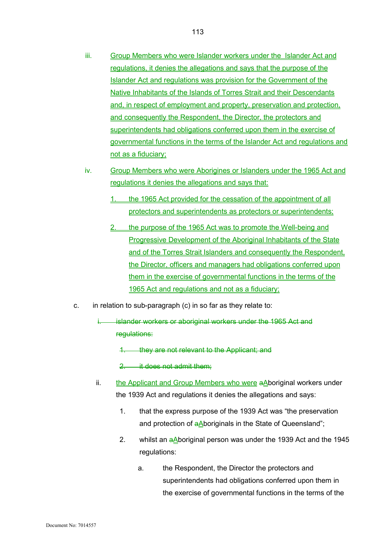- iii. Group Members who were Islander workers under the Islander Act and regulations, it denies the allegations and says that the purpose of the Islander Act and regulations was provision for the Government of the Native Inhabitants of the Islands of Torres Strait and their Descendants and, in respect of employment and property, preservation and protection, and consequently the Respondent, the Director, the protectors and superintendents had obligations conferred upon them in the exercise of governmental functions in the terms of the Islander Act and regulations and not as a fiduciary;
- iv. Group Members who were Aborigines or Islanders under the 1965 Act and regulations it denies the allegations and says that:
	- 1. the 1965 Act provided for the cessation of the appointment of all protectors and superintendents as protectors or superintendents;
	- 2. the purpose of the 1965 Act was to promote the Well-being and Progressive Development of the Aboriginal Inhabitants of the State and of the Torres Strait Islanders and consequently the Respondent, the Director, officers and managers had obligations conferred upon them in the exercise of governmental functions in the terms of the 1965 Act and regulations and not as a fiduciary;
- c. in relation to sub-paragraph (c) in so far as they relate to:
	- i. islander workers or aboriginal workers under the 1965 Act and regulations:
		- 1. they are not relevant to the Applicant; and

2. it does not admit them;

- ii. the Applicant and Group Members who were  $aA$ boriginal workers under the 1939 Act and regulations it denies the allegations and says:
	- 1. that the express purpose of the 1939 Act was "the preservation and protection of aAboriginals in the State of Queensland";
	- 2. whilst an  $aA$  boriginal person was under the 1939 Act and the 1945 regulations:
		- a. the Respondent, the Director the protectors and superintendents had obligations conferred upon them in the exercise of governmental functions in the terms of the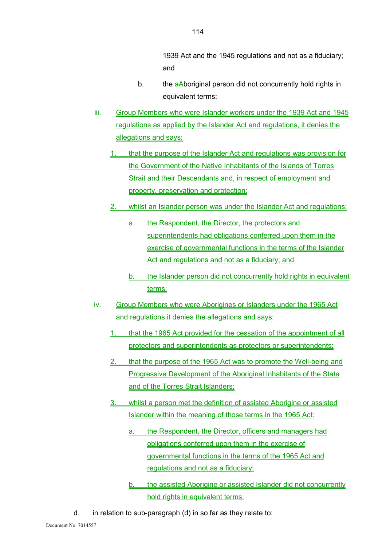1939 Act and the 1945 regulations and not as a fiduciary; and

- b. the aAboriginal person did not concurrently hold rights in equivalent terms;
- iii. Group Members who were Islander workers under the 1939 Act and 1945 regulations as applied by the Islander Act and regulations, it denies the allegations and says:
	- 1. that the purpose of the Islander Act and regulations was provision for the Government of the Native Inhabitants of the Islands of Torres Strait and their Descendants and, in respect of employment and property, preservation and protection;
	- 2. whilst an Islander person was under the Islander Act and regulations:
		- a. the Respondent, the Director, the protectors and superintendents had obligations conferred upon them in the exercise of governmental functions in the terms of the Islander Act and regulations and not as a fiduciary; and
		- b. the Islander person did not concurrently hold rights in equivalent terms;
- iv. Group Members who were Aborigines or Islanders under the 1965 Act and regulations it denies the allegations and says:
	- 1. that the 1965 Act provided for the cessation of the appointment of all protectors and superintendents as protectors or superintendents;
	- 2. that the purpose of the 1965 Act was to promote the Well-being and Progressive Development of the Aboriginal Inhabitants of the State and of the Torres Strait Islanders;
	- 3. whilst a person met the definition of assisted Aborigine or assisted Islander within the meaning of those terms in the 1965 Act:
		- a. the Respondent, the Director, officers and managers had obligations conferred upon them in the exercise of governmental functions in the terms of the 1965 Act and regulations and not as a fiduciary;
		- b. the assisted Aborigine or assisted Islander did not concurrently hold rights in equivalent terms;
- d. in relation to sub-paragraph (d) in so far as they relate to: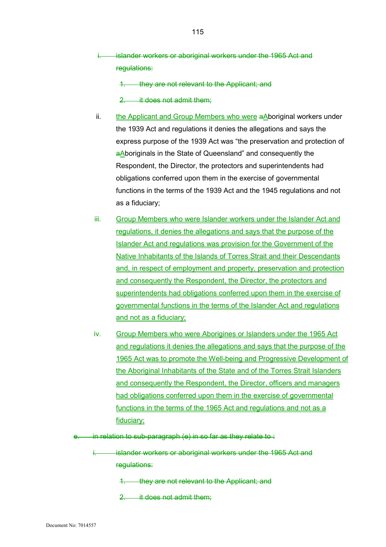- islander workers or aboriginal workers under the 1965 Act and regulations:
	- 1. they are not relevant to the Applicant; and
	- 2. it does not admit them;
- ii. the Applicant and Group Members who were aAboriginal workers under the 1939 Act and regulations it denies the allegations and says the express purpose of the 1939 Act was "the preservation and protection of a Aboriginals in the State of Queensland" and consequently the Respondent, the Director, the protectors and superintendents had obligations conferred upon them in the exercise of governmental functions in the terms of the 1939 Act and the 1945 regulations and not as a fiduciary;
- iii. Group Members who were Islander workers under the Islander Act and regulations, it denies the allegations and says that the purpose of the Islander Act and regulations was provision for the Government of the Native Inhabitants of the Islands of Torres Strait and their Descendants and, in respect of employment and property, preservation and protection and consequently the Respondent, the Director, the protectors and superintendents had obligations conferred upon them in the exercise of governmental functions in the terms of the Islander Act and regulations and not as a fiduciary;
- iv. Group Members who were Aborigines or Islanders under the 1965 Act and regulations it denies the allegations and says that the purpose of the 1965 Act was to promote the Well-being and Progressive Development of the Aboriginal Inhabitants of the State and of the Torres Strait Islanders and consequently the Respondent, the Director, officers and managers had obligations conferred upon them in the exercise of governmental functions in the terms of the 1965 Act and regulations and not as a fiduciary;
- e. in relation to sub-paragraph (e) in so far as they relate to :

islander workers or aboriginal workers under the 1965 Act and regulations:

- 1. they are not relevant to the Applicant; and
- 2. it does not admit them;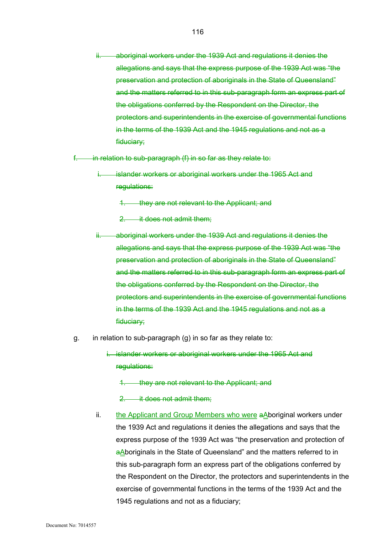ii. aboriginal workers under the 1939 Act and regulations it denies the allegations and says that the express purpose of the 1939 Act was "the preservation and protection of aboriginals in the State of Queensland" and the matters referred to in this sub-paragraph form an express part of the obligations conferred by the Respondent on the Director, the protectors and superintendents in the exercise of governmental functions in the terms of the 1939 Act and the 1945 regulations and not as a fiduciary;

in relation to sub-paragraph  $(f)$  in so far as they relate to:

islander workers or aboriginal workers under the 1965 Act and regulations:

1. they are not relevant to the Applicant; and

2. it does not admit them;

- ii. aboriginal workers under the 1939 Act and regulations it denies the allegations and says that the express purpose of the 1939 Act was "the preservation and protection of aboriginals in the State of Queensland" and the matters referred to in this sub-paragraph form an express part of the obligations conferred by the Respondent on the Director, the protectors and superintendents in the exercise of governmental functions in the terms of the 1939 Act and the 1945 regulations and not as a fiduciary;
- g. in relation to sub-paragraph (g) in so far as they relate to:

i. islander workers or aboriginal workers under the 1965 Act and regulations:

they are not relevant to the Applicant; and

2. it does not admit them;

ii. the Applicant and Group Members who were aAboriginal workers under the 1939 Act and regulations it denies the allegations and says that the express purpose of the 1939 Act was "the preservation and protection of aAboriginals in the State of Queensland" and the matters referred to in this sub-paragraph form an express part of the obligations conferred by the Respondent on the Director, the protectors and superintendents in the exercise of governmental functions in the terms of the 1939 Act and the 1945 regulations and not as a fiduciary;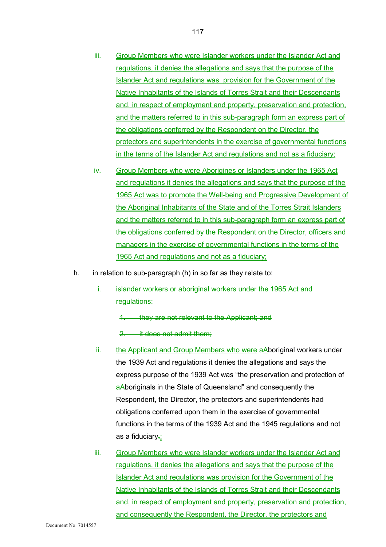- iii. Group Members who were Islander workers under the Islander Act and regulations, it denies the allegations and says that the purpose of the Islander Act and regulations was provision for the Government of the Native Inhabitants of the Islands of Torres Strait and their Descendants and, in respect of employment and property, preservation and protection, and the matters referred to in this sub-paragraph form an express part of the obligations conferred by the Respondent on the Director, the protectors and superintendents in the exercise of governmental functions in the terms of the Islander Act and regulations and not as a fiduciary;
- iv. Group Members who were Aborigines or Islanders under the 1965 Act and regulations it denies the allegations and says that the purpose of the 1965 Act was to promote the Well-being and Progressive Development of the Aboriginal Inhabitants of the State and of the Torres Strait Islanders and the matters referred to in this sub-paragraph form an express part of the obligations conferred by the Respondent on the Director, officers and managers in the exercise of governmental functions in the terms of the 1965 Act and regulations and not as a fiduciary;
- h. in relation to sub-paragraph (h) in so far as they relate to:
	- i. islander workers or aboriginal workers under the 1965 Act and regulations:
		- 1. they are not relevant to the Applicant; and
		- 2. it does not admit them:
	- ii. the Applicant and Group Members who were  $aA$ boriginal workers under the 1939 Act and regulations it denies the allegations and says the express purpose of the 1939 Act was "the preservation and protection of aAboriginals in the State of Queensland" and consequently the Respondent, the Director, the protectors and superintendents had obligations conferred upon them in the exercise of governmental functions in the terms of the 1939 Act and the 1945 regulations and not as a fiduciary-;
	- iii. Group Members who were Islander workers under the Islander Act and regulations, it denies the allegations and says that the purpose of the Islander Act and regulations was provision for the Government of the Native Inhabitants of the Islands of Torres Strait and their Descendants and, in respect of employment and property, preservation and protection, and consequently the Respondent, the Director, the protectors and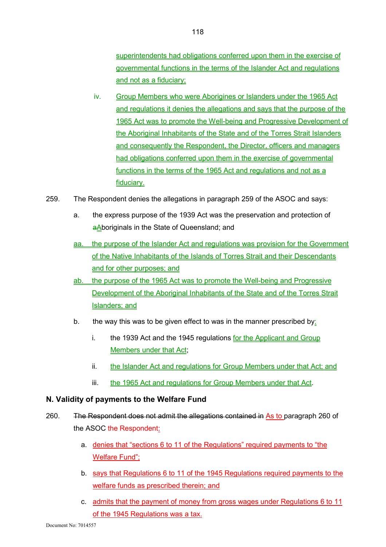superintendents had obligations conferred upon them in the exercise of governmental functions in the terms of the Islander Act and regulations and not as a fiduciary;

- iv. Group Members who were Aborigines or Islanders under the 1965 Act and regulations it denies the allegations and says that the purpose of the 1965 Act was to promote the Well-being and Progressive Development of the Aboriginal Inhabitants of the State and of the Torres Strait Islanders and consequently the Respondent, the Director, officers and managers had obligations conferred upon them in the exercise of governmental functions in the terms of the 1965 Act and regulations and not as a fiduciary.
- 259. The Respondent denies the allegations in paragraph 259 of the ASOC and says:
	- a. the express purpose of the 1939 Act was the preservation and protection of aAboriginals in the State of Queensland; and
	- aa. the purpose of the Islander Act and regulations was provision for the Government of the Native Inhabitants of the Islands of Torres Strait and their Descendants and for other purposes; and
	- ab. the purpose of the 1965 Act was to promote the Well-being and Progressive Development of the Aboriginal Inhabitants of the State and of the Torres Strait Islanders; and
	- b. the way this was to be given effect to was in the manner prescribed by:
		- i. the 1939 Act and the 1945 regulations for the Applicant and Group Members under that Act;
		- ii. the Islander Act and regulations for Group Members under that Act; and
		- iii. the 1965 Act and regulations for Group Members under that Act.

#### **N. Validity of payments to the Welfare Fund**

- 260. The Respondent does not admit the allegations contained in As to paragraph 260 of the ASOC the Respondent:
	- a. denies that "sections 6 to 11 of the Regulations" required payments to "the Welfare Fund";
	- b. says that Regulations 6 to 11 of the 1945 Regulations required payments to the welfare funds as prescribed therein; and
	- c. admits that the payment of money from gross wages under Regulations 6 to 11 of the 1945 Regulations was a tax.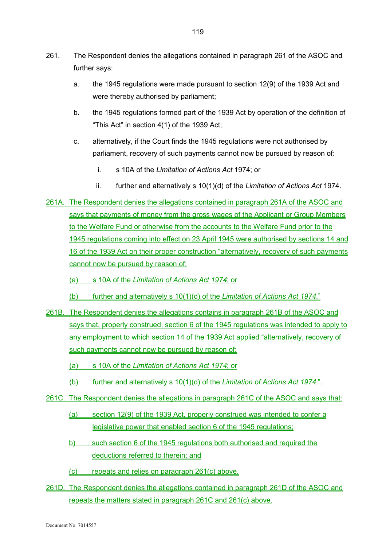- 261. The Respondent denies the allegations contained in paragraph 261 of the ASOC and further says:
	- a. the 1945 regulations were made pursuant to section 12(9) of the 1939 Act and were thereby authorised by parliament;
	- b. the 1945 regulations formed part of the 1939 Act by operation of the definition of "This Act" in section  $4(1)$  of the 1939 Act;
	- c. alternatively, if the Court finds the 1945 regulations were not authorised by parliament, recovery of such payments cannot now be pursued by reason of:
		- i. s 10A of the *Limitation of Actions Act* 1974; or
		- ii. further and alternatively s 10(1)(d) of the *Limitation of Actions Act* 1974.
- 261A. The Respondent denies the allegations contained in paragraph 261A of the ASOC and says that payments of money from the gross wages of the Applicant or Group Members to the Welfare Fund or otherwise from the accounts to the Welfare Fund prior to the 1945 regulations coming into effect on 23 April 1945 were authorised by sections 14 and 16 of the 1939 Act on their proper construction "alternatively, recovery of such payments cannot now be pursued by reason of:
	- (a) s 10A of the *Limitation of Actions Act 1974*; or
	- (b) further and alternatively s 10(1)(d) of the *Limitation of Actions Act 1974*."
- 261B. The Respondent denies the allegations contains in paragraph 261B of the ASOC and says that, properly construed, section 6 of the 1945 regulations was intended to apply to any employment to which section 14 of the 1939 Act applied "alternatively, recovery of such payments cannot now be pursued by reason of:
	- (a) s 10A of the *Limitation of Actions Act 1974*; or
	- (b) further and alternatively s 10(1)(d) of the *Limitation of Actions Act 1974*.".
- 261C. The Respondent denies the allegations in paragraph 261C of the ASOC and says that:
	- (a) section 12(9) of the 1939 Act, properly construed was intended to confer a legislative power that enabled section 6 of the 1945 regulations;
	- b) such section 6 of the 1945 regulations both authorised and required the deductions referred to therein; and
	- (c) repeats and relies on paragraph 261(c) above.
- 261D. The Respondent denies the allegations contained in paragraph 261D of the ASOC and repeats the matters stated in paragraph 261C and 261(c) above.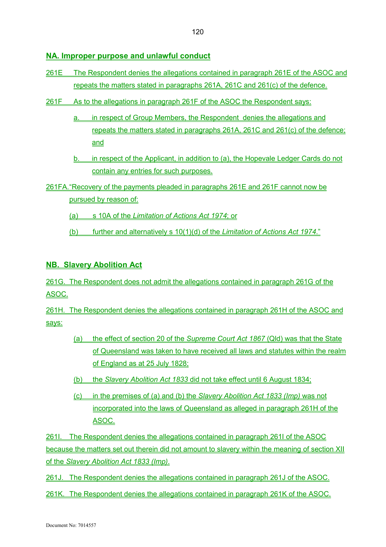# **NA. Improper purpose and unlawful conduct**

- 261E The Respondent denies the allegations contained in paragraph 261E of the ASOC and repeats the matters stated in paragraphs 261A, 261C and 261(c) of the defence.
- 261F As to the allegations in paragraph 261F of the ASOC the Respondent says:
	- a. in respect of Group Members, the Respondent denies the allegations and repeats the matters stated in paragraphs 261A, 261C and 261(c) of the defence; and
	- b. in respect of the Applicant, in addition to (a), the Hopevale Ledger Cards do not contain any entries for such purposes.
- 261FA. "Recovery of the payments pleaded in paragraphs 261E and 261F cannot now be pursued by reason of:
	- (a) s 10A of the *Limitation of Actions Act 1974*; or
	- (b) further and alternatively s 10(1)(d) of the *Limitation of Actions Act 1974*."

# **NB. Slavery Abolition Act**

261G. The Respondent does not admit the allegations contained in paragraph 261G of the ASOC.

261H. The Respondent denies the allegations contained in paragraph 261H of the ASOC and says:

- (a) the effect of section 20 of the *Supreme Court Act 1867* (Qld) was that the State of Queensland was taken to have received all laws and statutes within the realm of England as at 25 July 1828;
- (b) the *Slavery Abolition Act 1833* did not take effect until 6 August 1834;
- (c) in the premises of (a) and (b) the *Slavery Abolition Act 1833 (Imp)* was not incorporated into the laws of Queensland as alleged in paragraph 261H of the ASOC.

261I. The Respondent denies the allegations contained in paragraph 261I of the ASOC because the matters set out therein did not amount to slavery within the meaning of section XII of the *Slavery Abolition Act 1833 (Imp)*.

261J. The Respondent denies the allegations contained in paragraph 261J of the ASOC.

261K. The Respondent denies the allegations contained in paragraph 261K of the ASOC.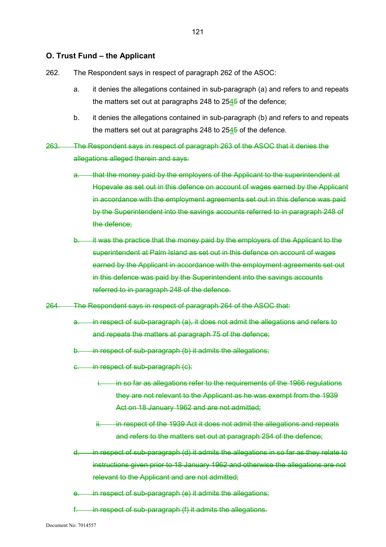#### **O. Trust Fund – the Applicant**

- 262. The Respondent says in respect of paragraph 262 of the ASOC:
	- a. it denies the allegations contained in sub-paragraph (a) and refers to and repeats the matters set out at paragraphs 248 to  $2545$  of the defence;
	- b. it denies the allegations contained in sub-paragraph (b) and refers to and repeats the matters set out at paragraphs 248 to  $2545$  of the defence.
- 263. The Respondent says in respect of paragraph 263 of the ASOC that it denies the allegations alleged therein and says:
	- that the money paid by the employers of the Applicant to the superintendent at Hopevale as set out in this defence on account of wages earned by the Applicant in accordance with the employment agreements set out in this defence was paid by the Superintendent into the savings accounts referred to in paragraph 248 of the defence;
	- b. it was the practice that the money paid by the employers of the Applicant to the superintendent at Palm Island as set out in this defence on account of wages earned by the Applicant in accordance with the employment agreements set out in this defence was paid by the Superintendent into the savings accounts referred to in paragraph 248 of the defence.
- 264. The Respondent says in respect of paragraph 264 of the ASOC that:
	- a. in respect of sub-paragraph (a), it does not admit the allegations and refers to and repeats the matters at paragraph 75 of the defence;
	- b. in respect of sub-paragraph (b) it admits the allegations;
	- c. in respect of sub-paragraph (c):
		- in so far as allegations refer to the requirements of the 1966 regulations they are not relevant to the Applicant as he was exempt from the 1939 Act on 18 January 1962 and are not admitted;
		- ii. in respect of the 1939 Act it does not admit the allegations and repeats and refers to the matters set out at paragraph 254 of the defence;
	- d. in respect of sub-paragraph (d) it admits the allegations in so far as they relate to instructions given prior to 18 January 1962 and otherwise the allegations are not relevant to the Applicant and are not admitted;
	- in respect of sub-paragraph (e) it admits the allegations;
	- in respect of sub-paragraph (f) it admits the allegations.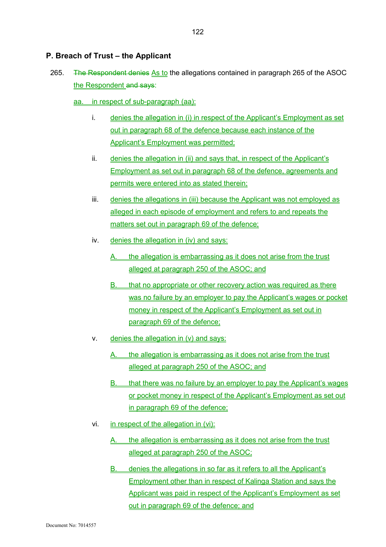## **P. Breach of Trust – the Applicant**

- 265. **The Respondent denies As to the allegations contained in paragraph 265 of the ASOC** the Respondent and says:
	- aa. in respect of sub-paragraph (aa):
		- i. denies the allegation in (i) in respect of the Applicant's Employment as set out in paragraph 68 of the defence because each instance of the Applicant's Employment was permitted;
		- ii. denies the allegation in (ii) and says that, in respect of the Applicant's Employment as set out in paragraph 68 of the defence, agreements and permits were entered into as stated therein;
		- iii. denies the allegations in (iii) because the Applicant was not employed as alleged in each episode of employment and refers to and repeats the matters set out in paragraph 69 of the defence;
		- iv. denies the allegation in (iv) and says:
			- the allegation is embarrassing as it does not arise from the trust alleged at paragraph 250 of the ASOC; and
			- B. that no appropriate or other recovery action was required as there was no failure by an employer to pay the Applicant's wages or pocket money in respect of the Applicant's Employment as set out in paragraph 69 of the defence;
		- $v.$  denies the allegation in  $(v)$  and says:
			- A. the allegation is embarrassing as it does not arise from the trust alleged at paragraph 250 of the ASOC; and
			- B. that there was no failure by an employer to pay the Applicant's wages or pocket money in respect of the Applicant's Employment as set out in paragraph 69 of the defence;
		- vi. in respect of the allegation in (vi):
			- A. the allegation is embarrassing as it does not arise from the trust alleged at paragraph 250 of the ASOC;
			- B. denies the allegations in so far as it refers to all the Applicant's Employment other than in respect of Kalinga Station and says the Applicant was paid in respect of the Applicant's Employment as set out in paragraph 69 of the defence; and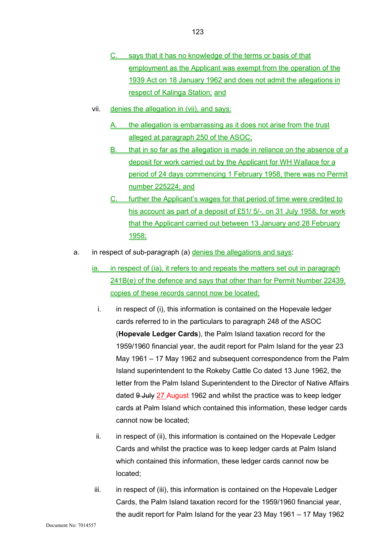- C. says that it has no knowledge of the terms or basis of that employment as the Applicant was exempt from the operation of the 1939 Act on 18 January 1962 and does not admit the allegations in respect of Kalinga Station; and
- vii. denies the allegation in (vii), and says:
	- A. the allegation is embarrassing as it does not arise from the trust alleged at paragraph 250 of the ASOC;
	- B. that in so far as the allegation is made in reliance on the absence of a deposit for work carried out by the Applicant for WH Wallace for a period of 24 days commencing 1 February 1958, there was no Permit number 225224; and
	- C. further the Applicant's wages for that period of time were credited to his account as part of a deposit of £51/ 5/-, on 31 July 1958, for work that the Applicant carried out between 13 January and 28 February 1958;
- a. in respect of sub-paragraph (a) denies the allegations and says:
	- ia. in respect of (ia), it refers to and repeats the matters set out in paragraph 241B(e) of the defence and says that other than for Permit Number 22439, copies of these records cannot now be located;
		- i. in respect of (i), this information is contained on the Hopevale ledger cards referred to in the particulars to paragraph 248 of the ASOC (**Hopevale Ledger Cards**), the Palm Island taxation record for the 1959/1960 financial year, the audit report for Palm Island for the year 23 May 1961 – 17 May 1962 and subsequent correspondence from the Palm Island superintendent to the Rokeby Cattle Co dated 13 June 1962, the letter from the Palm Island Superintendent to the Director of Native Affairs dated 9 July 27 August 1962 and whilst the practice was to keep ledger cards at Palm Island which contained this information, these ledger cards cannot now be located;
		- ii. in respect of (ii), this information is contained on the Hopevale Ledger Cards and whilst the practice was to keep ledger cards at Palm Island which contained this information, these ledger cards cannot now be located;
	- iii. in respect of (iii), this information is contained on the Hopevale Ledger Cards, the Palm Island taxation record for the 1959/1960 financial year, the audit report for Palm Island for the year 23 May 1961 – 17 May 1962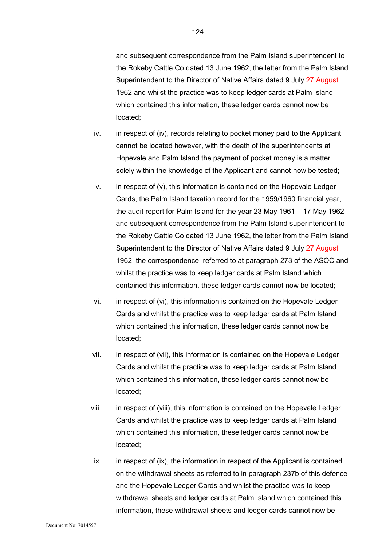and subsequent correspondence from the Palm Island superintendent to the Rokeby Cattle Co dated 13 June 1962, the letter from the Palm Island Superintendent to the Director of Native Affairs dated 9 July 27 August 1962 and whilst the practice was to keep ledger cards at Palm Island which contained this information, these ledger cards cannot now be located;

- iv. in respect of (iv), records relating to pocket money paid to the Applicant cannot be located however, with the death of the superintendents at Hopevale and Palm Island the payment of pocket money is a matter solely within the knowledge of the Applicant and cannot now be tested;
- v. in respect of (v), this information is contained on the Hopevale Ledger Cards, the Palm Island taxation record for the 1959/1960 financial year, the audit report for Palm Island for the year 23 May 1961 – 17 May 1962 and subsequent correspondence from the Palm Island superintendent to the Rokeby Cattle Co dated 13 June 1962, the letter from the Palm Island Superintendent to the Director of Native Affairs dated 9 July 27 August 1962, the correspondence referred to at paragraph 273 of the ASOC and whilst the practice was to keep ledger cards at Palm Island which contained this information, these ledger cards cannot now be located;
- vi. in respect of (vi), this information is contained on the Hopevale Ledger Cards and whilst the practice was to keep ledger cards at Palm Island which contained this information, these ledger cards cannot now be located;
- vii. in respect of (vii), this information is contained on the Hopevale Ledger Cards and whilst the practice was to keep ledger cards at Palm Island which contained this information, these ledger cards cannot now be located;
- viii. in respect of (viii), this information is contained on the Hopevale Ledger Cards and whilst the practice was to keep ledger cards at Palm Island which contained this information, these ledger cards cannot now be located;
- ix. in respect of (ix), the information in respect of the Applicant is contained on the withdrawal sheets as referred to in paragraph 237b of this defence and the Hopevale Ledger Cards and whilst the practice was to keep withdrawal sheets and ledger cards at Palm Island which contained this information, these withdrawal sheets and ledger cards cannot now be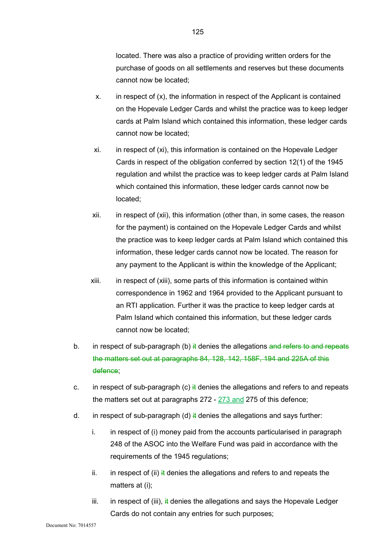located. There was also a practice of providing written orders for the purchase of goods on all settlements and reserves but these documents cannot now be located;

- x. in respect of (x), the information in respect of the Applicant is contained on the Hopevale Ledger Cards and whilst the practice was to keep ledger cards at Palm Island which contained this information, these ledger cards cannot now be located;
- xi. in respect of (xi), this information is contained on the Hopevale Ledger Cards in respect of the obligation conferred by section 12(1) of the 1945 regulation and whilst the practice was to keep ledger cards at Palm Island which contained this information, these ledger cards cannot now be located;
- xii. in respect of (xii), this information (other than, in some cases, the reason for the payment) is contained on the Hopevale Ledger Cards and whilst the practice was to keep ledger cards at Palm Island which contained this information, these ledger cards cannot now be located. The reason for any payment to the Applicant is within the knowledge of the Applicant;
- xiii. in respect of (xiii), some parts of this information is contained within correspondence in 1962 and 1964 provided to the Applicant pursuant to an RTI application. Further it was the practice to keep ledger cards at Palm Island which contained this information, but these ledger cards cannot now be located;
- b. in respect of sub-paragraph (b)  $\ddot{t}$  denies the allegations and refers to and repeats the matters set out at paragraphs 84, 128, 142, 158F, 194 and 225A of this defence;
- c. in respect of sub-paragraph (c)  $\frac{1}{2}$  denies the allegations and refers to and repeats the matters set out at paragraphs 272 - 273 and 275 of this defence;
- d. in respect of sub-paragraph (d)  $\frac{1}{2}$  denies the allegations and says further:
	- i. in respect of (i) money paid from the accounts particularised in paragraph 248 of the ASOC into the Welfare Fund was paid in accordance with the requirements of the 1945 regulations;
	- ii. in respect of (ii) it denies the allegations and refers to and repeats the matters at (i);
	- iii. in respect of (iii),  $\frac{1}{2}$  denies the allegations and says the Hopevale Ledger Cards do not contain any entries for such purposes;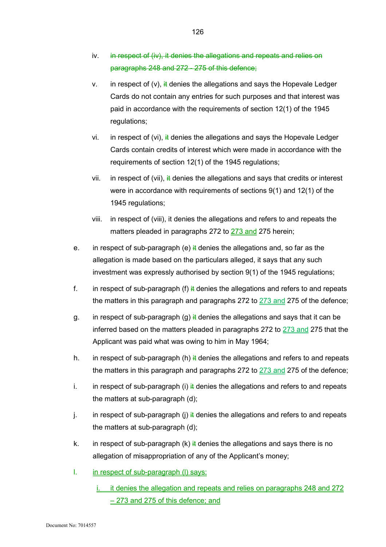- iv. in respect of (iv), it denies the allegations and repeats and relies on paragraphs 248 and 272 - 275 of this defence;
- v. in respect of (v),  $\frac{1}{2}$  denies the allegations and says the Hopevale Ledger Cards do not contain any entries for such purposes and that interest was paid in accordance with the requirements of section 12(1) of the 1945 regulations;
- vi. in respect of (vi),  $\frac{1}{k}$  denies the allegations and says the Hopevale Ledger Cards contain credits of interest which were made in accordance with the requirements of section 12(1) of the 1945 regulations;
- vii. in respect of (vii), it denies the allegations and says that credits or interest were in accordance with requirements of sections 9(1) and 12(1) of the 1945 regulations;
- viii. in respect of (viii), it denies the allegations and refers to and repeats the matters pleaded in paragraphs 272 to 273 and 275 herein;
- e. in respect of sub-paragraph (e)  $\frac{1}{2}$  denies the allegations and, so far as the allegation is made based on the particulars alleged, it says that any such investment was expressly authorised by section 9(1) of the 1945 regulations;
- f. in respect of sub-paragraph (f)  $\ddot{H}$  denies the allegations and refers to and repeats the matters in this paragraph and paragraphs 272 to 273 and 275 of the defence;
- g. in respect of sub-paragraph (g)  $\frac{1}{2}$  denies the allegations and says that it can be inferred based on the matters pleaded in paragraphs 272 to 273 and 275 that the Applicant was paid what was owing to him in May 1964;
- h. in respect of sub-paragraph (h)  $\frac{1}{2}$  denies the allegations and refers to and repeats the matters in this paragraph and paragraphs 272 to  $273$  and 275 of the defence;
- i. in respect of sub-paragraph (i)  $\frac{1}{2}$  denies the allegations and refers to and repeats the matters at sub-paragraph (d);
- j. in respect of sub-paragraph (j)  $\frac{1}{4}$  denies the allegations and refers to and repeats the matters at sub-paragraph (d);
- k. in respect of sub-paragraph (k)  $\frac{1}{2}$  denies the allegations and says there is no allegation of misappropriation of any of the Applicant's money;
- l. in respect of sub-paragraph (l) says:
	- it denies the allegation and repeats and relies on paragraphs 248 and 272 – 273 and 275 of this defence; and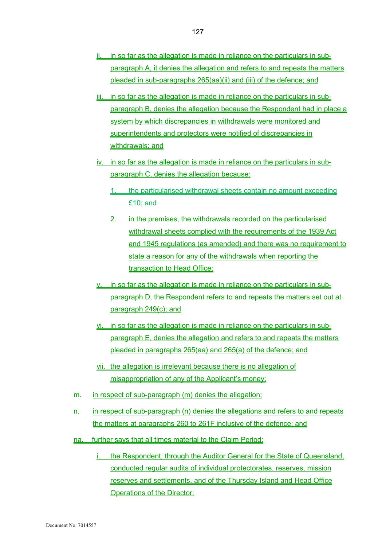- ii. in so far as the allegation is made in reliance on the particulars in subparagraph A, it denies the allegation and refers to and repeats the matters pleaded in sub-paragraphs 265(aa)(ii) and (iii) of the defence; and
- iii. in so far as the allegation is made in reliance on the particulars in subparagraph B, denies the allegation because the Respondent had in place a system by which discrepancies in withdrawals were monitored and superintendents and protectors were notified of discrepancies in withdrawals; and
- iv. in so far as the allegation is made in reliance on the particulars in subparagraph C, denies the allegation because:
	- 1. the particularised withdrawal sheets contain no amount exceeding £10; and
	- 2. in the premises, the withdrawals recorded on the particularised withdrawal sheets complied with the requirements of the 1939 Act and 1945 regulations (as amended) and there was no requirement to state a reason for any of the withdrawals when reporting the transaction to Head Office;
- v. in so far as the allegation is made in reliance on the particulars in subparagraph D, the Respondent refers to and repeats the matters set out at paragraph 249(c); and
- vi. in so far as the allegation is made in reliance on the particulars in subparagraph E, denies the allegation and refers to and repeats the matters pleaded in paragraphs 265(aa) and 265(a) of the defence; and
- vii. the allegation is irrelevant because there is no allegation of misappropriation of any of the Applicant's money;
- m. in respect of sub-paragraph (m) denies the allegation;
- n. in respect of sub-paragraph (n) denies the allegations and refers to and repeats the matters at paragraphs 260 to 261F inclusive of the defence; and
- na. further says that all times material to the Claim Period:
	- the Respondent, through the Auditor General for the State of Queensland, conducted regular audits of individual protectorates, reserves, mission reserves and settlements, and of the Thursday Island and Head Office **Operations of the Director;**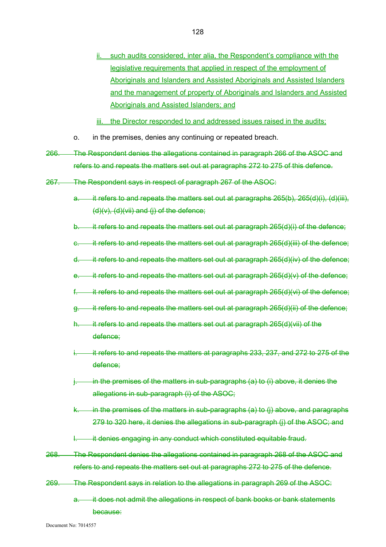- such audits considered, inter alia, the Respondent's compliance with the legislative requirements that applied in respect of the employment of Aboriginals and Islanders and Assisted Aboriginals and Assisted Islanders and the management of property of Aboriginals and Islanders and Assisted Aboriginals and Assisted Islanders; and
- iii. the Director responded to and addressed issues raised in the audits;
- o. in the premises, denies any continuing or repeated breach.
- 266. The Respondent denies the allegations contained in paragraph 266 of the ASOC and refers to and repeats the matters set out at paragraphs 272 to 275 of this defence.
- 267. The Respondent says in respect of paragraph 267 of the ASOC:
	- a. it refers to and repeats the matters set out at paragraphs 265(b), 265(d)(i), (d)(iii),  $(d)(v)$ ,  $(d)(vii)$  and  $(i)$  of the defence;
	- b. it refers to and repeats the matters set out at paragraph 265(d)(i) of the defence;
	- e. it refers to and repeats the matters set out at paragraph 265(d)(iii) of the defence;
	- $d.$  it refers to and repeats the matters set out at paragraph  $265(d)(iv)$  of the defence;
	- e. it refers to and repeats the matters set out at paragraph  $265(d)(v)$  of the defence;
	- f.  $\dot{H}$  it refers to and repeats the matters set out at paragraph 265(d)(vi) of the defence;
	- g. it refers to and repeats the matters set out at paragraph 265(d)(ii) of the defence;
	- $it$  refers to and repeats the matters set out at paragraph 265(d)(vii) of the defence;
	- it refers to and repeats the matters at paragraphs 233, 237, and 272 to 275 of the defence;
	- $\frac{1}{2}$  in the premises of the matters in sub-paragraphs (a) to (i) above, it denies the allegations in sub-paragraph (i) of the ASOC;
	- $k.$  in the premises of the matters in sub-paragraphs (a) to (i) above, and paragraphs 279 to 320 here, it denies the allegations in sub-paragraph (j) of the ASOC; and
	- it denies engaging in any conduct which constituted equitable fraud.
- 268. The Respondent denies the allegations contained in paragraph 268 of the ASOC and refers to and repeats the matters set out at paragraphs 272 to 275 of the defence.
- 269. The Respondent says in relation to the allegations in paragraph 269 of the ASOC:
	- a. it does not admit the allegations in respect of bank books or bank statements because: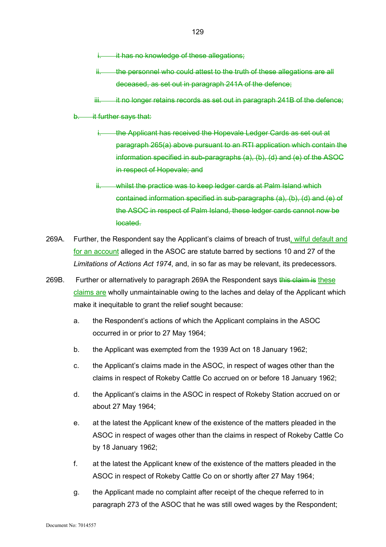- it has no knowledge of these allegations;
- ii. the personnel who could attest to the truth of these allegations are all deceased, as set out in paragraph 241A of the defence;
- $iii.$  it no longer retains records as set out in paragraph 241B of the defence;
- b. it further says that:
	- i. the Applicant has received the Hopevale Ledger Cards as set out at paragraph 265(a) above pursuant to an RTI application which contain the information specified in sub-paragraphs (a), (b), (d) and (e) of the ASOC in respect of Hopevale; and
	- ii. whilst the practice was to keep ledger cards at Palm Island which contained information specified in sub-paragraphs (a), (b), (d) and (e) of the ASOC in respect of Palm Island, these ledger cards cannot now be located.
- 269A. Further, the Respondent say the Applicant's claims of breach of trust, wilful default and for an account alleged in the ASOC are statute barred by sections 10 and 27 of the *Limitations of Actions Act 1974*, and, in so far as may be relevant, its predecessors.
- 269B. Further or alternatively to paragraph 269A the Respondent says this claim is these claims are wholly unmaintainable owing to the laches and delay of the Applicant which make it inequitable to grant the relief sought because:
	- a. the Respondent's actions of which the Applicant complains in the ASOC occurred in or prior to 27 May 1964;
	- b. the Applicant was exempted from the 1939 Act on 18 January 1962;
	- c. the Applicant's claims made in the ASOC, in respect of wages other than the claims in respect of Rokeby Cattle Co accrued on or before 18 January 1962;
	- d. the Applicant's claims in the ASOC in respect of Rokeby Station accrued on or about 27 May 1964;
	- e. at the latest the Applicant knew of the existence of the matters pleaded in the ASOC in respect of wages other than the claims in respect of Rokeby Cattle Co by 18 January 1962;
	- f. at the latest the Applicant knew of the existence of the matters pleaded in the ASOC in respect of Rokeby Cattle Co on or shortly after 27 May 1964;
	- g. the Applicant made no complaint after receipt of the cheque referred to in paragraph 273 of the ASOC that he was still owed wages by the Respondent;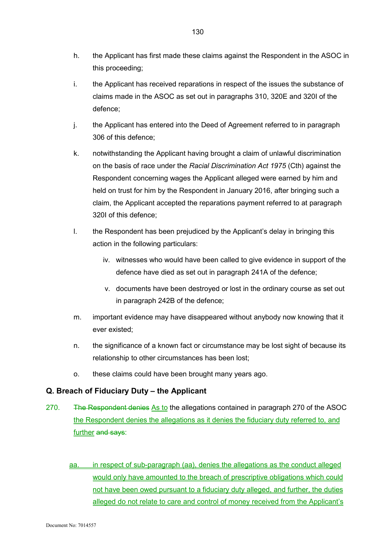- h. the Applicant has first made these claims against the Respondent in the ASOC in this proceeding;
- i. the Applicant has received reparations in respect of the issues the substance of claims made in the ASOC as set out in paragraphs 310, 320E and 320I of the defence;
- j. the Applicant has entered into the Deed of Agreement referred to in paragraph 306 of this defence;
- k. notwithstanding the Applicant having brought a claim of unlawful discrimination on the basis of race under the *Racial Discrimination Act 1975* (Cth) against the Respondent concerning wages the Applicant alleged were earned by him and held on trust for him by the Respondent in January 2016, after bringing such a claim, the Applicant accepted the reparations payment referred to at paragraph 320I of this defence;
- l. the Respondent has been prejudiced by the Applicant's delay in bringing this action in the following particulars:
	- iv. witnesses who would have been called to give evidence in support of the defence have died as set out in paragraph 241A of the defence;
	- v. documents have been destroyed or lost in the ordinary course as set out in paragraph 242B of the defence;
- m. important evidence may have disappeared without anybody now knowing that it ever existed;
- n. the significance of a known fact or circumstance may be lost sight of because its relationship to other circumstances has been lost;
- o. these claims could have been brought many years ago.

# **Q. Breach of Fiduciary Duty – the Applicant**

- 270. The Respondent denies As to the allegations contained in paragraph 270 of the ASOC the Respondent denies the allegations as it denies the fiduciary duty referred to, and further and says:
	- aa. in respect of sub-paragraph (aa), denies the allegations as the conduct alleged would only have amounted to the breach of prescriptive obligations which could not have been owed pursuant to a fiduciary duty alleged, and further, the duties alleged do not relate to care and control of money received from the Applicant's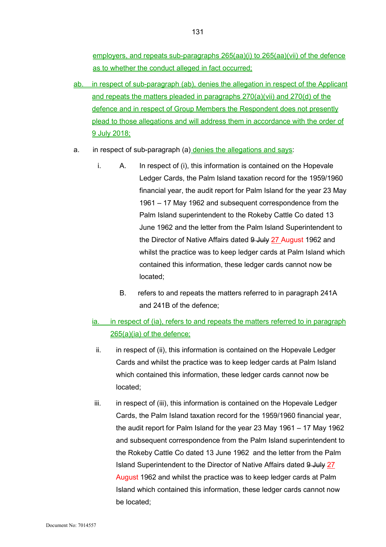employers, and repeats sub-paragraphs 265(aa)(i) to 265(aa)(vii) of the defence as to whether the conduct alleged in fact occurred;

- ab. in respect of sub-paragraph (ab), denies the allegation in respect of the Applicant and repeats the matters pleaded in paragraphs 270(a)(vii) and 270(d) of the defence and in respect of Group Members the Respondent does not presently plead to those allegations and will address them in accordance with the order of 9 July 2018;
- a. in respect of sub-paragraph (a) denies the allegations and says:
	- i. A. In respect of (i), this information is contained on the Hopevale Ledger Cards, the Palm Island taxation record for the 1959/1960 financial year, the audit report for Palm Island for the year 23 May 1961 – 17 May 1962 and subsequent correspondence from the Palm Island superintendent to the Rokeby Cattle Co dated 13 June 1962 and the letter from the Palm Island Superintendent to the Director of Native Affairs dated 9 July 27 August 1962 and whilst the practice was to keep ledger cards at Palm Island which contained this information, these ledger cards cannot now be located;
		- B. refers to and repeats the matters referred to in paragraph 241A and 241B of the defence;
	- ia. in respect of (ia), refers to and repeats the matters referred to in paragraph 265(a)(ia) of the defence;
		- ii. in respect of (ii), this information is contained on the Hopevale Ledger Cards and whilst the practice was to keep ledger cards at Palm Island which contained this information, these ledger cards cannot now be located;
	- iii. in respect of (iii), this information is contained on the Hopevale Ledger Cards, the Palm Island taxation record for the 1959/1960 financial year, the audit report for Palm Island for the year 23 May 1961 – 17 May 1962 and subsequent correspondence from the Palm Island superintendent to the Rokeby Cattle Co dated 13 June 1962 and the letter from the Palm Island Superintendent to the Director of Native Affairs dated 9 July 27 August 1962 and whilst the practice was to keep ledger cards at Palm Island which contained this information, these ledger cards cannot now be located;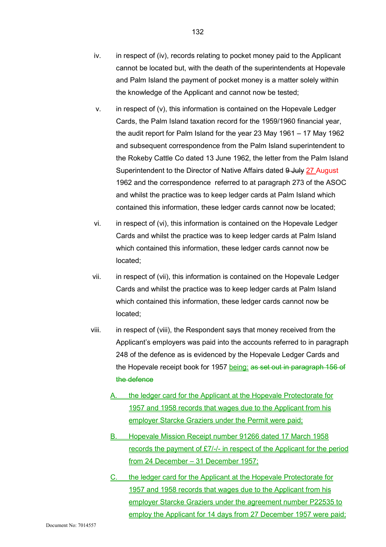- iv. in respect of (iv), records relating to pocket money paid to the Applicant cannot be located but, with the death of the superintendents at Hopevale and Palm Island the payment of pocket money is a matter solely within the knowledge of the Applicant and cannot now be tested;
- v. in respect of (v), this information is contained on the Hopevale Ledger Cards, the Palm Island taxation record for the 1959/1960 financial year, the audit report for Palm Island for the year 23 May 1961 – 17 May 1962 and subsequent correspondence from the Palm Island superintendent to the Rokeby Cattle Co dated 13 June 1962, the letter from the Palm Island Superintendent to the Director of Native Affairs dated 9 July 27 August 1962 and the correspondence referred to at paragraph 273 of the ASOC and whilst the practice was to keep ledger cards at Palm Island which contained this information, these ledger cards cannot now be located;
- vi. in respect of (vi), this information is contained on the Hopevale Ledger Cards and whilst the practice was to keep ledger cards at Palm Island which contained this information, these ledger cards cannot now be located;
- vii. in respect of (vii), this information is contained on the Hopevale Ledger Cards and whilst the practice was to keep ledger cards at Palm Island which contained this information, these ledger cards cannot now be located;
- viii. in respect of (viii), the Respondent says that money received from the Applicant's employers was paid into the accounts referred to in paragraph 248 of the defence as is evidenced by the Hopevale Ledger Cards and the Hopevale receipt book for 1957 being: as set out in paragraph 156 of the defence
	- A. the ledger card for the Applicant at the Hopevale Protectorate for 1957 and 1958 records that wages due to the Applicant from his employer Starcke Graziers under the Permit were paid;
	- B. Hopevale Mission Receipt number 91266 dated 17 March 1958 records the payment of £7/-/- in respect of the Applicant for the period from 24 December – 31 December 1957;
	- C. the ledger card for the Applicant at the Hopevale Protectorate for 1957 and 1958 records that wages due to the Applicant from his employer Starcke Graziers under the agreement number P22535 to employ the Applicant for 14 days from 27 December 1957 were paid;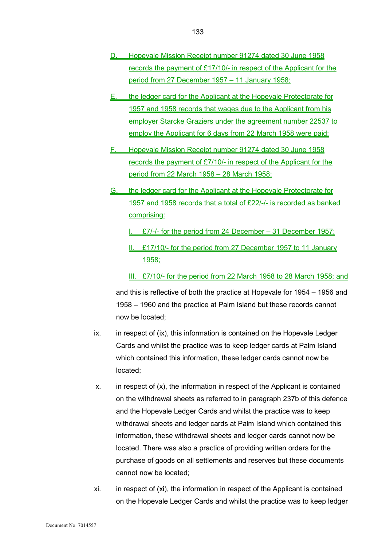- D. Hopevale Mission Receipt number 91274 dated 30 June 1958 records the payment of £17/10/- in respect of the Applicant for the period from 27 December 1957 – 11 January 1958;
- E. the ledger card for the Applicant at the Hopevale Protectorate for 1957 and 1958 records that wages due to the Applicant from his employer Starcke Graziers under the agreement number 22537 to employ the Applicant for 6 days from 22 March 1958 were paid;
- F. Hopevale Mission Receipt number 91274 dated 30 June 1958 records the payment of £7/10/- in respect of the Applicant for the period from 22 March 1958 – 28 March 1958;
- G. the ledger card for the Applicant at the Hopevale Protectorate for 1957 and 1958 records that a total of £22/-/- is recorded as banked comprising:
	- I. £7/-/- for the period from 24 December 31 December 1957;
	- II. £17/10/- for the period from 27 December 1957 to 11 January 1958;
	- III. £7/10/- for the period from 22 March 1958 to 28 March 1958; and

and this is reflective of both the practice at Hopevale for 1954 – 1956 and 1958 – 1960 and the practice at Palm Island but these records cannot now be located;

- ix. in respect of (ix), this information is contained on the Hopevale Ledger Cards and whilst the practice was to keep ledger cards at Palm Island which contained this information, these ledger cards cannot now be located;
- x. in respect of (x), the information in respect of the Applicant is contained on the withdrawal sheets as referred to in paragraph 237b of this defence and the Hopevale Ledger Cards and whilst the practice was to keep withdrawal sheets and ledger cards at Palm Island which contained this information, these withdrawal sheets and ledger cards cannot now be located. There was also a practice of providing written orders for the purchase of goods on all settlements and reserves but these documents cannot now be located;
- xi. in respect of (xi), the information in respect of the Applicant is contained on the Hopevale Ledger Cards and whilst the practice was to keep ledger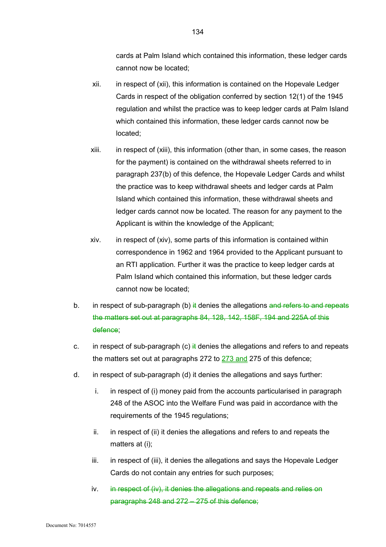cards at Palm Island which contained this information, these ledger cards cannot now be located;

- xii. in respect of (xii), this information is contained on the Hopevale Ledger Cards in respect of the obligation conferred by section 12(1) of the 1945 regulation and whilst the practice was to keep ledger cards at Palm Island which contained this information, these ledger cards cannot now be located;
- xiii. in respect of (xiii), this information (other than, in some cases, the reason for the payment) is contained on the withdrawal sheets referred to in paragraph 237(b) of this defence, the Hopevale Ledger Cards and whilst the practice was to keep withdrawal sheets and ledger cards at Palm Island which contained this information, these withdrawal sheets and ledger cards cannot now be located. The reason for any payment to the Applicant is within the knowledge of the Applicant;
- xiv. in respect of (xiv), some parts of this information is contained within correspondence in 1962 and 1964 provided to the Applicant pursuant to an RTI application. Further it was the practice to keep ledger cards at Palm Island which contained this information, but these ledger cards cannot now be located;
- b. in respect of sub-paragraph (b)  $\frac{1}{2}$  denies the allegations and refers to and repeats the matters set out at paragraphs 84, 128, 142, 158F, 194 and 225A of this defence;
- c. in respect of sub-paragraph (c)  $\frac{1}{2}$  denies the allegations and refers to and repeats the matters set out at paragraphs 272 to 273 and 275 of this defence;
- d. in respect of sub-paragraph (d) it denies the allegations and says further:
	- i. in respect of (i) money paid from the accounts particularised in paragraph 248 of the ASOC into the Welfare Fund was paid in accordance with the requirements of the 1945 regulations;
	- ii. in respect of (ii) it denies the allegations and refers to and repeats the matters at (i);
	- iii. in respect of (iii), it denies the allegations and says the Hopevale Ledger Cards do not contain any entries for such purposes;
	- iv. in respect of (iv), it denies the allegations and repeats and relies on paragraphs 248 and 272 – 275 of this defence;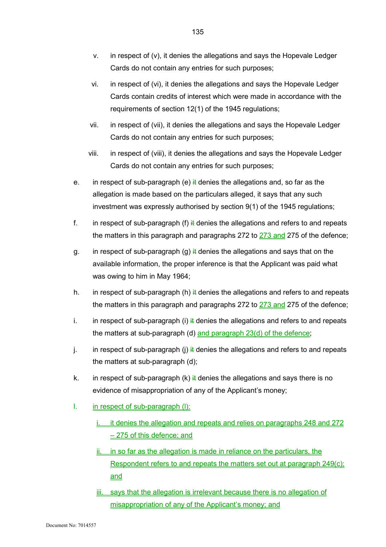- v. in respect of (v), it denies the allegations and says the Hopevale Ledger Cards do not contain any entries for such purposes;
- vi. in respect of (vi), it denies the allegations and says the Hopevale Ledger Cards contain credits of interest which were made in accordance with the requirements of section 12(1) of the 1945 regulations;
- vii. in respect of (vii), it denies the allegations and says the Hopevale Ledger Cards do not contain any entries for such purposes;
- viii. in respect of (viii), it denies the allegations and says the Hopevale Ledger Cards do not contain any entries for such purposes;
- e. in respect of sub-paragraph (e)  $\frac{1}{k}$  denies the allegations and, so far as the allegation is made based on the particulars alleged, it says that any such investment was expressly authorised by section 9(1) of the 1945 regulations;
- f. in respect of sub-paragraph (f)  $\frac{1}{4}$  denies the allegations and refers to and repeats the matters in this paragraph and paragraphs 272 to 273 and 275 of the defence;
- g. in respect of sub-paragraph (g)  $\frac{1}{2}$  denies the allegations and says that on the available information, the proper inference is that the Applicant was paid what was owing to him in May 1964;
- h. in respect of sub-paragraph (h)  $\frac{1}{2}$  denies the allegations and refers to and repeats the matters in this paragraph and paragraphs 272 to  $273$  and 275 of the defence;
- i. in respect of sub-paragraph (i)  $\frac{1}{4}$  denies the allegations and refers to and repeats the matters at sub-paragraph (d) and paragraph 23(d) of the defence;
- j. in respect of sub-paragraph (j)  $\frac{1}{k}$  denies the allegations and refers to and repeats the matters at sub-paragraph (d);
- k. in respect of sub-paragraph  $(k)$  it denies the allegations and says there is no evidence of misappropriation of any of the Applicant's money;
- l. in respect of sub-paragraph (l):
	- i. it denies the allegation and repeats and relies on paragraphs 248 and 272 – 275 of this defence; and
	- in so far as the allegation is made in reliance on the particulars, the Respondent refers to and repeats the matters set out at paragraph 249(c); and
	- iii. says that the allegation is irrelevant because there is no allegation of misappropriation of any of the Applicant's money; and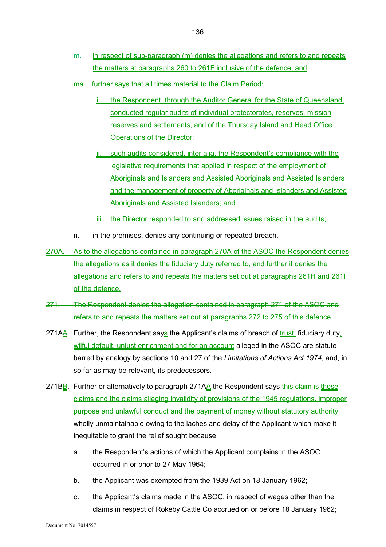- m. in respect of sub-paragraph (m) denies the allegations and refers to and repeats the matters at paragraphs 260 to 261F inclusive of the defence; and
- ma. further says that all times material to the Claim Period:
	- the Respondent, through the Auditor General for the State of Queensland, conducted regular audits of individual protectorates, reserves, mission reserves and settlements, and of the Thursday Island and Head Office Operations of the Director;
	- ii. such audits considered, inter alia, the Respondent's compliance with the legislative requirements that applied in respect of the employment of Aboriginals and Islanders and Assisted Aboriginals and Assisted Islanders and the management of property of Aboriginals and Islanders and Assisted Aboriginals and Assisted Islanders; and
	- iii. the Director responded to and addressed issues raised in the audits;
- n. in the premises, denies any continuing or repeated breach.
- 270A. As to the allegations contained in paragraph 270A of the ASOC the Respondent denies the allegations as it denies the fiduciary duty referred to, and further it denies the allegations and refers to and repeats the matters set out at paragraphs 261H and 261I of the defence.
- 271. The Respondent denies the allegation contained in paragraph 271 of the ASOC and refers to and repeats the matters set out at paragraphs 272 to 275 of this defence.
- 271AA. Further, the Respondent says the Applicant's claims of breach of trust, fiduciary duty, wilful default, unjust enrichment and for an account alleged in the ASOC are statute barred by analogy by sections 10 and 27 of the *Limitations of Actions Act 1974*, and, in so far as may be relevant, its predecessors.
- 271BB. Further or alternatively to paragraph 271A $\Delta$  the Respondent says this claim is these claims and the claims alleging invalidity of provisions of the 1945 regulations, improper purpose and unlawful conduct and the payment of money without statutory authority wholly unmaintainable owing to the laches and delay of the Applicant which make it inequitable to grant the relief sought because:
	- a. the Respondent's actions of which the Applicant complains in the ASOC occurred in or prior to 27 May 1964;
	- b. the Applicant was exempted from the 1939 Act on 18 January 1962;
	- c. the Applicant's claims made in the ASOC, in respect of wages other than the claims in respect of Rokeby Cattle Co accrued on or before 18 January 1962;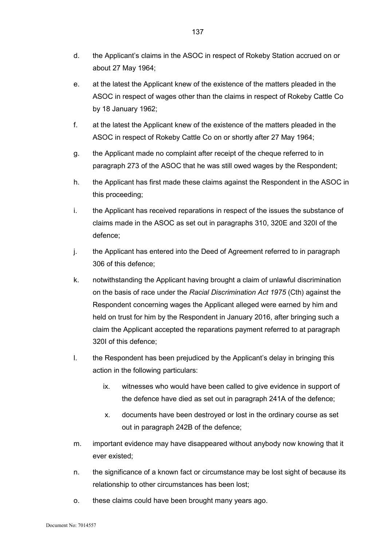- d. the Applicant's claims in the ASOC in respect of Rokeby Station accrued on or about 27 May 1964;
- e. at the latest the Applicant knew of the existence of the matters pleaded in the ASOC in respect of wages other than the claims in respect of Rokeby Cattle Co by 18 January 1962;
- f. at the latest the Applicant knew of the existence of the matters pleaded in the ASOC in respect of Rokeby Cattle Co on or shortly after 27 May 1964;
- g. the Applicant made no complaint after receipt of the cheque referred to in paragraph 273 of the ASOC that he was still owed wages by the Respondent;
- h. the Applicant has first made these claims against the Respondent in the ASOC in this proceeding;
- i. the Applicant has received reparations in respect of the issues the substance of claims made in the ASOC as set out in paragraphs 310, 320E and 320I of the defence;
- j. the Applicant has entered into the Deed of Agreement referred to in paragraph 306 of this defence;
- k. notwithstanding the Applicant having brought a claim of unlawful discrimination on the basis of race under the *Racial Discrimination Act 1975* (Cth) against the Respondent concerning wages the Applicant alleged were earned by him and held on trust for him by the Respondent in January 2016, after bringing such a claim the Applicant accepted the reparations payment referred to at paragraph 320I of this defence;
- l. the Respondent has been prejudiced by the Applicant's delay in bringing this action in the following particulars:
	- ix. witnesses who would have been called to give evidence in support of the defence have died as set out in paragraph 241A of the defence;
	- x. documents have been destroyed or lost in the ordinary course as set out in paragraph 242B of the defence;
- m. important evidence may have disappeared without anybody now knowing that it ever existed;
- n. the significance of a known fact or circumstance may be lost sight of because its relationship to other circumstances has been lost;
- o. these claims could have been brought many years ago.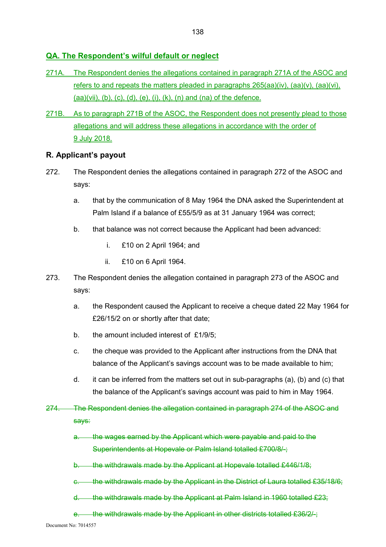# **QA. The Respondent's wilful default or neglect**

- 271A. The Respondent denies the allegations contained in paragraph 271A of the ASOC and refers to and repeats the matters pleaded in paragraphs 265(aa)(iv), (aa)(v), (aa)(vi),  $(aa)(vii)$ ,  $(b)$ ,  $(c)$ ,  $(d)$ ,  $(e)$ ,  $(i)$ ,  $(k)$ ,  $(n)$  and  $(na)$  of the defence.
- 271B. As to paragraph 271B of the ASOC, the Respondent does not presently plead to those allegations and will address these allegations in accordance with the order of 9 July 2018.

## **R. Applicant's payout**

- 272. The Respondent denies the allegations contained in paragraph 272 of the ASOC and says:
	- a. that by the communication of 8 May 1964 the DNA asked the Superintendent at Palm Island if a balance of £55/5/9 as at 31 January 1964 was correct;
	- b. that balance was not correct because the Applicant had been advanced:
		- i. £10 on 2 April 1964; and
		- ii. £10 on 6 April 1964.
- 273. The Respondent denies the allegation contained in paragraph 273 of the ASOC and says:
	- a. the Respondent caused the Applicant to receive a cheque dated 22 May 1964 for £26/15/2 on or shortly after that date;
	- b. the amount included interest of £1/9/5;
	- c. the cheque was provided to the Applicant after instructions from the DNA that balance of the Applicant's savings account was to be made available to him;
	- d. it can be inferred from the matters set out in sub-paragraphs (a), (b) and (c) that the balance of the Applicant's savings account was paid to him in May 1964.
- 274. The Respondent denies the allegation contained in paragraph 274 of the ASOC and says:
	- a. the wages earned by the Applicant which were payable and paid to the Superintendents at Hopevale or Palm Island totalled £700/8/-;
	- b. the withdrawals made by the Applicant at Hopevale totalled £446/1/8;
	- c. the withdrawals made by the Applicant in the District of Laura totalled £35/18/6;
	- d. the withdrawals made by the Applicant at Palm Island in 1960 totalled £23;
	- e. the withdrawals made by the Applicant in other districts totalled £36/2/-;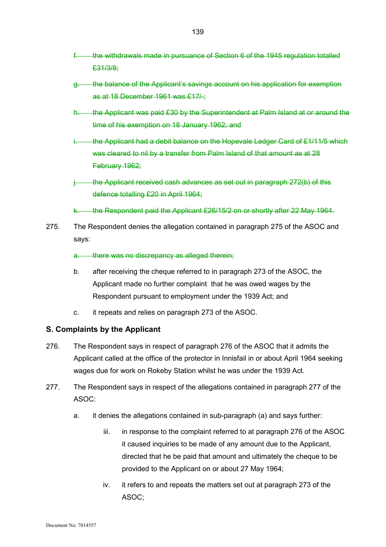- f. the withdrawals made in pursuance of Section 6 of the 1945 regulation totalled £31/3/8;
- g. the balance of the Applicant's savings account on his application for exemption as at 18 December 1961 was £17/-;
- h. the Applicant was paid £30 by the Superintendent at Palm Island at or around the time of his exemption on 18 January 1962; and
- i. the Applicant had a debit balance on the Hopevale Ledger Card of  $£1/11/5$  which was cleared to nil by a transfer from Palm Island of that amount as at 28 February 1962;
- i. the Applicant received cash advances as set out in paragraph 272(b) of this defence totalling £20 in April 1964;
- k. the Respondent paid the Applicant £26/15/2 on or shortly after 22 May 1964.
- 275. The Respondent denies the allegation contained in paragraph 275 of the ASOC and says:

#### a. there was no discrepancy as alleged therein;

- b. after receiving the cheque referred to in paragraph 273 of the ASOC, the Applicant made no further complaint that he was owed wages by the Respondent pursuant to employment under the 1939 Act; and
- c. it repeats and relies on paragraph 273 of the ASOC.

## **S. Complaints by the Applicant**

- 276. The Respondent says in respect of paragraph 276 of the ASOC that it admits the Applicant called at the office of the protector in Innisfail in or about April 1964 seeking wages due for work on Rokeby Station whilst he was under the 1939 Act.
- 277. The Respondent says in respect of the allegations contained in paragraph 277 of the ASOC:
	- a. it denies the allegations contained in sub-paragraph (a) and says further:
		- iii. in response to the complaint referred to at paragraph 276 of the ASOC it caused inquiries to be made of any amount due to the Applicant, directed that he be paid that amount and ultimately the cheque to be provided to the Applicant on or about 27 May 1964;
		- iv. it refers to and repeats the matters set out at paragraph 273 of the ASOC;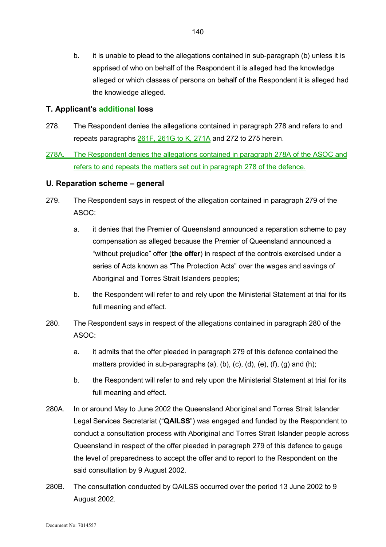b. it is unable to plead to the allegations contained in sub-paragraph (b) unless it is apprised of who on behalf of the Respondent it is alleged had the knowledge alleged or which classes of persons on behalf of the Respondent it is alleged had the knowledge alleged.

#### **T. Applicant's additional loss**

- 278. The Respondent denies the allegations contained in paragraph 278 and refers to and repeats paragraphs 261F, 261G to K, 271A and 272 to 275 herein.
- 278A. The Respondent denies the allegations contained in paragraph 278A of the ASOC and refers to and repeats the matters set out in paragraph 278 of the defence.

## **U. Reparation scheme – general**

- 279. The Respondent says in respect of the allegation contained in paragraph 279 of the ASOC:
	- a. it denies that the Premier of Queensland announced a reparation scheme to pay compensation as alleged because the Premier of Queensland announced a "without prejudice" offer (**the offer**) in respect of the controls exercised under a series of Acts known as "The Protection Acts" over the wages and savings of Aboriginal and Torres Strait Islanders peoples;
	- b. the Respondent will refer to and rely upon the Ministerial Statement at trial for its full meaning and effect.
- 280. The Respondent says in respect of the allegations contained in paragraph 280 of the ASOC:
	- a. it admits that the offer pleaded in paragraph 279 of this defence contained the matters provided in sub-paragraphs (a), (b), (c), (d), (e), (f), (g) and (h);
	- b. the Respondent will refer to and rely upon the Ministerial Statement at trial for its full meaning and effect.
- 280A. In or around May to June 2002 the Queensland Aboriginal and Torres Strait Islander Legal Services Secretariat ("**QAILSS**") was engaged and funded by the Respondent to conduct a consultation process with Aboriginal and Torres Strait Islander people across Queensland in respect of the offer pleaded in paragraph 279 of this defence to gauge the level of preparedness to accept the offer and to report to the Respondent on the said consultation by 9 August 2002.
- 280B. The consultation conducted by QAILSS occurred over the period 13 June 2002 to 9 August 2002.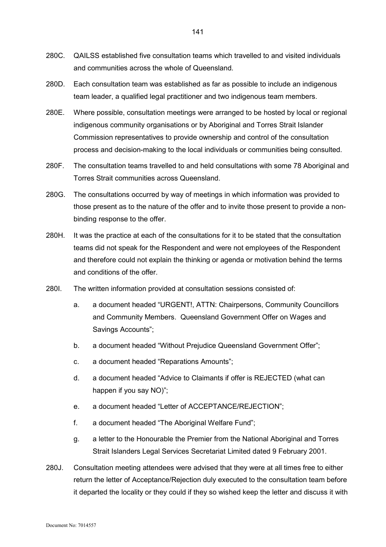- 280C. QAILSS established five consultation teams which travelled to and visited individuals and communities across the whole of Queensland.
- 280D. Each consultation team was established as far as possible to include an indigenous team leader, a qualified legal practitioner and two indigenous team members.
- 280E. Where possible, consultation meetings were arranged to be hosted by local or regional indigenous community organisations or by Aboriginal and Torres Strait Islander Commission representatives to provide ownership and control of the consultation process and decision-making to the local individuals or communities being consulted.
- 280F. The consultation teams travelled to and held consultations with some 78 Aboriginal and Torres Strait communities across Queensland.
- 280G. The consultations occurred by way of meetings in which information was provided to those present as to the nature of the offer and to invite those present to provide a nonbinding response to the offer.
- 280H. It was the practice at each of the consultations for it to be stated that the consultation teams did not speak for the Respondent and were not employees of the Respondent and therefore could not explain the thinking or agenda or motivation behind the terms and conditions of the offer.
- 280I. The written information provided at consultation sessions consisted of:
	- a. a document headed "URGENT!, ATTN: Chairpersons, Community Councillors and Community Members. Queensland Government Offer on Wages and Savings Accounts";
	- b. a document headed "Without Prejudice Queensland Government Offer";
	- c. a document headed "Reparations Amounts";
	- d. a document headed "Advice to Claimants if offer is REJECTED (what can happen if you say NO)";
	- e. a document headed "Letter of ACCEPTANCE/REJECTION";
	- f. a document headed "The Aboriginal Welfare Fund";
	- g. a letter to the Honourable the Premier from the National Aboriginal and Torres Strait Islanders Legal Services Secretariat Limited dated 9 February 2001.
- 280J. Consultation meeting attendees were advised that they were at all times free to either return the letter of Acceptance/Rejection duly executed to the consultation team before it departed the locality or they could if they so wished keep the letter and discuss it with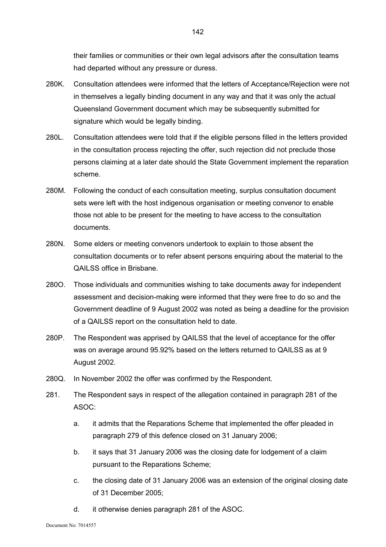their families or communities or their own legal advisors after the consultation teams had departed without any pressure or duress.

- 280K. Consultation attendees were informed that the letters of Acceptance/Rejection were not in themselves a legally binding document in any way and that it was only the actual Queensland Government document which may be subsequently submitted for signature which would be legally binding.
- 280L. Consultation attendees were told that if the eligible persons filled in the letters provided in the consultation process rejecting the offer, such rejection did not preclude those persons claiming at a later date should the State Government implement the reparation scheme.
- 280M. Following the conduct of each consultation meeting, surplus consultation document sets were left with the host indigenous organisation or meeting convenor to enable those not able to be present for the meeting to have access to the consultation documents.
- 280N. Some elders or meeting convenors undertook to explain to those absent the consultation documents or to refer absent persons enquiring about the material to the QAILSS office in Brisbane.
- 280O. Those individuals and communities wishing to take documents away for independent assessment and decision-making were informed that they were free to do so and the Government deadline of 9 August 2002 was noted as being a deadline for the provision of a QAILSS report on the consultation held to date.
- 280P. The Respondent was apprised by QAILSS that the level of acceptance for the offer was on average around 95.92% based on the letters returned to QAILSS as at 9 August 2002.
- 280Q. In November 2002 the offer was confirmed by the Respondent.
- 281. The Respondent says in respect of the allegation contained in paragraph 281 of the ASOC:
	- a. it admits that the Reparations Scheme that implemented the offer pleaded in paragraph 279 of this defence closed on 31 January 2006;
	- b. it says that 31 January 2006 was the closing date for lodgement of a claim pursuant to the Reparations Scheme;
	- c. the closing date of 31 January 2006 was an extension of the original closing date of 31 December 2005;
	- d. it otherwise denies paragraph 281 of the ASOC.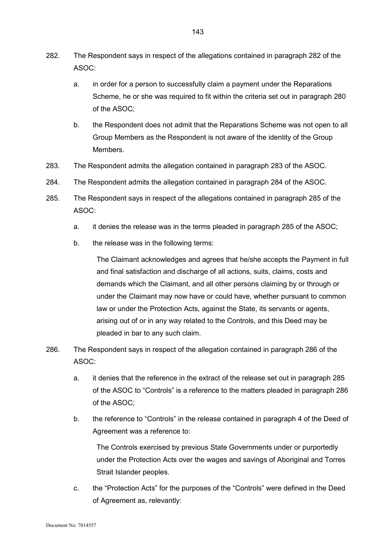- 282. The Respondent says in respect of the allegations contained in paragraph 282 of the ASOC:
	- a. in order for a person to successfully claim a payment under the Reparations Scheme, he or she was required to fit within the criteria set out in paragraph 280 of the ASOC;
	- b. the Respondent does not admit that the Reparations Scheme was not open to all Group Members as the Respondent is not aware of the identity of the Group Members.
- 283. The Respondent admits the allegation contained in paragraph 283 of the ASOC.
- 284. The Respondent admits the allegation contained in paragraph 284 of the ASOC.
- 285. The Respondent says in respect of the allegations contained in paragraph 285 of the ASOC:
	- a. it denies the release was in the terms pleaded in paragraph 285 of the ASOC;
	- b. the release was in the following terms:

The Claimant acknowledges and agrees that he/she accepts the Payment in full and final satisfaction and discharge of all actions, suits, claims, costs and demands which the Claimant, and all other persons claiming by or through or under the Claimant may now have or could have, whether pursuant to common law or under the Protection Acts, against the State, its servants or agents, arising out of or in any way related to the Controls, and this Deed may be pleaded in bar to any such claim.

- 286. The Respondent says in respect of the allegation contained in paragraph 286 of the ASOC:
	- a. it denies that the reference in the extract of the release set out in paragraph 285 of the ASOC to "Controls" is a reference to the matters pleaded in paragraph 286 of the ASOC;
	- b. the reference to "Controls" in the release contained in paragraph 4 of the Deed of Agreement was a reference to:

The Controls exercised by previous State Governments under or purportedly under the Protection Acts over the wages and savings of Aboriginal and Torres Strait Islander peoples.

c. the "Protection Acts" for the purposes of the "Controls" were defined in the Deed of Agreement as, relevantly: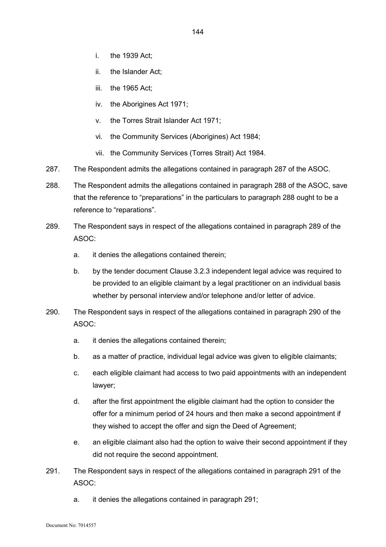- i. the 1939 Act;
- ii. the Islander Act;
- iii. the 1965 Act;
- iv. the Aborigines Act 1971;
- v. the Torres Strait Islander Act 1971;
- vi. the Community Services (Aborigines) Act 1984;
- vii. the Community Services (Torres Strait) Act 1984.
- 287. The Respondent admits the allegations contained in paragraph 287 of the ASOC.
- 288. The Respondent admits the allegations contained in paragraph 288 of the ASOC, save that the reference to "preparations" in the particulars to paragraph 288 ought to be a reference to "reparations".
- 289. The Respondent says in respect of the allegations contained in paragraph 289 of the ASOC:
	- a. it denies the allegations contained therein;
	- b. by the tender document Clause 3.2.3 independent legal advice was required to be provided to an eligible claimant by a legal practitioner on an individual basis whether by personal interview and/or telephone and/or letter of advice.
- 290. The Respondent says in respect of the allegations contained in paragraph 290 of the ASOC:
	- a. it denies the allegations contained therein;
	- b. as a matter of practice, individual legal advice was given to eligible claimants;
	- c. each eligible claimant had access to two paid appointments with an independent lawyer;
	- d. after the first appointment the eligible claimant had the option to consider the offer for a minimum period of 24 hours and then make a second appointment if they wished to accept the offer and sign the Deed of Agreement;
	- e. an eligible claimant also had the option to waive their second appointment if they did not require the second appointment.
- 291. The Respondent says in respect of the allegations contained in paragraph 291 of the ASOC:
	- a. it denies the allegations contained in paragraph 291;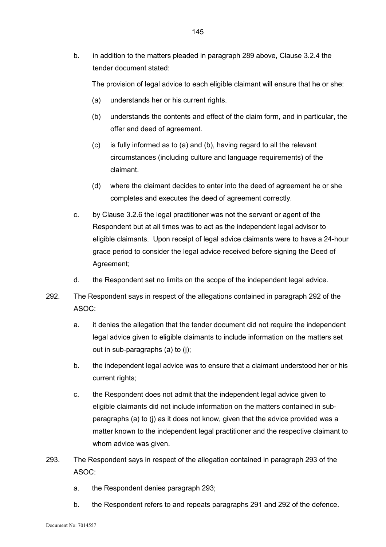b. in addition to the matters pleaded in paragraph 289 above, Clause 3.2.4 the tender document stated:

The provision of legal advice to each eligible claimant will ensure that he or she:

- (a) understands her or his current rights.
- (b) understands the contents and effect of the claim form, and in particular, the offer and deed of agreement.
- (c) is fully informed as to (a) and (b), having regard to all the relevant circumstances (including culture and language requirements) of the claimant.
- (d) where the claimant decides to enter into the deed of agreement he or she completes and executes the deed of agreement correctly.
- c. by Clause 3.2.6 the legal practitioner was not the servant or agent of the Respondent but at all times was to act as the independent legal advisor to eligible claimants. Upon receipt of legal advice claimants were to have a 24-hour grace period to consider the legal advice received before signing the Deed of Agreement;
- d. the Respondent set no limits on the scope of the independent legal advice.
- 292. The Respondent says in respect of the allegations contained in paragraph 292 of the ASOC:
	- a. it denies the allegation that the tender document did not require the independent legal advice given to eligible claimants to include information on the matters set out in sub-paragraphs (a) to (j);
	- b. the independent legal advice was to ensure that a claimant understood her or his current rights;
	- c. the Respondent does not admit that the independent legal advice given to eligible claimants did not include information on the matters contained in subparagraphs (a) to (j) as it does not know, given that the advice provided was a matter known to the independent legal practitioner and the respective claimant to whom advice was given.
- 293. The Respondent says in respect of the allegation contained in paragraph 293 of the ASOC:
	- a. the Respondent denies paragraph 293;
	- b. the Respondent refers to and repeats paragraphs 291 and 292 of the defence.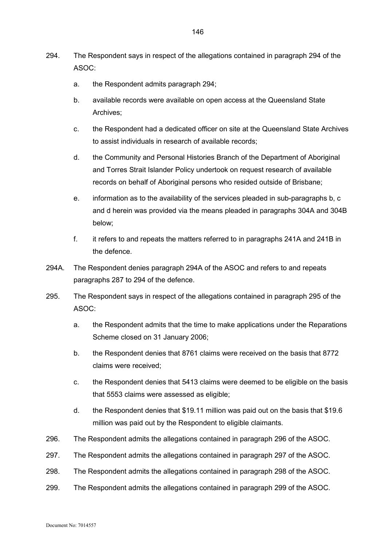- 294. The Respondent says in respect of the allegations contained in paragraph 294 of the ASOC:
	- a. the Respondent admits paragraph 294;
	- b. available records were available on open access at the Queensland State Archives;
	- c. the Respondent had a dedicated officer on site at the Queensland State Archives to assist individuals in research of available records;
	- d. the Community and Personal Histories Branch of the Department of Aboriginal and Torres Strait Islander Policy undertook on request research of available records on behalf of Aboriginal persons who resided outside of Brisbane;
	- e. information as to the availability of the services pleaded in sub-paragraphs b, c and d herein was provided via the means pleaded in paragraphs 304A and 304B below;
	- f. it refers to and repeats the matters referred to in paragraphs 241A and 241B in the defence.
- 294A. The Respondent denies paragraph 294A of the ASOC and refers to and repeats paragraphs 287 to 294 of the defence.
- 295. The Respondent says in respect of the allegations contained in paragraph 295 of the ASOC:
	- a. the Respondent admits that the time to make applications under the Reparations Scheme closed on 31 January 2006;
	- b. the Respondent denies that 8761 claims were received on the basis that 8772 claims were received;
	- c. the Respondent denies that 5413 claims were deemed to be eligible on the basis that 5553 claims were assessed as eligible;
	- d. the Respondent denies that \$19.11 million was paid out on the basis that \$19.6 million was paid out by the Respondent to eligible claimants.
- 296. The Respondent admits the allegations contained in paragraph 296 of the ASOC.
- 297. The Respondent admits the allegations contained in paragraph 297 of the ASOC.
- 298. The Respondent admits the allegations contained in paragraph 298 of the ASOC.
- 299. The Respondent admits the allegations contained in paragraph 299 of the ASOC.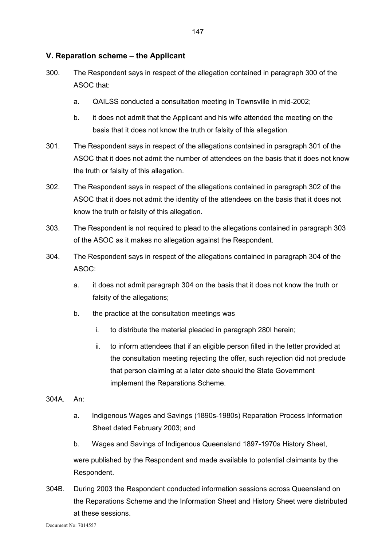## **V. Reparation scheme – the Applicant**

- 300. The Respondent says in respect of the allegation contained in paragraph 300 of the ASOC that:
	- a. QAILSS conducted a consultation meeting in Townsville in mid-2002;
	- b. it does not admit that the Applicant and his wife attended the meeting on the basis that it does not know the truth or falsity of this allegation.
- 301. The Respondent says in respect of the allegations contained in paragraph 301 of the ASOC that it does not admit the number of attendees on the basis that it does not know the truth or falsity of this allegation.
- 302. The Respondent says in respect of the allegations contained in paragraph 302 of the ASOC that it does not admit the identity of the attendees on the basis that it does not know the truth or falsity of this allegation.
- 303. The Respondent is not required to plead to the allegations contained in paragraph 303 of the ASOC as it makes no allegation against the Respondent.
- 304. The Respondent says in respect of the allegations contained in paragraph 304 of the ASOC:
	- a. it does not admit paragraph 304 on the basis that it does not know the truth or falsity of the allegations;
	- b. the practice at the consultation meetings was
		- i. to distribute the material pleaded in paragraph 280I herein;
		- ii. to inform attendees that if an eligible person filled in the letter provided at the consultation meeting rejecting the offer, such rejection did not preclude that person claiming at a later date should the State Government implement the Reparations Scheme.
- 304A. An:
	- a. Indigenous Wages and Savings (1890s-1980s) Reparation Process Information Sheet dated February 2003; and
	- b. Wages and Savings of Indigenous Queensland 1897-1970s History Sheet,

were published by the Respondent and made available to potential claimants by the Respondent.

304B. During 2003 the Respondent conducted information sessions across Queensland on the Reparations Scheme and the Information Sheet and History Sheet were distributed at these sessions.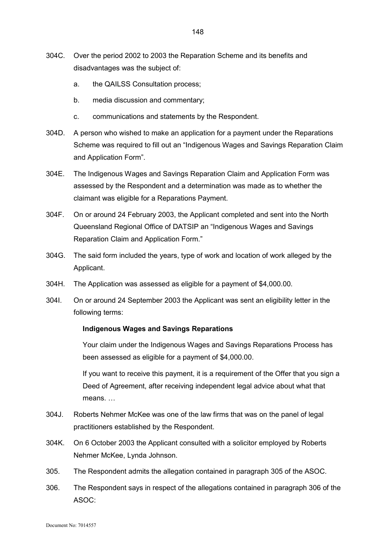- 304C. Over the period 2002 to 2003 the Reparation Scheme and its benefits and disadvantages was the subject of:
	- a. the QAILSS Consultation process;
	- b. media discussion and commentary;
	- c. communications and statements by the Respondent.
- 304D. A person who wished to make an application for a payment under the Reparations Scheme was required to fill out an "Indigenous Wages and Savings Reparation Claim and Application Form".
- 304E. The Indigenous Wages and Savings Reparation Claim and Application Form was assessed by the Respondent and a determination was made as to whether the claimant was eligible for a Reparations Payment.
- 304F. On or around 24 February 2003, the Applicant completed and sent into the North Queensland Regional Office of DATSIP an "Indigenous Wages and Savings Reparation Claim and Application Form."
- 304G. The said form included the years, type of work and location of work alleged by the Applicant.
- 304H. The Application was assessed as eligible for a payment of \$4,000.00.
- 304I. On or around 24 September 2003 the Applicant was sent an eligibility letter in the following terms:

#### **Indigenous Wages and Savings Reparations**

Your claim under the Indigenous Wages and Savings Reparations Process has been assessed as eligible for a payment of \$4,000.00.

If you want to receive this payment, it is a requirement of the Offer that you sign a Deed of Agreement, after receiving independent legal advice about what that means. …

- 304J. Roberts Nehmer McKee was one of the law firms that was on the panel of legal practitioners established by the Respondent.
- 304K. On 6 October 2003 the Applicant consulted with a solicitor employed by Roberts Nehmer McKee, Lynda Johnson.
- 305. The Respondent admits the allegation contained in paragraph 305 of the ASOC.
- 306. The Respondent says in respect of the allegations contained in paragraph 306 of the ASOC: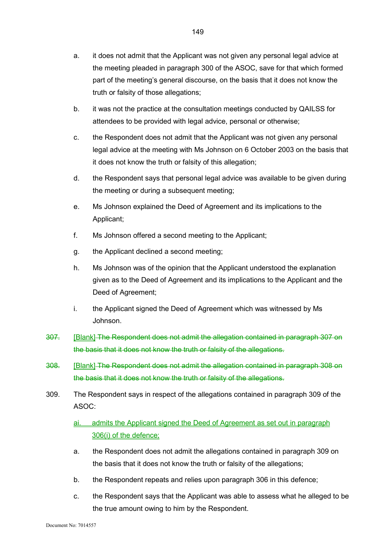- b. it was not the practice at the consultation meetings conducted by QAILSS for attendees to be provided with legal advice, personal or otherwise;
- c. the Respondent does not admit that the Applicant was not given any personal legal advice at the meeting with Ms Johnson on 6 October 2003 on the basis that it does not know the truth or falsity of this allegation;
- d. the Respondent says that personal legal advice was available to be given during the meeting or during a subsequent meeting;
- e. Ms Johnson explained the Deed of Agreement and its implications to the Applicant;
- f. Ms Johnson offered a second meeting to the Applicant;
- g. the Applicant declined a second meeting;
- h. Ms Johnson was of the opinion that the Applicant understood the explanation given as to the Deed of Agreement and its implications to the Applicant and the Deed of Agreement;
- i. the Applicant signed the Deed of Agreement which was witnessed by Ms Johnson.
- 307. [Blank] The Respondent does not admit the allegation contained in paragraph 307 on the basis that it does not know the truth or falsity of the allegations.
- 308. [Blank] The Respondent does not admit the allegation contained in paragraph 308 on the basis that it does not know the truth or falsity of the allegations.
- 309. The Respondent says in respect of the allegations contained in paragraph 309 of the ASOC:

# ai. admits the Applicant signed the Deed of Agreement as set out in paragraph 306(i) of the defence;

- a. the Respondent does not admit the allegations contained in paragraph 309 on the basis that it does not know the truth or falsity of the allegations;
- b. the Respondent repeats and relies upon paragraph 306 in this defence;
- c. the Respondent says that the Applicant was able to assess what he alleged to be the true amount owing to him by the Respondent.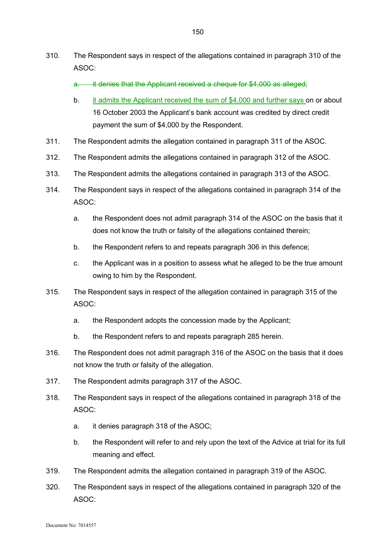- 310. The Respondent says in respect of the allegations contained in paragraph 310 of the ASOC:
	- a. it denies that the Applicant received a cheque for \$4,000 as alleged;
	- b. it admits the Applicant received the sum of \$4,000 and further says on or about 16 October 2003 the Applicant's bank account was credited by direct credit payment the sum of \$4,000 by the Respondent.
- 311. The Respondent admits the allegation contained in paragraph 311 of the ASOC.
- 312. The Respondent admits the allegations contained in paragraph 312 of the ASOC.
- 313. The Respondent admits the allegations contained in paragraph 313 of the ASOC.
- 314. The Respondent says in respect of the allegations contained in paragraph 314 of the ASOC:
	- a. the Respondent does not admit paragraph 314 of the ASOC on the basis that it does not know the truth or falsity of the allegations contained therein;
	- b. the Respondent refers to and repeats paragraph 306 in this defence;
	- c. the Applicant was in a position to assess what he alleged to be the true amount owing to him by the Respondent.
- 315. The Respondent says in respect of the allegation contained in paragraph 315 of the ASOC:
	- a. the Respondent adopts the concession made by the Applicant;
	- b. the Respondent refers to and repeats paragraph 285 herein.
- 316. The Respondent does not admit paragraph 316 of the ASOC on the basis that it does not know the truth or falsity of the allegation.
- 317. The Respondent admits paragraph 317 of the ASOC.
- 318. The Respondent says in respect of the allegations contained in paragraph 318 of the ASOC:
	- a. it denies paragraph 318 of the ASOC;
	- b. the Respondent will refer to and rely upon the text of the Advice at trial for its full meaning and effect.
- 319. The Respondent admits the allegation contained in paragraph 319 of the ASOC.
- 320. The Respondent says in respect of the allegations contained in paragraph 320 of the ASOC: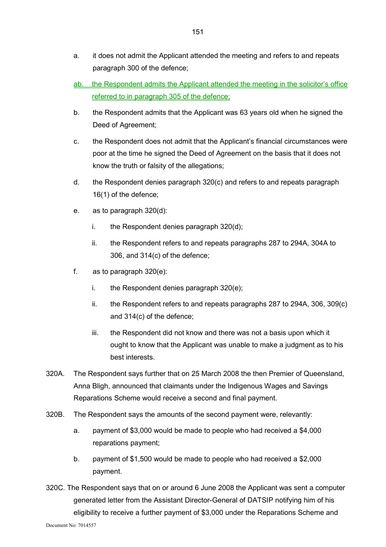- a. it does not admit the Applicant attended the meeting and refers to and repeats paragraph 300 of the defence;
- ab. the Respondent admits the Applicant attended the meeting in the solicitor's office referred to in paragraph 305 of the defence;
- b. the Respondent admits that the Applicant was 63 years old when he signed the Deed of Agreement;
- c. the Respondent does not admit that the Applicant's financial circumstances were poor at the time he signed the Deed of Agreement on the basis that it does not know the truth or falsity of the allegations;
- d. the Respondent denies paragraph 320(c) and refers to and repeats paragraph 16(1) of the defence;
- e. as to paragraph 320(d):
	- i. the Respondent denies paragraph 320(d);
	- ii. the Respondent refers to and repeats paragraphs 287 to 294A, 304A to 306, and 314(c) of the defence;
- f. as to paragraph 320(e):
	- i. the Respondent denies paragraph 320(e);
	- ii. the Respondent refers to and repeats paragraphs 287 to 294A, 306, 309(c) and 314(c) of the defence;
	- iii. the Respondent did not know and there was not a basis upon which it ought to know that the Applicant was unable to make a judgment as to his best interests.
- 320A. The Respondent says further that on 25 March 2008 the then Premier of Queensland, Anna Bligh, announced that claimants under the Indigenous Wages and Savings Reparations Scheme would receive a second and final payment.
- 320B. The Respondent says the amounts of the second payment were, relevantly:
	- a. payment of \$3,000 would be made to people who had received a \$4,000 reparations payment;
	- b. payment of \$1,500 would be made to people who had received a \$2,000 payment.
- 320C. The Respondent says that on or around 6 June 2008 the Applicant was sent a computer generated letter from the Assistant Director-General of DATSIP notifying him of his eligibility to receive a further payment of \$3,000 under the Reparations Scheme and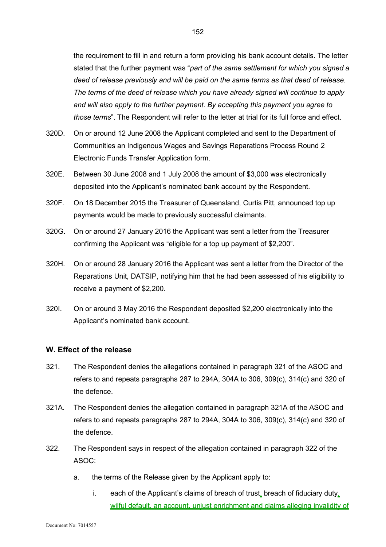the requirement to fill in and return a form providing his bank account details. The letter stated that the further payment was "*part of the same settlement for which you signed a deed of release previously and will be paid on the same terms as that deed of release. The terms of the deed of release which you have already signed will continue to apply and will also apply to the further payment. By accepting this payment you agree to those terms*". The Respondent will refer to the letter at trial for its full force and effect.

- 320D. On or around 12 June 2008 the Applicant completed and sent to the Department of Communities an Indigenous Wages and Savings Reparations Process Round 2 Electronic Funds Transfer Application form.
- 320E. Between 30 June 2008 and 1 July 2008 the amount of \$3,000 was electronically deposited into the Applicant's nominated bank account by the Respondent.
- 320F. On 18 December 2015 the Treasurer of Queensland, Curtis Pitt, announced top up payments would be made to previously successful claimants.
- 320G. On or around 27 January 2016 the Applicant was sent a letter from the Treasurer confirming the Applicant was "eligible for a top up payment of \$2,200".
- 320H. On or around 28 January 2016 the Applicant was sent a letter from the Director of the Reparations Unit, DATSIP, notifying him that he had been assessed of his eligibility to receive a payment of \$2,200.
- 320I. On or around 3 May 2016 the Respondent deposited \$2,200 electronically into the Applicant's nominated bank account.

#### **W. Effect of the release**

- 321. The Respondent denies the allegations contained in paragraph 321 of the ASOC and refers to and repeats paragraphs 287 to 294A, 304A to 306, 309(c), 314(c) and 320 of the defence.
- 321A. The Respondent denies the allegation contained in paragraph 321A of the ASOC and refers to and repeats paragraphs 287 to 294A, 304A to 306, 309(c), 314(c) and 320 of the defence.
- 322. The Respondent says in respect of the allegation contained in paragraph 322 of the ASOC:
	- a. the terms of the Release given by the Applicant apply to:
		- i. each of the Applicant's claims of breach of trust, breach of fiduciary duty, wilful default, an account, unjust enrichment and claims alleging invalidity of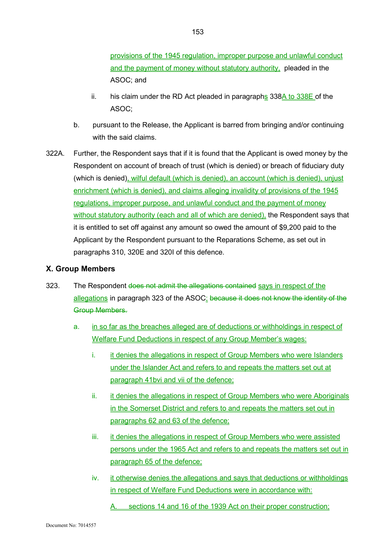provisions of the 1945 regulation, improper purpose and unlawful conduct and the payment of money without statutory authority, pleaded in the ASOC; and

- ii. his claim under the RD Act pleaded in paragraphs  $338A$  to  $338E$  of the ASOC;
- b. pursuant to the Release, the Applicant is barred from bringing and/or continuing with the said claims.
- 322A. Further, the Respondent says that if it is found that the Applicant is owed money by the Respondent on account of breach of trust (which is denied) or breach of fiduciary duty (which is denied), wilful default (which is denied), an account (which is denied), unjust enrichment (which is denied), and claims alleging invalidity of provisions of the 1945 regulations, improper purpose, and unlawful conduct and the payment of money without statutory authority (each and all of which are denied), the Respondent says that it is entitled to set off against any amount so owed the amount of \$9,200 paid to the Applicant by the Respondent pursuant to the Reparations Scheme, as set out in paragraphs 310, 320E and 320I of this defence.

## **X. Group Members**

- 323. The Respondent does not admit the allegations contained says in respect of the allegations in paragraph 323 of the ASOC: because it does not know the identity of the Group Members.
	- a. in so far as the breaches alleged are of deductions or withholdings in respect of Welfare Fund Deductions in respect of any Group Member's wages:
		- i. it denies the allegations in respect of Group Members who were Islanders under the Islander Act and refers to and repeats the matters set out at paragraph 41bvi and vii of the defence;
		- ii. it denies the allegations in respect of Group Members who were Aboriginals in the Somerset District and refers to and repeats the matters set out in paragraphs 62 and 63 of the defence;
		- iii. it denies the allegations in respect of Group Members who were assisted persons under the 1965 Act and refers to and repeats the matters set out in paragraph 65 of the defence;
		- iv. it otherwise denies the allegations and says that deductions or withholdings in respect of Welfare Fund Deductions were in accordance with:

sections 14 and 16 of the 1939 Act on their proper construction;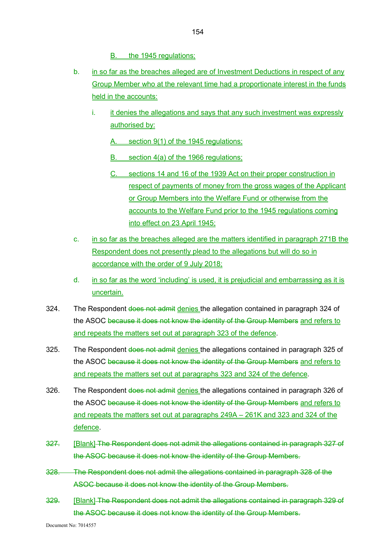B. the 1945 regulations;

- b. in so far as the breaches alleged are of Investment Deductions in respect of any Group Member who at the relevant time had a proportionate interest in the funds held in the accounts:
	- i. it denies the allegations and says that any such investment was expressly authorised by:
		- A. section 9(1) of the 1945 regulations;
		- B. section 4(a) of the 1966 regulations;
		- C. sections 14 and 16 of the 1939 Act on their proper construction in respect of payments of money from the gross wages of the Applicant or Group Members into the Welfare Fund or otherwise from the accounts to the Welfare Fund prior to the 1945 regulations coming into effect on 23 April 1945;
- c. in so far as the breaches alleged are the matters identified in paragraph 271B the Respondent does not presently plead to the allegations but will do so in accordance with the order of 9 July 2018;
- d. in so far as the word 'including' is used, it is prejudicial and embarrassing as it is uncertain.
- 324. The Respondent does not admit denies the allegation contained in paragraph 324 of the ASOC because it does not know the identity of the Group Members and refers to and repeats the matters set out at paragraph 323 of the defence.
- 325. The Respondent does not admit denies the allegations contained in paragraph 325 of the ASOC because it does not know the identity of the Group Members and refers to and repeats the matters set out at paragraphs 323 and 324 of the defence.
- 326. The Respondent does not admit denies the allegations contained in paragraph 326 of the ASOC because it does not know the identity of the Group Members and refers to and repeats the matters set out at paragraphs 249A – 261K and 323 and 324 of the defence.
- 327. [Blank] The Respondent does not admit the allegations contained in paragraph 327 of the ASOC because it does not know the identity of the Group Members.
- 328. The Respondent does not admit the allegations contained in paragraph 328 of the ASOC because it does not know the identity of the Group Members.
- 329. [Blank] The Respondent does not admit the allegations contained in paragraph 329 of the ASOC because it does not know the identity of the Group Members.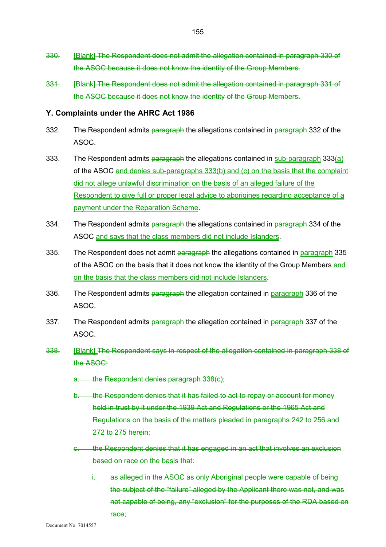- 330. [Blank] The Respondent does not admit the allegation contained in paragraph 330 of the ASOC because it does not know the identity of the Group Members.
- 331. [Blank] The Respondent does not admit the allegation contained in paragraph 331 of the ASOC because it does not know the identity of the Group Members.

#### **Y. Complaints under the AHRC Act 1986**

- 332. The Respondent admits paragraph the allegations contained in paragraph 332 of the ASOC.
- 333. The Respondent admits paragraph the allegations contained in sub-paragraph 333(a) of the ASOC and denies sub-paragraphs 333(b) and (c) on the basis that the complaint did not allege unlawful discrimination on the basis of an alleged failure of the Respondent to give full or proper legal advice to aborigines regarding acceptance of a payment under the Reparation Scheme.
- 334. The Respondent admits paragraph the allegations contained in paragraph 334 of the ASOC and says that the class members did not include Islanders.
- 335. The Respondent does not admit paragraph the allegations contained in paragraph 335 of the ASOC on the basis that it does not know the identity of the Group Members and on the basis that the class members did not include Islanders.
- 336. The Respondent admits paragraph the allegation contained in paragraph 336 of the ASOC.
- 337. The Respondent admits paragraph the allegation contained in paragraph 337 of the ASOC.
- 338. [Blank] The Respondent says in respect of the allegation contained in paragraph 338 of the ASOC:
	- a. the Respondent denies paragraph 338(c);
	- b. the Respondent denies that it has failed to act to repay or account for money held in trust by it under the 1939 Act and Regulations or the 1965 Act and Regulations on the basis of the matters pleaded in paragraphs 242 to 256 and 272 to 275 herein;
	- c. the Respondent denies that it has engaged in an act that involves an exclusion based on race on the basis that:
		- as alleged in the ASOC as only Aboriginal people were capable of being the subject of the "failure" alleged by the Applicant there was not, and was not capable of being, any "exclusion" for the purposes of the RDA based on race;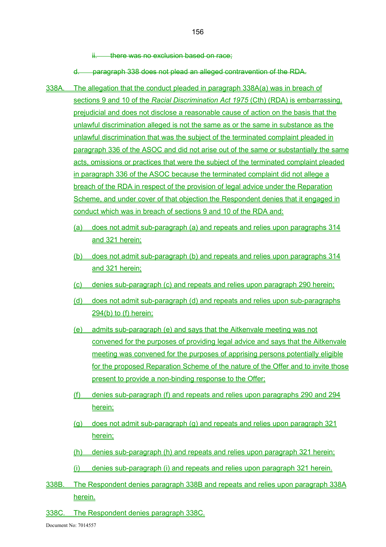ii. there was no exclusion based on race;

d. paragraph 338 does not plead an alleged contravention of the RDA.

- 338A. The allegation that the conduct pleaded in paragraph 338A(a) was in breach of sections 9 and 10 of the *Racial Discrimination Act 1975* (Cth) (RDA) is embarrassing, prejudicial and does not disclose a reasonable cause of action on the basis that the unlawful discrimination alleged is not the same as or the same in substance as the unlawful discrimination that was the subject of the terminated complaint pleaded in paragraph 336 of the ASOC and did not arise out of the same or substantially the same acts, omissions or practices that were the subject of the terminated complaint pleaded in paragraph 336 of the ASOC because the terminated complaint did not allege a breach of the RDA in respect of the provision of legal advice under the Reparation Scheme, and under cover of that objection the Respondent denies that it engaged in conduct which was in breach of sections 9 and 10 of the RDA and:
	- (a) does not admit sub-paragraph (a) and repeats and relies upon paragraphs 314 and 321 herein;
	- (b) does not admit sub-paragraph (b) and repeats and relies upon paragraphs 314 and 321 herein;
	- (c) denies sub-paragraph (c) and repeats and relies upon paragraph 290 herein;
	- (d) does not admit sub-paragraph (d) and repeats and relies upon sub-paragraphs 294(b) to (f) herein;
	- (e) admits sub-paragraph (e) and says that the Aitkenvale meeting was not convened for the purposes of providing legal advice and says that the Aitkenvale meeting was convened for the purposes of apprising persons potentially eligible for the proposed Reparation Scheme of the nature of the Offer and to invite those present to provide a non-binding response to the Offer;
	- (f) denies sub-paragraph (f) and repeats and relies upon paragraphs 290 and 294 herein;
	- (g) does not admit sub-paragraph (g) and repeats and relies upon paragraph 321 herein;
	- (h) denies sub-paragraph (h) and repeats and relies upon paragraph 321 herein;
	- (i) denies sub-paragraph (i) and repeats and relies upon paragraph 321 herein.
- 338B. The Respondent denies paragraph 338B and repeats and relies upon paragraph 338A herein.
- 338C. The Respondent denies paragraph 338C.

156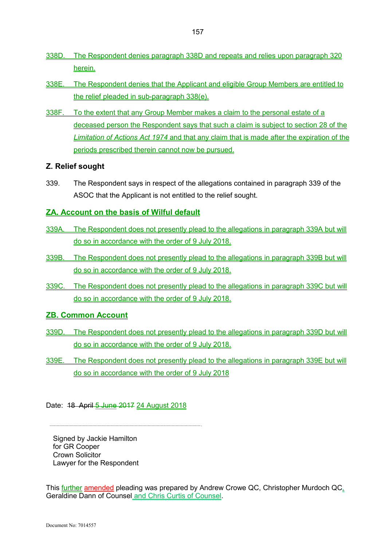- 338D. The Respondent denies paragraph 338D and repeats and relies upon paragraph 320 herein.
- 338E. The Respondent denies that the Applicant and eligible Group Members are entitled to the relief pleaded in sub-paragraph 338(e).
- 338F. To the extent that any Group Member makes a claim to the personal estate of a deceased person the Respondent says that such a claim is subject to section 28 of the *Limitation of Actions Act 1974* and that any claim that is made after the expiration of the periods prescribed therein cannot now be pursued.

#### **Z. Relief sought**

339. The Respondent says in respect of the allegations contained in paragraph 339 of the ASOC that the Applicant is not entitled to the relief sought.

## **ZA. Account on the basis of Wilful default**

- 339A. The Respondent does not presently plead to the allegations in paragraph 339A but will do so in accordance with the order of 9 July 2018.
- 339B. The Respondent does not presently plead to the allegations in paragraph 339B but will do so in accordance with the order of 9 July 2018.
- 339C. The Respondent does not presently plead to the allegations in paragraph 339C but will do so in accordance with the order of 9 July 2018.

## **ZB. Common Account**

- 339D. The Respondent does not presently plead to the allegations in paragraph 339D but will do so in accordance with the order of 9 July 2018.
- 339E. The Respondent does not presently plead to the allegations in paragraph 339E but will do so in accordance with the order of 9 July 2018

## Date: 18 April 5 June 2017 24 August 2018

Signed by Jackie Hamilton for GR Cooper Crown Solicitor Lawyer for the Respondent

This further amended pleading was prepared by Andrew Crowe QC, Christopher Murdoch QC, Geraldine Dann of Counsel and Chris Curtis of Counsel.